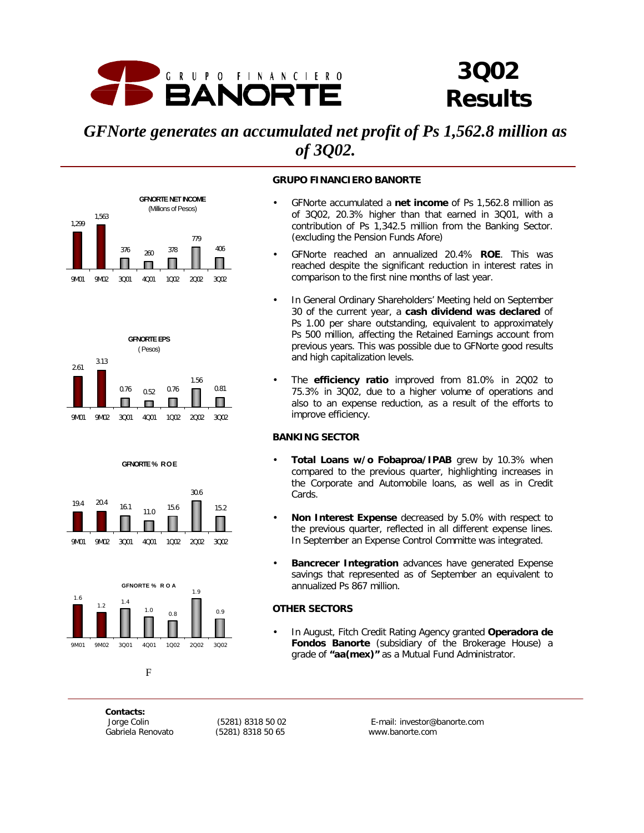

# *3Q02 Results*

# *GFNorte generates an accumulated net profit of Ps 1,562.8 million as of 3Q02.*











#### **Figure 1**

*Contacts:*

*Gabriela Renovato (5281) 8318 50 65 www.banorte.com*

 *Jorge Colin (5281) 8318 50 02 E-mail: investor@banorte.com*

#### **GRUPO FINANCIERO BANORTE**

- GFNorte accumulated a **net income** of Ps 1,562.8 million as of 3Q02, 20.3% higher than that earned in 3Q01, with a contribution of Ps 1,342.5 million from the Banking Sector. (excluding the Pension Funds Afore)
- GFNorte reached an annualized 20.4% **ROE**. This was reached despite the significant reduction in interest rates in comparison to the first nine months of last year.
- In General Ordinary Shareholders' Meeting held on September 30 of the current year, a **cash dividend was declared** of Ps 1.00 per share outstanding, equivalent to approximately Ps 500 million, affecting the Retained Earnings account from previous years. This was possible due to GFNorte good results and high capitalization levels.
- The **efficiency ratio** improved from 81.0% in 2Q02 to 75.3% in 3Q02, due to a higher volume of operations and also to an expense reduction, as a result of the efforts to improve efficiency.

#### **BANKING SECTOR**

- **Total Loans w/o Fobaproa/IPAB** grew by 10.3% when compared to the previous quarter, highlighting increases in the Corporate and Automobile loans, as well as in Credit **Cards**.
- **Non Interest Expense** decreased by 5.0% with respect to the previous quarter, reflected in all different expense lines. In September an Expense Control Committe was integrated.
- **Bancrecer Integration** advances have generated Expense savings that represented as of September an equivalent to annualized Ps 867 million.

#### **OTHER SECTORS**

• In August, Fitch Credit Rating Agency granted **Operadora de Fondos Banorte** (subsidiary of the Brokerage House) a grade of **"aa(mex)"** as a Mutual Fund Administrator.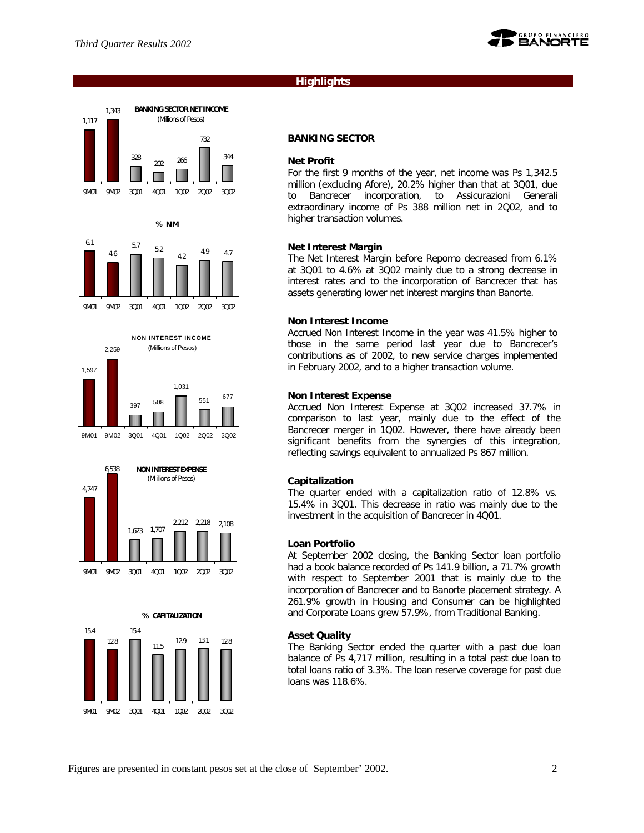

# **Highlights**





**% NIM**







#### **BANKING SECTOR**

#### **Net Profit**

For the first 9 months of the year, net income was Ps 1,342.5 million (excluding Afore), 20.2% higher than that at 3Q01, due to Bancrecer incorporation, to Assicurazioni Generali extraordinary income of Ps 388 million net in 2Q02, and to higher transaction volumes.

#### **Net Interest Margin**

The Net Interest Margin before Repomo decreased from 6.1% at 3Q01 to 4.6% at 3Q02 mainly due to a strong decrease in interest rates and to the incorporation of Bancrecer that has assets generating lower net interest margins than Banorte.

#### **Non Interest Income**

Accrued Non Interest Income in the year was 41.5% higher to those in the same period last year due to Bancrecer's contributions as of 2002, to new service charges implemented in February 2002, and to a higher transaction volume.

#### **Non Interest Expense**

Accrued Non Interest Expense at 3Q02 increased 37.7% in comparison to last year, mainly due to the effect of the Bancrecer merger in 1Q02. However, there have already been significant benefits from the synergies of this integration, reflecting savings equivalent to annualized Ps 867 million.

#### **Capitalization**

The quarter ended with a capitalization ratio of 12.8% vs. 15.4% in 3Q01. This decrease in ratio was mainly due to the investment in the acquisition of Bancrecer in 4Q01.

#### **Loan Portfolio**

At September 2002 closing, the Banking Sector loan portfolio had a book balance recorded of Ps 141.9 billion, a 71.7% growth with respect to September 2001 that is mainly due to the incorporation of Bancrecer and to Banorte placement strategy. A 261.9% growth in Housing and Consumer can be highlighted and Corporate Loans grew 57.9%, from Traditional Banking.

#### **Asset Quality**

The Banking Sector ended the quarter with a past due loan balance of Ps 4,717 million, resulting in a total past due loan to total loans ratio of 3.3%. The loan reserve coverage for past due loans was 118.6%.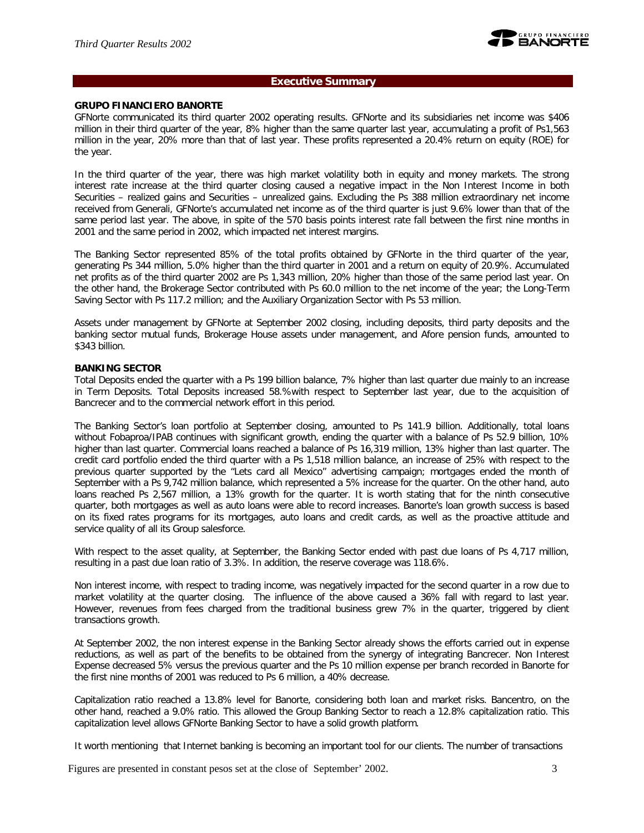

#### **Executive Summary**

#### **GRUPO FINANCIERO BANORTE**

GFNorte communicated its third quarter 2002 operating results. GFNorte and its subsidiaries net income was \$406 million in their third quarter of the year, 8% higher than the same quarter last year, accumulating a profit of Ps1,563 million in the year, 20% more than that of last year. These profits represented a 20.4% return on equity (ROE) for the year.

In the third quarter of the year, there was high market volatility both in equity and money markets. The strong interest rate increase at the third quarter closing caused a negative impact in the Non Interest Income in both Securities – realized gains and Securities – unrealized gains. Excluding the Ps 388 million extraordinary net income received from Generali, GFNorte's accumulated net income as of the third quarter is just 9.6% lower than that of the same period last year. The above, in spite of the 570 basis points interest rate fall between the first nine months in 2001 and the same period in 2002, which impacted net interest margins.

The Banking Sector represented 85% of the total profits obtained by GFNorte in the third quarter of the year, generating Ps 344 million, 5.0% higher than the third quarter in 2001 and a return on equity of 20.9%. Accumulated net profits as of the third quarter 2002 are Ps 1,343 million, 20% higher than those of the same period last year. On the other hand, the Brokerage Sector contributed with Ps 60.0 million to the net income of the year; the Long-Term Saving Sector with Ps 117.2 million; and the Auxiliary Organization Sector with Ps 53 million.

Assets under management by GFNorte at September 2002 closing, including deposits, third party deposits and the banking sector mutual funds, Brokerage House assets under management, and Afore pension funds, amounted to \$343 billion.

#### **BANKING SECTOR**

Total Deposits ended the quarter with a Ps 199 billion balance, 7% higher than last quarter due mainly to an increase in Term Deposits. Total Deposits increased 58.%with respect to September last year, due to the acquisition of Bancrecer and to the commercial network effort in this period.

The Banking Sector's loan portfolio at September closing, amounted to Ps 141.9 billion. Additionally, total loans without Fobaproa/IPAB continues with significant growth, ending the quarter with a balance of Ps 52.9 billion, 10% higher than last quarter. Commercial loans reached a balance of Ps 16,319 million, 13% higher than last quarter. The credit card portfolio ended the third quarter with a Ps 1,518 million balance, an increase of 25% with respect to the previous quarter supported by the "Lets card all Mexico" advertising campaign; mortgages ended the month of September with a Ps 9,742 million balance, which represented a 5% increase for the quarter. On the other hand, auto loans reached Ps 2,567 million, a 13% growth for the quarter. It is worth stating that for the ninth consecutive quarter, both mortgages as well as auto loans were able to record increases. Banorte's loan growth success is based on its fixed rates programs for its mortgages, auto loans and credit cards, as well as the proactive attitude and service quality of all its Group salesforce.

With respect to the asset quality, at September, the Banking Sector ended with past due loans of Ps 4,717 million, resulting in a past due loan ratio of 3.3%. In addition, the reserve coverage was 118.6%.

Non interest income, with respect to trading income, was negatively impacted for the second quarter in a row due to market volatility at the quarter closing. The influence of the above caused a 36% fall with regard to last year. However, revenues from fees charged from the traditional business grew 7% in the quarter, triggered by client transactions growth.

At September 2002, the non interest expense in the Banking Sector already shows the efforts carried out in expense reductions, as well as part of the benefits to be obtained from the synergy of integrating Bancrecer. Non Interest Expense decreased 5% versus the previous quarter and the Ps 10 million expense per branch recorded in Banorte for the first nine months of 2001 was reduced to Ps 6 million, a 40% decrease.

Capitalization ratio reached a 13.8% level for Banorte, considering both loan and market risks. Bancentro, on the other hand, reached a 9.0% ratio. This allowed the Group Banking Sector to reach a 12.8% capitalization ratio. This capitalization level allows GFNorte Banking Sector to have a solid growth platform.

It worth mentioning that Internet banking is becoming an important tool for our clients. The number of transactions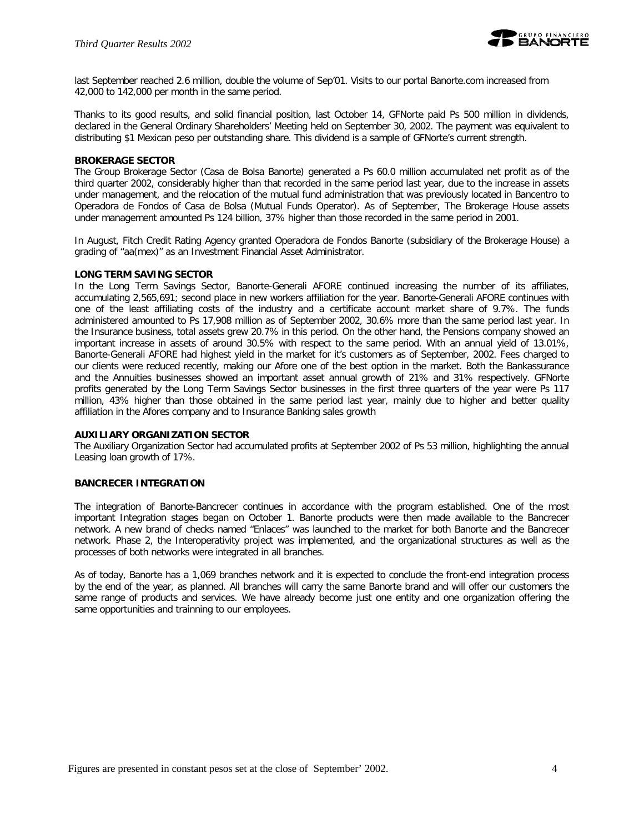

last September reached 2.6 million, double the volume of Sep'01. Visits to our portal Banorte.com increased from 42,000 to 142,000 per month in the same period.

Thanks to its good results, and solid financial position, last October 14, GFNorte paid Ps 500 million in dividends, declared in the General Ordinary Shareholders' Meeting held on September 30, 2002. The payment was equivalent to distributing \$1 Mexican peso per outstanding share. This dividend is a sample of GFNorte's current strength.

#### **BROKERAGE SECTOR**

The Group Brokerage Sector (Casa de Bolsa Banorte) generated a Ps 60.0 million accumulated net profit as of the third quarter 2002, considerably higher than that recorded in the same period last year, due to the increase in assets under management, and the relocation of the mutual fund administration that was previously located in Bancentro to Operadora de Fondos of Casa de Bolsa (Mutual Funds Operator). As of September, The Brokerage House assets under management amounted Ps 124 billion, 37% higher than those recorded in the same period in 2001.

In August, Fitch Credit Rating Agency granted Operadora de Fondos Banorte (subsidiary of the Brokerage House) a grading of "aa(mex)" as an Investment Financial Asset Administrator.

#### **LONG TERM SAVING SECTOR**

In the Long Term Savings Sector, Banorte-Generali AFORE continued increasing the number of its affiliates, accumulating 2,565,691; second place in new workers affiliation for the year. Banorte-Generali AFORE continues with one of the least affiliating costs of the industry and a certificate account market share of 9.7%. The funds administered amounted to Ps 17,908 million as of September 2002, 30.6% more than the same period last year. In the Insurance business, total assets grew 20.7% in this period. On the other hand, the Pensions company showed an important increase in assets of around 30.5% with respect to the same period. With an annual yield of 13.01%, Banorte-Generali AFORE had highest yield in the market for it's customers as of September, 2002. Fees charged to our clients were reduced recently, making our Afore one of the best option in the market. Both the Bankassurance and the Annuities businesses showed an important asset annual growth of 21% and 31% respectively. GFNorte profits generated by the Long Term Savings Sector businesses in the first three quarters of the year were Ps 117 million, 43% higher than those obtained in the same period last year, mainly due to higher and better quality affiliation in the Afores company and to Insurance Banking sales growth

#### **AUXILIARY ORGANIZATION SECTOR**

The Auxiliary Organization Sector had accumulated profits at September 2002 of Ps 53 million, highlighting the annual Leasing loan growth of 17%.

#### **BANCRECER INTEGRATION**

The integration of Banorte-Bancrecer continues in accordance with the program established. One of the most important Integration stages began on October 1. Banorte products were then made available to the Bancrecer network. A new brand of checks named "Enlaces" was launched to the market for both Banorte and the Bancrecer network. Phase 2, the Interoperativity project was implemented, and the organizational structures as well as the processes of both networks were integrated in all branches.

As of today, Banorte has a 1,069 branches network and it is expected to conclude the front-end integration process by the end of the year, as planned. All branches will carry the same Banorte brand and will offer our customers the same range of products and services. We have already become just one entity and one organization offering the same opportunities and trainning to our employees.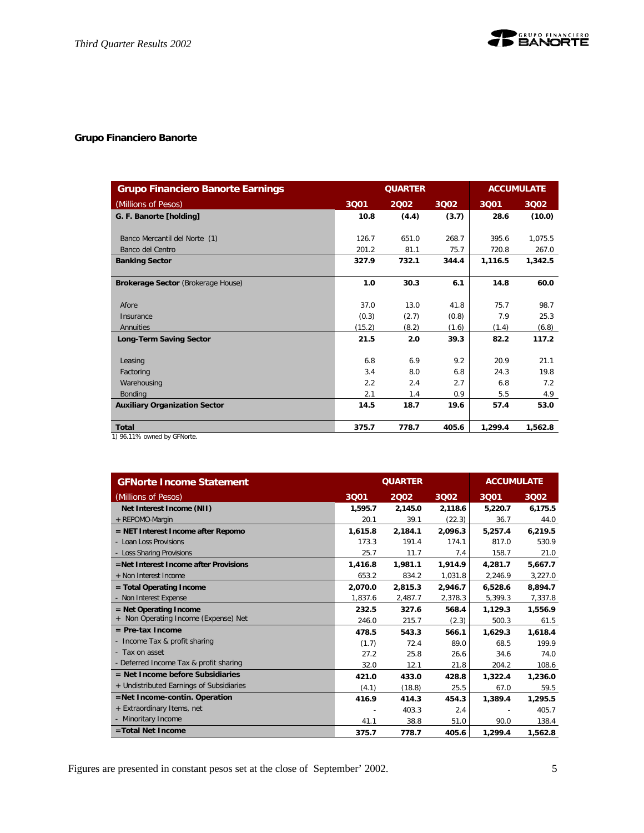# **Grupo Financiero Banorte**

| <b>Grupo Financiero Banorte Earnings</b> |        | <b>QUARTER</b><br><b>ACCUMULATE</b> |       |         |         |
|------------------------------------------|--------|-------------------------------------|-------|---------|---------|
| (Millions of Pesos)                      | 3001   | 2002                                | 3002  | 3001    | 3002    |
| G. F. Banorte [holding]                  | 10.8   | (4.4)                               | (3.7) | 28.6    | (10.0)  |
| Banco Mercantil del Norte (1)            | 126.7  | 651.0                               | 268.7 | 395.6   | 1,075.5 |
| Banco del Centro                         | 201.2  | 81.1                                | 75.7  | 720.8   | 267.0   |
| <b>Banking Sector</b>                    | 327.9  | 732.1                               | 344.4 | 1,116.5 | 1,342.5 |
| Brokerage Sector (Brokerage House)       | 1.0    | 30.3                                | 6.1   | 14.8    | 60.0    |
| Afore                                    | 37.0   | 13.0                                | 41.8  | 75.7    | 98.7    |
| Insurance                                | (0.3)  | (2.7)                               | (0.8) | 7.9     | 25.3    |
| Annuities                                | (15.2) | (8.2)                               | (1.6) | (1.4)   | (6.8)   |
| <b>Long-Term Saving Sector</b>           | 21.5   | 2.0                                 | 39.3  | 82.2    | 117.2   |
| Leasing                                  | 6.8    | 6.9                                 | 9.2   | 20.9    | 21.1    |
| Factoring                                | 3.4    | 8.0                                 | 6.8   | 24.3    | 19.8    |
| Warehousing                              | 2.2    | 2.4                                 | 2.7   | 6.8     | 7.2     |
| Bonding                                  | 2.1    | 1.4                                 | 0.9   | 5.5     | 4.9     |
| <b>Auxiliary Organization Sector</b>     | 14.5   | 18.7                                | 19.6  | 57.4    | 53.0    |
| <b>Total</b>                             | 375.7  | 778.7                               | 405.6 | 1,299.4 | 1,562.8 |
| 1) 96.11% owned by GFNorte.              |        |                                     |       |         |         |

| <b>GFNorte Income Statement</b>          |         | <b>QUARTER</b> | <b>ACCUMULATE</b> |         |         |
|------------------------------------------|---------|----------------|-------------------|---------|---------|
| (Millions of Pesos)                      | 3Q01    | 2002           | 3002              | 3Q01    | 3002    |
| Net Interest Income (NII)                | 1,595.7 | 2,145.0        | 2,118.6           | 5,220.7 | 6,175.5 |
| + REPOMO-Margin                          | 20.1    | 39.1           | (22.3)            | 36.7    | 44.0    |
| $=$ NET Interest Income after Repomo     | 1.615.8 | 2.184.1        | 2,096.3           | 5.257.4 | 6,219.5 |
| - Loan Loss Provisions                   | 173.3   | 191.4          | 174.1             | 817.0   | 530.9   |
| - Loss Sharing Provisions                | 25.7    | 11.7           | 7.4               | 158.7   | 21.0    |
| =Net Interest Income after Provisions    | 1,416.8 | 1,981.1        | 1,914.9           | 4,281.7 | 5,667.7 |
| + Non Interest Income                    | 653.2   | 834.2          | 1,031.8           | 2,246.9 | 3,227.0 |
| $=$ Total Operating Income               | 2,070.0 | 2,815.3        | 2,946.7           | 6,528.6 | 8,894.7 |
| - Non Interest Expense                   | 1,837.6 | 2,487.7        | 2,378.3           | 5,399.3 | 7,337.8 |
| $=$ Net Operating Income                 | 232.5   | 327.6          | 568.4             | 1.129.3 | 1,556.9 |
| Non Operating Income (Expense) Net       | 246.0   | 215.7          | (2.3)             | 500.3   | 61.5    |
| $=$ Pre-tax Income                       | 478.5   | 543.3          | 566.1             | 1,629.3 | 1,618.4 |
| - Income Tax & profit sharing            | (1.7)   | 72.4           | 89.0              | 68.5    | 199.9   |
| - Tax on asset                           | 27.2    | 25.8           | 26.6              | 34.6    | 74.0    |
| - Deferred Income Tax & profit sharing   | 32.0    | 12.1           | 21.8              | 204.2   | 108.6   |
| $=$ Net Income before Subsidiaries       | 421.0   | 433.0          | 428.8             | 1,322.4 | 1,236.0 |
| + Undistributed Earnings of Subsidiaries | (4.1)   | (18.8)         | 25.5              | 67.0    | 59.5    |
| $=$ Net Income-contin. Operation         | 416.9   | 414.3          | 454.3             | 1,389.4 | 1,295.5 |
| + Extraordinary Items, net               |         | 403.3          | 2.4               |         | 405.7   |
| - Minoritary Income                      | 41.1    | 38.8           | 51.0              | 90.0    | 138.4   |
| =Total Net Income                        | 375.7   | 778.7          | 405.6             | 1,299.4 | 1,562.8 |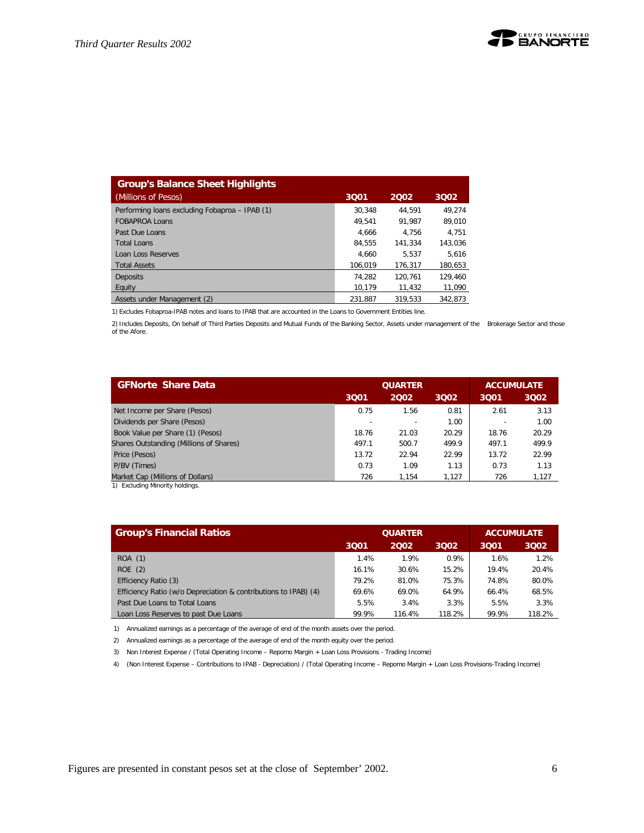| <b>Group's Balance Sheet Highlights</b>        |         |         |         |
|------------------------------------------------|---------|---------|---------|
| (Millions of Pesos)                            | 3Q01    | 2002    | 3002    |
| Performing loans excluding Fobaproa - IPAB (1) | 30.348  | 44.591  | 49.274  |
| <b>FOBAPROA Loans</b>                          | 49.541  | 91.987  | 89,010  |
| Past Due Loans                                 | 4.666   | 4.756   | 4.751   |
| <b>Total Loans</b>                             | 84.555  | 141.334 | 143.036 |
| <b>Loan Loss Reserves</b>                      | 4.660   | 5.537   | 5.616   |
| <b>Total Assets</b>                            | 106.019 | 176.317 | 180.653 |
| Deposits                                       | 74.282  | 120.761 | 129.460 |
| Equity                                         | 10.179  | 11,432  | 11,090  |
| Assets under Management (2)                    | 231.887 | 319.533 | 342.873 |

1) Excludes Fobaproa-IPAB notes and loans to IPAB that are accounted in the Loans to Government Entities line.

2) Includes Deposits, On behalf of Third Parties Deposits and Mutual Funds of the Banking Sector, Assets under management of the Brokerage Sector and those of the Afore.

| <b>GFNorte Share Data</b>               |       | <b>QUARTER</b> | <b>ACCUMULATE</b> |       |       |
|-----------------------------------------|-------|----------------|-------------------|-------|-------|
|                                         |       |                |                   |       |       |
|                                         | 3001  | 2002           | 3002              | 3001  | 3002  |
| Net Income per Share (Pesos)            | 0.75  | 1.56           | 0.81              | 2.61  | 3.13  |
| Dividends per Share (Pesos)             |       |                | 1.00              |       | 1.00  |
| Book Value per Share (1) (Pesos)        | 18.76 | 21.03          | 20.29             | 18.76 | 20.29 |
| Shares Outstanding (Millions of Shares) | 497.1 | 500.7          | 499.9             | 497.1 | 499.9 |
| Price (Pesos)                           | 13.72 | 22.94          | 22.99             | 13.72 | 22.99 |
| P/BV (Times)                            | 0.73  | 1.09           | 1.13              | 0.73  | 1.13  |
| Market Cap (Millions of Dollars)        | 726   | 1.154          | 1.127             | 726   | 1,127 |
| 1) Eveluding Minority boldings          |       |                |                   |       |       |

1) Excluding Minority holdings.

| <b>Group's Financial Ratios</b>                                 |       | <b>QUARTER</b> | <b>ACCUMULATE</b> |       |        |
|-----------------------------------------------------------------|-------|----------------|-------------------|-------|--------|
|                                                                 | 3001  | 2002           | 3002              | 3001  | 3002   |
| ROA (1)                                                         | 1.4%  | 1.9%           | 0.9%              | 1.6%  | 1.2%   |
| ROE(2)                                                          | 16.1% | 30.6%          | 15.2%             | 19.4% | 20.4%  |
| Efficiency Ratio (3)                                            | 79.2% | 81.0%          | 75.3%             | 74.8% | 80.0%  |
| Efficiency Ratio (w/o Depreciation & contributions to IPAB) (4) | 69.6% | 69.0%          | 64.9%             | 66.4% | 68.5%  |
| Past Due Loans to Total Loans                                   | 5.5%  | 3.4%           | 3.3%              | 5.5%  | 3.3%   |
| Loan Loss Reserves to past Due Loans                            | 99.9% | 116.4%         | 118.2%            | 99.9% | 118.2% |

1) Annualized earnings as a percentage of the average of end of the month assets over the period.

2) Annualized earnings as a percentage of the average of end of the month equity over the period.

3) Non Interest Expense / (Total Operating Income – Repomo Margin + Loan Loss Provisions - Trading Income)

4) (Non Interest Expense – Contributions to IPAB - Depreciation) / (Total Operating Income – Repomo Margin + Loan Loss Provisions-Trading Income)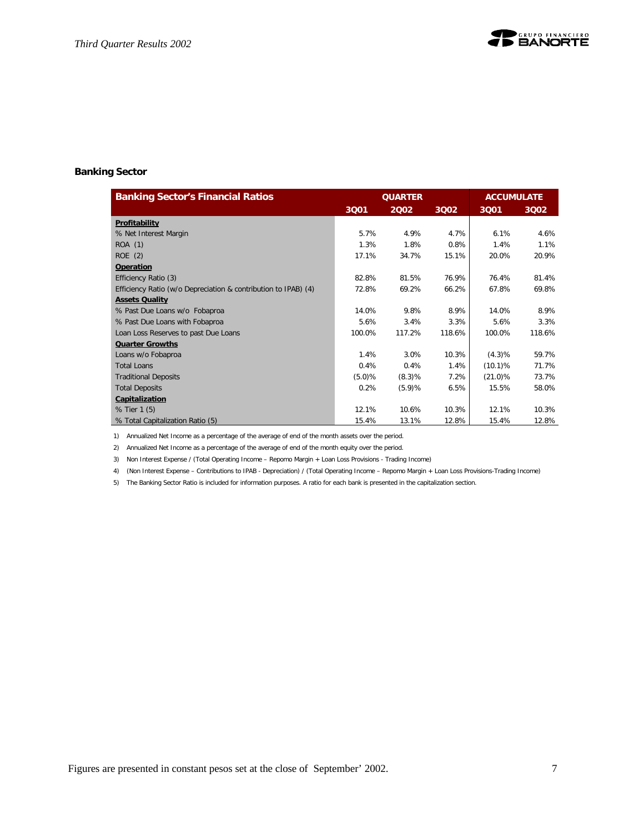

#### **Banking Sector**

| <b>Banking Sector's Financial Ratios</b>                       |        | <b>QUARTER</b> |        | <b>ACCUMULATE</b> |        |
|----------------------------------------------------------------|--------|----------------|--------|-------------------|--------|
|                                                                | 3Q01   | 2002           | 3Q02   | 3Q01              | 3Q02   |
| Profitability                                                  |        |                |        |                   |        |
| % Net Interest Margin                                          | 5.7%   | 4.9%           | 4.7%   | 6.1%              | 4.6%   |
| ROA (1)                                                        | 1.3%   | 1.8%           | 0.8%   | 1.4%              | 1.1%   |
| ROE(2)                                                         | 17.1%  | 34.7%          | 15.1%  | 20.0%             | 20.9%  |
| Operation                                                      |        |                |        |                   |        |
| Efficiency Ratio (3)                                           | 82.8%  | 81.5%          | 76.9%  | 76.4%             | 81.4%  |
| Efficiency Ratio (w/o Depreciation & contribution to IPAB) (4) | 72.8%  | 69.2%          | 66.2%  | 67.8%             | 69.8%  |
| <b>Assets Quality</b>                                          |        |                |        |                   |        |
| % Past Due Loans w/o Fobaproa                                  | 14.0%  | 9.8%           | 8.9%   | 14.0%             | 8.9%   |
| % Past Due Loans with Fobaproa                                 | 5.6%   | 3.4%           | 3.3%   | 5.6%              | 3.3%   |
| Loan Loss Reserves to past Due Loans                           | 100.0% | 117.2%         | 118.6% | 100.0%            | 118.6% |
| <b>Quarter Growths</b>                                         |        |                |        |                   |        |
| Loans w/o Fobaproa                                             | 1.4%   | 3.0%           | 10.3%  | $(4.3)\%$         | 59.7%  |
| <b>Total Loans</b>                                             | 0.4%   | 0.4%           | 1.4%   | $(10.1)$ %        | 71.7%  |
| <b>Traditional Deposits</b>                                    | (5.0)% | (8.3)%         | 7.2%   | $(21.0)\%$        | 73.7%  |
| <b>Total Deposits</b>                                          | 0.2%   | (5.9)%         | 6.5%   | 15.5%             | 58.0%  |
| Capitalization                                                 |        |                |        |                   |        |
| % Tier 1 (5)                                                   | 12.1%  | 10.6%          | 10.3%  | 12.1%             | 10.3%  |
| % Total Capitalization Ratio (5)                               | 15.4%  | 13.1%          | 12.8%  | 15.4%             | 12.8%  |

1) Annualized Net Income as a percentage of the average of end of the month assets over the period.

2) Annualized Net Income as a percentage of the average of end of the month equity over the period.

3) Non Interest Expense / (Total Operating Income – Repomo Margin + Loan Loss Provisions - Trading Income)

4) (Non Interest Expense – Contributions to IPAB - Depreciation) / (Total Operating Income – Repomo Margin + Loan Loss Provisions-Trading Income)

5) The Banking Sector Ratio is included for information purposes. A ratio for each bank is presented in the capitalization section.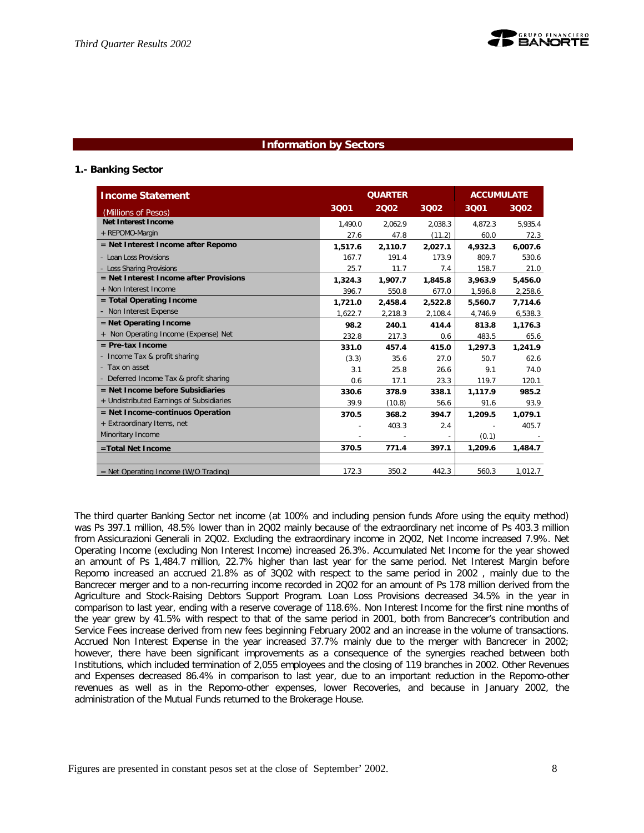## **Information by Sectors**

### **1.- Banking Sector**

| <b>Income Statement</b>                  | <b>QUARTER</b><br><b>ACCUMULATE</b> |         |         |         |         |
|------------------------------------------|-------------------------------------|---------|---------|---------|---------|
| (Millions of Pesos)                      | 3001                                | 2002    | 3002    | 3001    | 3002    |
| Net Interest Income                      | 1.490.0                             | 2.062.9 | 2.038.3 | 4.872.3 | 5.935.4 |
| + REPOMO-Margin                          | 27.6                                | 47.8    | (11.2)  | 60.0    | 72.3    |
| = Net Interest Income after Repomo       | 1,517.6                             | 2,110.7 | 2,027.1 | 4,932.3 | 6,007.6 |
| - Loan Loss Provisions                   | 167.7                               | 191.4   | 173.9   | 809.7   | 530.6   |
| - Loss Sharing Provisions                | 25.7                                | 11.7    | 7.4     | 158.7   | 21.0    |
| = Net Interest Income after Provisions   | 1,324.3                             | 1,907.7 | 1,845.8 | 3,963.9 | 5,456.0 |
| + Non Interest Income                    | 396.7                               | 550.8   | 677.0   | 1,596.8 | 2,258.6 |
| = Total Operating Income                 | 1.721.0                             | 2,458.4 | 2.522.8 | 5.560.7 | 7.714.6 |
| - Non Interest Expense                   | 1.622.7                             | 2,218.3 | 2,108.4 | 4,746.9 | 6.538.3 |
| $=$ Net Operating Income                 | 98.2                                | 240.1   | 414.4   | 813.8   | 1,176.3 |
| + Non Operating Income (Expense) Net     | 232.8                               | 217.3   | 0.6     | 483.5   | 65.6    |
| $=$ Pre-tax Income                       | 331.0                               | 457.4   | 415.0   | 1,297.3 | 1,241.9 |
| - Income Tax & profit sharing            | (3.3)                               | 35.6    | 27.0    | 50.7    | 62.6    |
| - Tax on asset                           | 3.1                                 | 25.8    | 26.6    | 9.1     | 74.0    |
| - Deferred Income Tax & profit sharing   | 0.6                                 | 17.1    | 23.3    | 119.7   | 120.1   |
| $=$ Net Income before Subsidiaries       | 330.6                               | 378.9   | 338.1   | 1,117.9 | 985.2   |
| + Undistributed Earnings of Subsidiaries | 39.9                                | (10.8)  | 56.6    | 91.6    | 93.9    |
| = Net Income-continuos Operation         | 370.5                               | 368.2   | 394.7   | 1,209.5 | 1,079.1 |
| + Extraordinary Items, net               |                                     | 403.3   | 2.4     |         | 405.7   |
| Minoritary Income                        |                                     | $\sim$  |         | (0.1)   |         |
| =Total Net Income                        | 370.5                               | 771.4   | 397.1   | 1,209.6 | 1,484.7 |
|                                          |                                     |         |         |         |         |
| $=$ Net Operating Income (W/O Trading)   | 172.3                               | 350.2   | 442.3   | 560.3   | 1,012.7 |

The third quarter Banking Sector net income (at 100% and including pension funds Afore using the equity method) was Ps 397.1 million, 48.5% lower than in 2Q02 mainly because of the extraordinary net income of Ps 403.3 million from Assicurazioni Generali in 2Q02. Excluding the extraordinary income in 2Q02, Net Income increased 7.9%. Net Operating Income (excluding Non Interest Income) increased 26.3%. Accumulated Net Income for the year showed an amount of Ps 1,484.7 million, 22.7% higher than last year for the same period. Net Interest Margin before Repomo increased an accrued 21.8% as of 3Q02 with respect to the same period in 2002 , mainly due to the Bancrecer merger and to a non-recurring income recorded in 2Q02 for an amount of Ps 178 million derived from the Agriculture and Stock-Raising Debtors Support Program. Loan Loss Provisions decreased 34.5% in the year in comparison to last year, ending with a reserve coverage of 118.6%. Non Interest Income for the first nine months of the year grew by 41.5% with respect to that of the same period in 2001, both from Bancrecer's contribution and Service Fees increase derived from new fees beginning February 2002 and an increase in the volume of transactions. Accrued Non Interest Expense in the year increased 37.7% mainly due to the merger with Bancrecer in 2002; however, there have been significant improvements as a consequence of the synergies reached between both Institutions, which included termination of 2,055 employees and the closing of 119 branches in 2002. Other Revenues and Expenses decreased 86.4% in comparison to last year, due to an important reduction in the Repomo-other revenues as well as in the Repomo-other expenses, lower Recoveries, and because in January 2002, the administration of the Mutual Funds returned to the Brokerage House.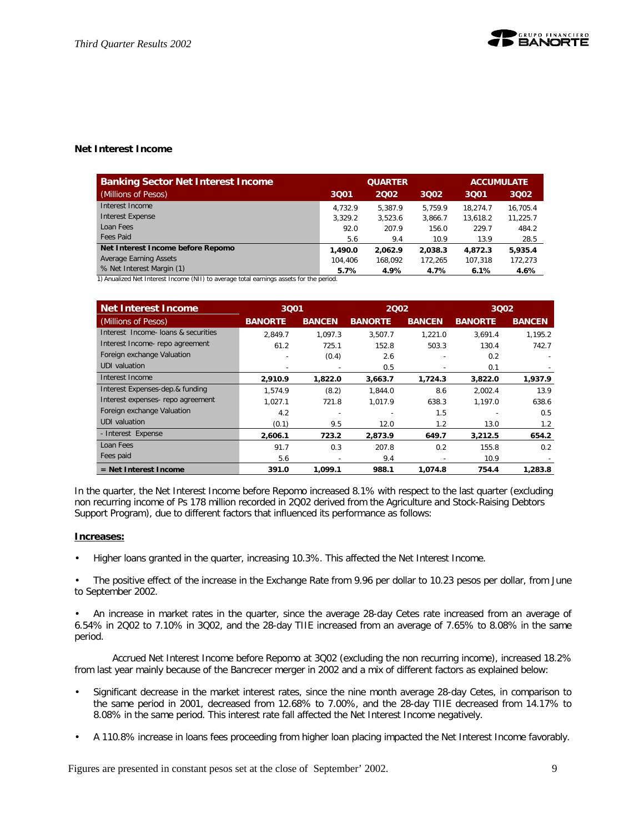#### **Net Interest Income**

| <b>Banking Sector Net Interest Income</b> |         | <b>QUARTER</b> | <b>ACCUMULATE</b> |          |          |
|-------------------------------------------|---------|----------------|-------------------|----------|----------|
| (Millions of Pesos)                       | 3001    | 2002           | 3002              | 3001     | 3002     |
| Interest Income                           | 4.732.9 | 5.387.9        | 5.759.9           | 18.274.7 | 16.705.4 |
| <b>Interest Expense</b>                   | 3.329.2 | 3.523.6        | 3.866.7           | 13.618.2 | 11.225.7 |
| Loan Fees                                 | 92.0    | 207.9          | 156.0             | 229.7    | 484.2    |
| <b>Fees Paid</b>                          | 5.6     | 9.4            | 10.9              | 13.9     | 28.5     |
| Net Interest Income before Repomo         | 1,490.0 | 2.062.9        | 2,038.3           | 4.872.3  | 5,935.4  |
| Average Earning Assets                    | 104,406 | 168.092        | 172.265           | 107.318  | 172,273  |
| % Net Interest Margin (1)                 | 5.7%    | 4.9%           | 4.7%              | 6.1%     | 4.6%     |

1) Anualized Net Interest Income (NII) to average total earnings assets for the period.

| Net Interest Income                 |                | 3001                     |                | 2002          |                |               |  | 3Q02 |
|-------------------------------------|----------------|--------------------------|----------------|---------------|----------------|---------------|--|------|
| (Millions of Pesos)                 | <b>BANORTE</b> | <b>BANCEN</b>            | <b>BANORTE</b> | <b>BANCEN</b> | <b>BANORTE</b> | <b>BANCEN</b> |  |      |
| Interest Income- loans & securities | 2.849.7        | 1.097.3                  | 3,507.7        | 1,221.0       | 3,691.4        | 1,195.2       |  |      |
| Interest Income- repo agreement     | 61.2           | 725.1                    | 152.8          | 503.3         | 130.4          | 742.7         |  |      |
| Foreign exchange Valuation          |                | (0.4)                    | 2.6            |               | 0.2            |               |  |      |
| UDI valuation                       |                |                          | 0.5            |               | 0.1            |               |  |      |
| Interest Income                     | 2,910.9        | 1,822.0                  | 3,663.7        | 1.724.3       | 3,822.0        | 1,937.9       |  |      |
| Interest Expenses-dep.& funding     | 1.574.9        | (8.2)                    | 1.844.0        | 8.6           | 2.002.4        | 13.9          |  |      |
| Interest expenses- repo agreement   | 1.027.1        | 721.8                    | 1.017.9        | 638.3         | 1.197.0        | 638.6         |  |      |
| Foreign exchange Valuation          | 4.2            |                          |                | 1.5           |                | 0.5           |  |      |
| UDI valuation                       | (0.1)          | 9.5                      | 12.0           | 1.2           | 13.0           | $1.2^{\circ}$ |  |      |
| - Interest Expense                  | 2,606.1        | 723.2                    | 2,873.9        | 649.7         | 3,212.5        | 654.2         |  |      |
| Loan Fees                           | 91.7           | 0.3                      | 207.8          | 0.2           | 155.8          | 0.2           |  |      |
| Fees paid                           | 5.6            | $\overline{\phantom{0}}$ | 9.4            |               | 10.9           |               |  |      |
| $=$ Net Interest Income             | 391.0          | 1,099.1                  | 988.1          | 1,074.8       | 754.4          | 1,283.8       |  |      |

In the quarter, the Net Interest Income before Repomo increased 8.1% with respect to the last quarter (excluding non recurring income of Ps 178 million recorded in 2Q02 derived from the Agriculture and Stock-Raising Debtors Support Program), due to different factors that influenced its performance as follows:

#### **Increases:**

• Higher loans granted in the quarter, increasing 10.3%. This affected the Net Interest Income.

• The positive effect of the increase in the Exchange Rate from 9.96 per dollar to 10.23 pesos per dollar, from June to September 2002.

• An increase in market rates in the quarter, since the average 28-day Cetes rate increased from an average of 6.54% in 2Q02 to 7.10% in 3Q02, and the 28-day TIIE increased from an average of 7.65% to 8.08% in the same period.

Accrued Net Interest Income before Repomo at 3Q02 (excluding the non recurring income), increased 18.2% from last year mainly because of the Bancrecer merger in 2002 and a mix of different factors as explained below:

- Significant decrease in the market interest rates, since the nine month average 28-day Cetes, in comparison to the same period in 2001, decreased from 12.68% to 7.00%, and the 28-day TIIE decreased from 14.17% to 8.08% in the same period. This interest rate fall affected the Net Interest Income negatively.
- A 110.8% increase in loans fees proceeding from higher loan placing impacted the Net Interest Income favorably.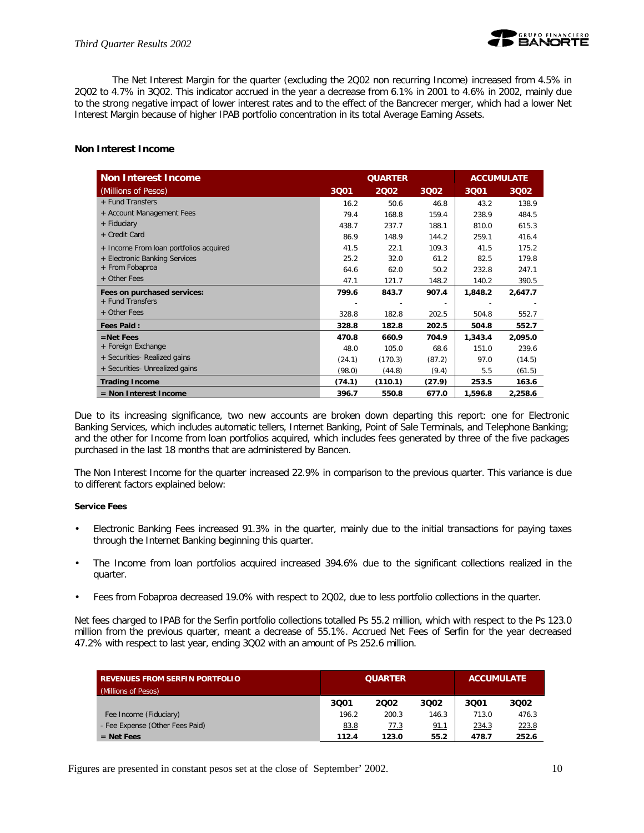The Net Interest Margin for the quarter (excluding the 2Q02 non recurring Income) increased from 4.5% in 2Q02 to 4.7% in 3Q02. This indicator accrued in the year a decrease from 6.1% in 2001 to 4.6% in 2002, mainly due to the strong negative impact of lower interest rates and to the effect of the Bancrecer merger, which had a lower Net Interest Margin because of higher IPAB portfolio concentration in its total Average Earning Assets.

#### **Non Interest Income**

| <b>Non Interest Income</b>             | <b>QUARTER</b><br><b>ACCUMULATE</b> |         |        |         |         |
|----------------------------------------|-------------------------------------|---------|--------|---------|---------|
| (Millions of Pesos)                    | 3001                                | 2002    | 3002   | 3Q01    | 3Q02    |
| + Fund Transfers                       | 16.2                                | 50.6    | 46.8   | 43.2    | 138.9   |
| + Account Management Fees              | 79.4                                | 168.8   | 159.4  | 238.9   | 484.5   |
| + Fiduciary                            | 438.7                               | 237.7   | 188.1  | 810.0   | 615.3   |
| + Credit Card                          | 86.9                                | 148.9   | 144.2  | 259.1   | 416.4   |
| + Income From loan portfolios acquired | 41.5                                | 22.1    | 109.3  | 41.5    | 175.2   |
| + Electronic Banking Services          | 25.2                                | 32.0    | 61.2   | 82.5    | 179.8   |
| + From Fobaproa                        | 64.6                                | 62.0    | 50.2   | 232.8   | 247.1   |
| + Other Fees                           | 47.1                                | 121.7   | 148.2  | 140.2   | 390.5   |
| Fees on purchased services:            | 799.6                               | 843.7   | 907.4  | 1,848.2 | 2,647.7 |
| + Fund Transfers                       |                                     |         | ٠      |         |         |
| + Other Fees                           | 328.8                               | 182.8   | 202.5  | 504.8   | 552.7   |
| <b>Fees Paid:</b>                      | 328.8                               | 182.8   | 202.5  | 504.8   | 552.7   |
| $=$ Net Fees                           | 470.8                               | 660.9   | 704.9  | 1,343.4 | 2,095.0 |
| + Foreign Exchange                     | 48.0                                | 105.0   | 68.6   | 151.0   | 239.6   |
| + Securities- Realized gains           | (24.1)                              | (170.3) | (87.2) | 97.0    | (14.5)  |
| + Securities- Unrealized gains         | (98.0)                              | (44.8)  | (9.4)  | 5.5     | (61.5)  |
| <b>Trading Income</b>                  | (74.1)                              | (110.1) | (27.9) | 253.5   | 163.6   |
| = Non Interest Income                  | 396.7                               | 550.8   | 677.0  | 1,596.8 | 2,258.6 |

Due to its increasing significance, two new accounts are broken down departing this report: one for Electronic Banking Services, which includes automatic tellers, Internet Banking, Point of Sale Terminals, and Telephone Banking; and the other for Income from loan portfolios acquired, which includes fees generated by three of the five packages purchased in the last 18 months that are administered by Bancen.

The Non Interest Income for the quarter increased 22.9% in comparison to the previous quarter. This variance is due to different factors explained below:

#### **Service Fees**

- Electronic Banking Fees increased 91.3% in the quarter, mainly due to the initial transactions for paying taxes through the Internet Banking beginning this quarter.
- The Income from loan portfolios acquired increased 394.6% due to the significant collections realized in the quarter.
- Fees from Fobaproa decreased 19.0% with respect to 2Q02, due to less portfolio collections in the quarter.

Net fees charged to IPAB for the Serfin portfolio collections totalled Ps 55.2 million, which with respect to the Ps 123.0 million from the previous quarter, meant a decrease of 55.1%. Accrued Net Fees of Serfin for the year decreased 47.2% with respect to last year, ending 3Q02 with an amount of Ps 252.6 million.

| <b>REVENUES FROM SERFIN PORTFOLIO</b><br>(Millions of Pesos) |       | <b>QUARTER</b> | <b>ACCUMULATE</b> |       |       |
|--------------------------------------------------------------|-------|----------------|-------------------|-------|-------|
|                                                              | 3001  | 2002           | 3002              | 3001  | 3002  |
| Fee Income (Fiduciary)                                       | 196.2 | 200.3          | 146.3             | 713.0 | 476.3 |
| - Fee Expense (Other Fees Paid)                              | 83.8  | 77.3           | 91.1              | 234.3 | 223.8 |
| $=$ Net Fees                                                 | 112.4 | 123.0          | 55.2              | 478.7 | 252.6 |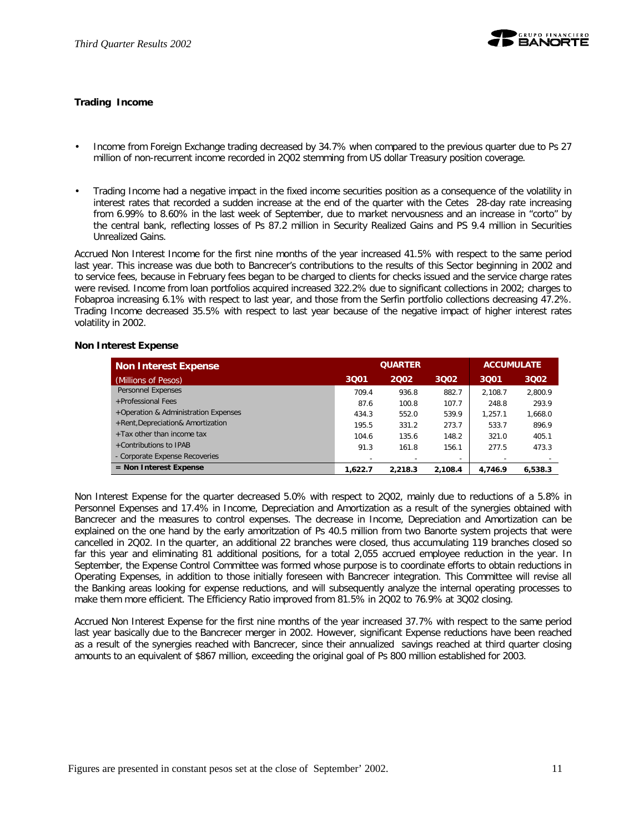

#### **Trading Income**

- Income from Foreign Exchange trading decreased by 34.7% when compared to the previous quarter due to Ps 27 million of non-recurrent income recorded in 2Q02 stemming from US dollar Treasury position coverage.
- Trading Income had a negative impact in the fixed income securities position as a consequence of the volatility in interest rates that recorded a sudden increase at the end of the quarter with the Cetes 28-day rate increasing from 6.99% to 8.60% in the last week of September, due to market nervousness and an increase in "corto" by the central bank, reflecting losses of Ps 87.2 million in Security Realized Gains and PS 9.4 million in Securities Unrealized Gains.

Accrued Non Interest Income for the first nine months of the year increased 41.5% with respect to the same period last year. This increase was due both to Bancrecer's contributions to the results of this Sector beginning in 2002 and to service fees, because in February fees began to be charged to clients for checks issued and the service charge rates were revised. Income from loan portfolios acquired increased 322.2% due to significant collections in 2002; charges to Fobaproa increasing 6.1% with respect to last year, and those from the Serfin portfolio collections decreasing 47.2%. Trading Income decreased 35.5% with respect to last year because of the negative impact of higher interest rates volatility in 2002.

#### **Non Interest Expense**

| <b>Non Interest Expense</b>          |         | <b>QUARTER</b> | <b>ACCUMULATE</b>        |         |         |
|--------------------------------------|---------|----------------|--------------------------|---------|---------|
| (Millions of Pesos)                  | 3Q01    | 2002           | 3002                     | 3001    | 3002    |
| Personnel Expenses                   | 709.4   | 936.8          | 882.7                    | 2.108.7 | 2.800.9 |
| +Professional Fees                   | 87.6    | 100.8          | 107.7                    | 248.8   | 293.9   |
| +Operation & Administration Expenses | 434.3   | 552.0          | 539.9                    | 1.257.1 | 1,668.0 |
| +Rent, Depreciation& Amortization    | 195.5   | 331.2          | 273.7                    | 533.7   | 896.9   |
| $+$ Tax other than income tax        | 104.6   | 135.6          | 148.2                    | 321.0   | 405.1   |
| +Contributions to IPAB               | 91.3    | 161.8          | 156.1                    | 277.5   | 473.3   |
| - Corporate Expense Recoveries       |         |                | $\overline{\phantom{a}}$ |         |         |
| $=$ Non Interest Expense             | 1.622.7 | 2.218.3        | 2.108.4                  | 4.746.9 | 6,538.3 |

Non Interest Expense for the quarter decreased 5.0% with respect to 2Q02, mainly due to reductions of a 5.8% in Personnel Expenses and 17.4% in Income, Depreciation and Amortization as a result of the synergies obtained with Bancrecer and the measures to control expenses. The decrease in Income, Depreciation and Amortization can be explained on the one hand by the early amoritzation of Ps 40.5 million from two Banorte system projects that were cancelled in 2Q02. In the quarter, an additional 22 branches were closed, thus accumulating 119 branches closed so far this year and eliminating 81 additional positions, for a total 2,055 accrued employee reduction in the year. In September, the Expense Control Committee was formed whose purpose is to coordinate efforts to obtain reductions in Operating Expenses, in addition to those initially foreseen with Bancrecer integration. This Committee will revise all the Banking areas looking for expense reductions, and will subsequently analyze the internal operating processes to make them more efficient. The Efficiency Ratio improved from 81.5% in 2Q02 to 76.9% at 3Q02 closing.

Accrued Non Interest Expense for the first nine months of the year increased 37.7% with respect to the same period last year basically due to the Bancrecer merger in 2002. However, significant Expense reductions have been reached as a result of the synergies reached with Bancrecer, since their annualized savings reached at third quarter closing amounts to an equivalent of \$867 million, exceeding the original goal of Ps 800 million established for 2003.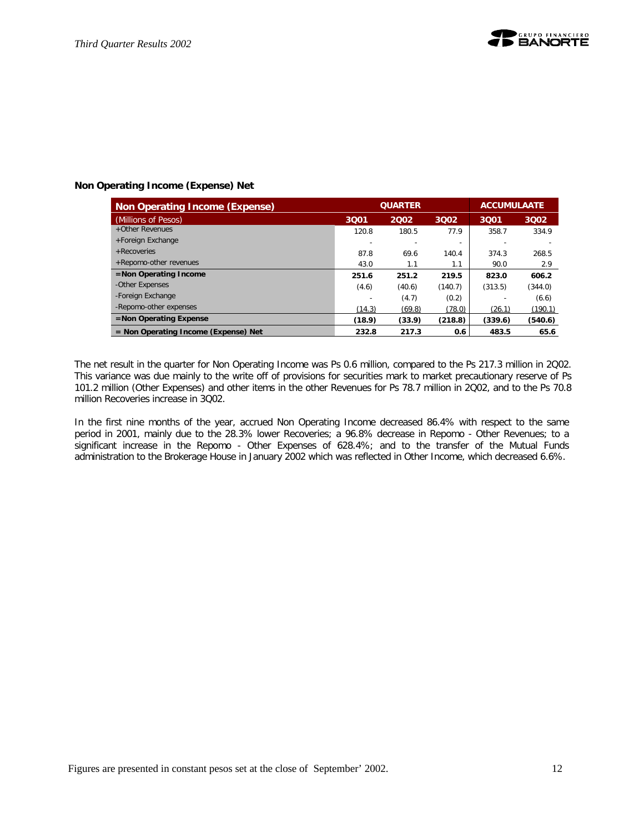

## **Non Operating Income (Expense) Net**

| Non Operating Income (Expense)         | <b>QUARTER</b> |        |                          | <b>ACCUMULAATE</b> |         |  |
|----------------------------------------|----------------|--------|--------------------------|--------------------|---------|--|
| (Millions of Pesos)                    | 3001           | 2002   | 3002                     | 3Q01               | 3002    |  |
| +Other Revenues                        | 120.8          | 180.5  | 77.9                     | 358.7              | 334.9   |  |
| +Foreign Exchange                      |                |        | $\overline{\phantom{a}}$ |                    |         |  |
| $+$ Recoveries                         | 87.8           | 69.6   | 140.4                    | 374.3              | 268.5   |  |
| +Repomo-other revenues                 | 43.0           | 1.1    | 1.1                      | 90.0               | 2.9     |  |
| =Non Operating Income                  | 251.6          | 251.2  | 219.5                    | 823.0              | 606.2   |  |
| -Other Expenses                        | (4.6)          | (40.6) | (140.7)                  | (313.5)            | (344.0) |  |
| -Foreign Exchange                      |                | (4.7)  | (0.2)                    |                    | (6.6)   |  |
| -Repomo-other expenses                 | (14.3)         | (69.8) | (78.0)                   | (26.1)             | (190.1) |  |
| $=$ Non Operating Expense              | (18.9)         | (33.9) | (218.8)                  | (339.6)            | (540.6) |  |
| $=$ Non Operating Income (Expense) Net | 232.8          | 217.3  | 0.6                      | 483.5              | 65.6    |  |

The net result in the quarter for Non Operating Income was Ps 0.6 million, compared to the Ps 217.3 million in 2Q02. This variance was due mainly to the write off of provisions for securities mark to market precautionary reserve of Ps 101.2 million (Other Expenses) and other items in the other Revenues for Ps 78.7 million in 2Q02, and to the Ps 70.8 million Recoveries increase in 3Q02.

In the first nine months of the year, accrued Non Operating Income decreased 86.4% with respect to the same period in 2001, mainly due to the 28.3% lower Recoveries; a 96.8% decrease in Repomo - Other Revenues; to a significant increase in the Repomo - Other Expenses of 628.4%; and to the transfer of the Mutual Funds administration to the Brokerage House in January 2002 which was reflected in Other Income, which decreased 6.6%.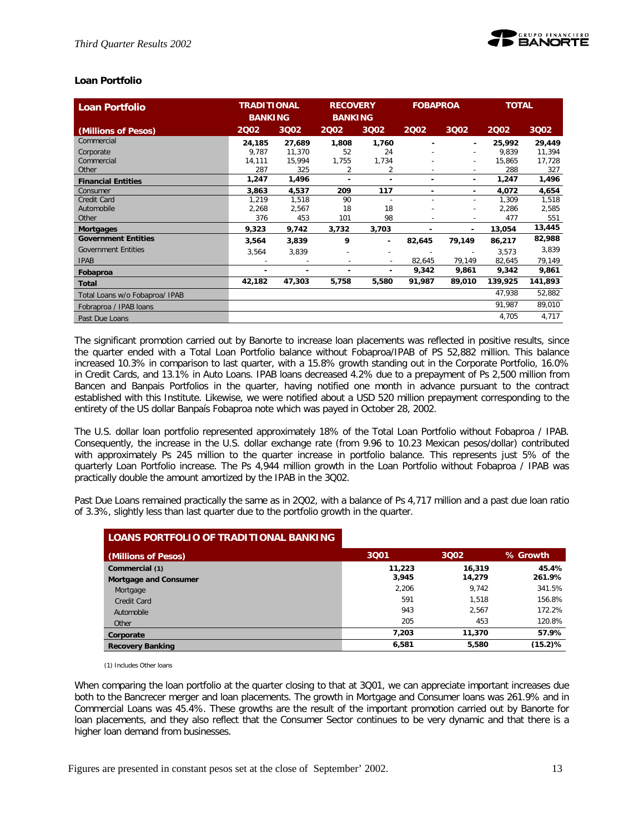

### **Loan Portfolio**

| <b>Loan Portfolio</b>          | <b>TRADITIONAL</b><br><b>BANKING</b> |        | <b>RECOVERY</b><br><b>BANKING</b> |                          | <b>FOBAPROA</b> |                          | <b>TOTAL</b> |         |
|--------------------------------|--------------------------------------|--------|-----------------------------------|--------------------------|-----------------|--------------------------|--------------|---------|
| (Millions of Pesos)            | 2002                                 | 3Q02   | 2002                              | 3Q02                     | 2002            | 3Q02                     | 2002         | 3Q02    |
| Commercial                     | 24,185                               | 27,689 | 1,808                             | 1,760                    |                 | ٠                        | 25,992       | 29,449  |
| Corporate                      | 9,787                                | 11,370 | 52                                | 24                       |                 | ٠                        | 9,839        | 11,394  |
| Commercial                     | 14,111                               | 15,994 | 1,755                             | 1,734                    |                 | ٠                        | 15,865       | 17,728  |
| Other                          | 287                                  | 325    | 2                                 | 2                        |                 | $\overline{\phantom{a}}$ | 288          | 327     |
| <b>Financial Entities</b>      | 1,247                                | 1,496  | ٠                                 | ٠                        |                 | ٠                        | 1,247        | 1,496   |
| Consumer                       | 3,863                                | 4,537  | 209                               | 117                      | ۰               | ٠                        | 4,072        | 4,654   |
| Credit Card                    | 1,219                                | 1,518  | 90                                | $\overline{\phantom{a}}$ |                 | ۰                        | 1,309        | 1,518   |
| Automobile                     | 2,268                                | 2,567  | 18                                | 18                       |                 | ٠                        | 2,286        | 2,585   |
| Other                          | 376                                  | 453    | 101                               | 98                       |                 | ٠                        | 477          | 551     |
| <b>Mortgages</b>               | 9,323                                | 9,742  | 3,732                             | 3,703                    | -               | ۰                        | 13,054       | 13,445  |
| <b>Government Entities</b>     | 3,564                                | 3,839  | 9                                 | ٠                        | 82,645          | 79,149                   | 86,217       | 82,988  |
| <b>Government Entities</b>     | 3,564                                | 3,839  |                                   |                          |                 | $\overline{\phantom{a}}$ | 3,573        | 3,839   |
| <b>IPAB</b>                    |                                      |        | $\overline{\phantom{0}}$          | $\sim$                   | 82,645          | 79,149                   | 82,645       | 79,149  |
| Fobaproa                       | ۰                                    |        |                                   | ٠                        | 9,342           | 9,861                    | 9,342        | 9,861   |
| <b>Total</b>                   | 42,182                               | 47,303 | 5,758                             | 5,580                    | 91,987          | 89,010                   | 139,925      | 141,893 |
| Total Loans w/o Fobaproa/ IPAB |                                      |        |                                   |                          |                 |                          | 47,938       | 52,882  |
| Fobraproa / IPAB loans         |                                      |        |                                   |                          |                 |                          | 91,987       | 89,010  |
| Past Due Loans                 |                                      |        |                                   |                          |                 |                          | 4,705        | 4,717   |

The significant promotion carried out by Banorte to increase loan placements was reflected in positive results, since the quarter ended with a Total Loan Portfolio balance without Fobaproa/IPAB of PS 52,882 million. This balance increased 10.3% in comparison to last quarter, with a 15.8% growth standing out in the Corporate Portfolio, 16.0% in Credit Cards, and 13.1% in Auto Loans. IPAB loans decreased 4.2% due to a prepayment of Ps 2,500 million from Bancen and Banpais Portfolios in the quarter, having notified one month in advance pursuant to the contract established with this Institute. Likewise, we were notified about a USD 520 million prepayment corresponding to the entirety of the US dollar Banpaís Fobaproa note which was payed in October 28, 2002.

The U.S. dollar loan portfolio represented approximately 18% of the Total Loan Portfolio without Fobaproa / IPAB. Consequently, the increase in the U.S. dollar exchange rate (from 9.96 to 10.23 Mexican pesos/dollar) contributed with approximately Ps 245 million to the quarter increase in portfolio balance. This represents just 5% of the quarterly Loan Portfolio increase. The Ps 4,944 million growth in the Loan Portfolio without Fobaproa / IPAB was practically double the amount amortized by the IPAB in the 3Q02.

Past Due Loans remained practically the same as in 2Q02, with a balance of Ps 4,717 million and a past due loan ratio of 3.3%, slightly less than last quarter due to the portfolio growth in the quarter.

| LOANS PORTFOLIO OF TRADITIONAL BANKING |        |        |            |
|----------------------------------------|--------|--------|------------|
| (Millions of Pesos)                    | 3001   | 3002   | % Growth   |
| Commercial (1)                         | 11,223 | 16,319 | 45.4%      |
| <b>Mortgage and Consumer</b>           | 3,945  | 14,279 | 261.9%     |
| Mortgage                               | 2.206  | 9.742  | 341.5%     |
| Credit Card                            | 591    | 1.518  | 156.8%     |
| Automobile                             | 943    | 2.567  | 172.2%     |
| Other                                  | 205    | 453    | 120.8%     |
| Corporate                              | 7.203  | 11,370 | 57.9%      |
| <b>Recovery Banking</b>                | 6,581  | 5.580  | $(15.2)$ % |

(1) Includes Other loans

When comparing the loan portfolio at the quarter closing to that at 3Q01, we can appreciate important increases due both to the Bancrecer merger and loan placements. The growth in Mortgage and Consumer loans was 261.9% and in Commercial Loans was 45.4%. These growths are the result of the important promotion carried out by Banorte for loan placements, and they also reflect that the Consumer Sector continues to be very dynamic and that there is a higher loan demand from businesses.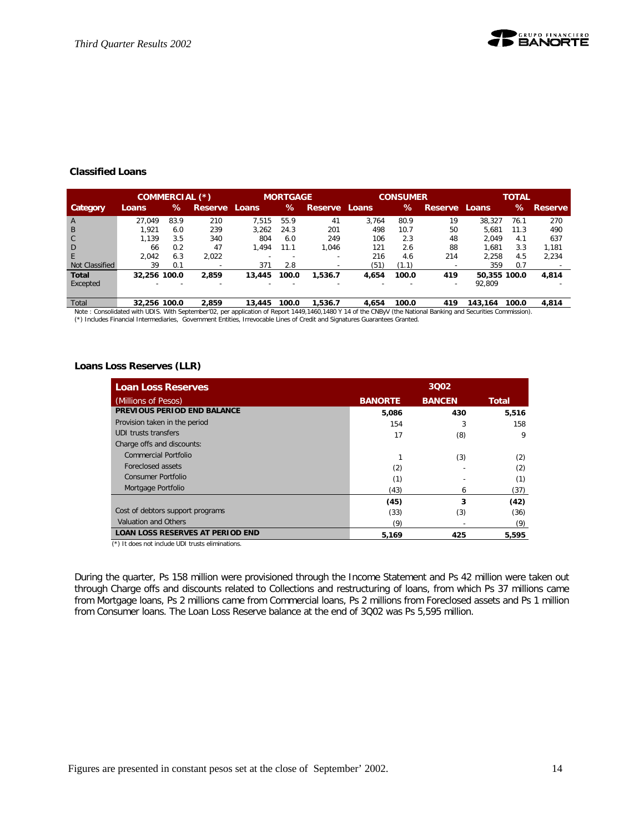

#### **Classified Loans**

|                | COMMERCIAL (*) |      |                          |                          | <b>MORTGAGE</b>          |               |       | <b>CONSUMER</b> |                          |              | <b>TOTAL</b> |         |
|----------------|----------------|------|--------------------------|--------------------------|--------------------------|---------------|-------|-----------------|--------------------------|--------------|--------------|---------|
| Category       | Loans          | ℅    | Reserve Loans            |                          | $\%$                     | Reserve Loans |       | $\%$            | <b>Reserve</b>           | Loans        | ℅            | Reserve |
| $\overline{A}$ | 27.049         | 83.9 | 210                      | 7.515                    | 55.9                     | 41            | 3.764 | 80.9            | 19                       | 38.327       | 76.1         | 270     |
| $\overline{B}$ | 1.921          | 6.0  | 239                      | 3.262                    | 24.3                     | 201           | 498   | 10.7            | 50                       | 5.681        | 11.3         | 490     |
| C <sub>1</sub> | 1.139          | 3.5  | 340                      | 804                      | 6.0                      | 249           | 106   | 2.3             | 48                       | 2.049        | 4.1          | 637     |
| D              | 66             | 0.2  | 47                       | 1.494                    | 11.1                     | 1.046         | 121   | 2.6             | 88                       | 1.681        | 3.3          | 1.181   |
| F.             | 2.042          | 6.3  | 2.022                    |                          |                          | -             | 216   | 4.6             | 214                      | 2.258        | 4.5          | 2.234   |
| Not Classified | 39             | 0.1  | $\overline{\phantom{0}}$ | 371                      | 2.8                      | -             | (51)  | (1.1)           |                          | 359          | 0.7          |         |
| <b>Total</b>   | 32.256 100.0   |      | 2.859                    | 13,445                   | 100.0                    | 1.536.7       | 4.654 | 100.0           | 419                      | 50,355 100.0 |              | 4.814   |
| Excepted       | $\sim$         |      | $\overline{\phantom{0}}$ | $\overline{\phantom{0}}$ | $\overline{\phantom{0}}$ | -             | -     |                 | $\overline{\phantom{a}}$ | 92,809       |              |         |
|                |                |      |                          |                          |                          |               |       |                 |                          |              |              |         |

Total 32,256 100.0 2,859 13,445 100.0 1,536.7 4,654 100.0 419 143,164 100.0 4,814<br>Note : Consolidated with UDIS. With September'02, per application of Report 1449,1460,1480 Y 14 of the CNByV (the National Banking and Secur (\*) Includes Financial Intermediaries, Government Entities, Irrevocable Lines of Credit and Signatures Guarantees Granted.

#### **Loans Loss Reserves (LLR)**

| <b>Loan Loss Reserves</b>               | 3002           |               |              |
|-----------------------------------------|----------------|---------------|--------------|
| (Millions of Pesos)                     | <b>BANORTE</b> | <b>BANCEN</b> | <b>Total</b> |
| PREVIOUS PERIOD END BALANCE             | 5,086          | 430           | 5,516        |
| Provision taken in the period           | 154            | 3             | 158          |
| UDI trusts transfers                    | 17             | (8)           | 9            |
| Charge offs and discounts:              |                |               |              |
| <b>Commercial Portfolio</b>             |                | (3)           | (2)          |
| Foreclosed assets                       | (2)            |               | (2)          |
| <b>Consumer Portfolio</b>               | (1)            |               | (1)          |
| Mortgage Portfolio                      | (43)           | 6             | (37)         |
|                                         | (45)           | 3             | (42)         |
| Cost of debtors support programs        | (33)           | (3)           | (36)         |
| Valuation and Others                    | (9)            |               | (9)          |
| <b>LOAN LOSS RESERVES AT PERIOD END</b> | 5,169          | 425           | 5.595        |

(\*) It does not include UDI trusts eliminations.

During the quarter, Ps 158 million were provisioned through the Income Statement and Ps 42 million were taken out through Charge offs and discounts related to Collections and restructuring of loans, from which Ps 37 millions came from Mortgage loans, Ps 2 millions came from Commercial loans, Ps 2 millions from Foreclosed assets and Ps 1 million from Consumer loans. The Loan Loss Reserve balance at the end of 3Q02 was Ps 5,595 million.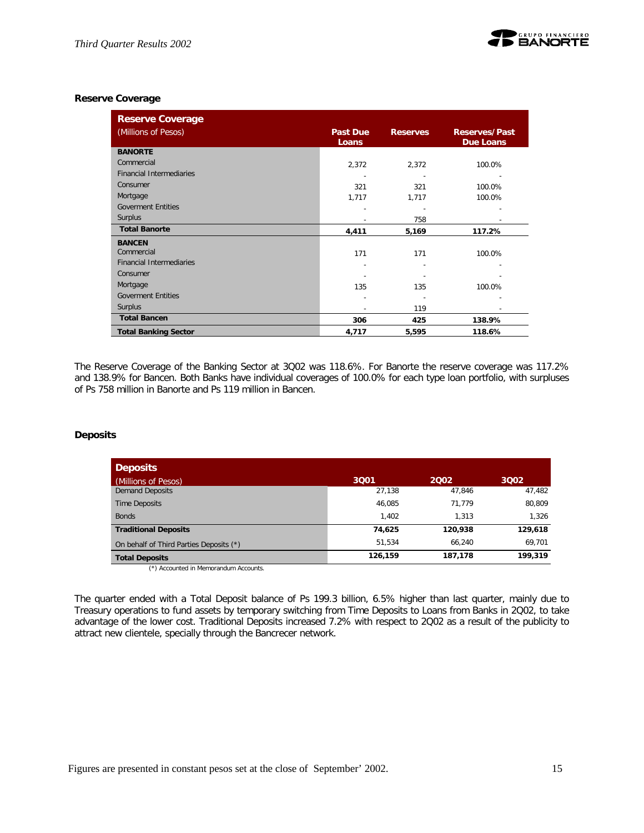## **Reserve Coverage**

| <b>Reserve Coverage</b>         |                 |                 |                      |
|---------------------------------|-----------------|-----------------|----------------------|
| (Millions of Pesos)             | <b>Past Due</b> | <b>Reserves</b> | <b>Reserves/Past</b> |
|                                 | Loans           |                 | <b>Due Loans</b>     |
| <b>BANORTE</b>                  |                 |                 |                      |
| Commercial                      | 2,372           | 2,372           | 100.0%               |
| <b>Financial Intermediaries</b> |                 |                 |                      |
| Consumer                        | 321             | 321             | 100.0%               |
| Mortgage                        | 1,717           | 1,717           | 100.0%               |
| <b>Goverment Entities</b>       |                 |                 |                      |
| Surplus                         |                 | 758             |                      |
| <b>Total Banorte</b>            | 4,411           | 5,169           | 117.2%               |
| <b>BANCEN</b>                   |                 |                 |                      |
| Commercial                      | 171             | 171             | 100.0%               |
| <b>Financial Intermediaries</b> |                 |                 |                      |
| Consumer                        |                 |                 |                      |
| Mortgage                        | 135             | 135             | 100.0%               |
| <b>Goverment Entities</b>       |                 |                 |                      |
| Surplus                         |                 | 119             |                      |
| <b>Total Bancen</b>             | 306             | 425             | 138.9%               |
| <b>Total Banking Sector</b>     | 4,717           | 5,595           | 118.6%               |

The Reserve Coverage of the Banking Sector at 3Q02 was 118.6%. For Banorte the reserve coverage was 117.2% and 138.9% for Bancen. Both Banks have individual coverages of 100.0% for each type loan portfolio, with surpluses of Ps 758 million in Banorte and Ps 119 million in Bancen.

# **Deposits**

| <b>Deposits</b>                         |         |         |         |
|-----------------------------------------|---------|---------|---------|
| (Millions of Pesos)                     | 3001    | 2002    | 3002    |
| <b>Demand Deposits</b>                  | 27,138  | 47.846  | 47,482  |
| Time Deposits                           | 46.085  | 71.779  | 80,809  |
| <b>Bonds</b>                            | 1.402   | 1.313   | 1,326   |
| <b>Traditional Deposits</b>             | 74,625  | 120.938 | 129,618 |
| On behalf of Third Parties Deposits (*) | 51.534  | 66.240  | 69,701  |
| <b>Total Deposits</b>                   | 126,159 | 187,178 | 199,319 |

(\*) Accounted in Memorandum Accounts.

The quarter ended with a Total Deposit balance of Ps 199.3 billion, 6.5% higher than last quarter, mainly due to Treasury operations to fund assets by temporary switching from Time Deposits to Loans from Banks in 2Q02, to take advantage of the lower cost. Traditional Deposits increased 7.2% with respect to 2Q02 as a result of the publicity to attract new clientele, specially through the Bancrecer network.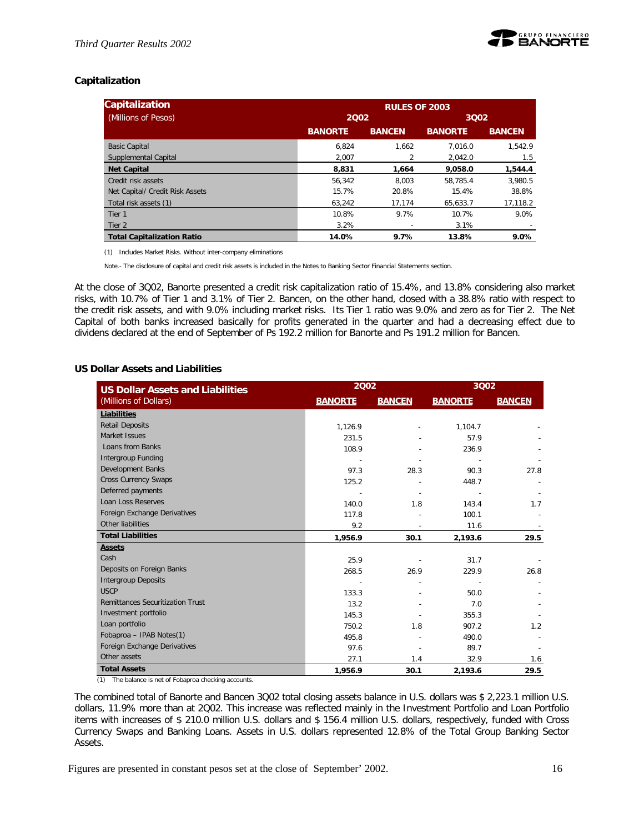

## **Capitalization**

| <b>Capitalization</b>             |                | <b>RULES OF 2003</b> |                |               |  |  |  |
|-----------------------------------|----------------|----------------------|----------------|---------------|--|--|--|
| (Millions of Pesos)               | 2002           |                      | 3002           |               |  |  |  |
|                                   | <b>BANORTE</b> | <b>BANCEN</b>        | <b>BANORTE</b> | <b>BANCEN</b> |  |  |  |
| <b>Basic Capital</b>              | 6.824          | 1.662                | 7.016.0        | 1.542.9       |  |  |  |
| Supplemental Capital              | 2.007          |                      | 2.042.0        | 1.5           |  |  |  |
| <b>Net Capital</b>                | 8,831          | 1.664                | 9.058.0        | 1,544.4       |  |  |  |
| Credit risk assets                | 56.342         | 8.003                | 58.785.4       | 3.980.5       |  |  |  |
| Net Capital/ Credit Risk Assets   | 15.7%          | 20.8%                | 15.4%          | 38.8%         |  |  |  |
| Total risk assets (1)             | 63,242         | 17,174               | 65,633.7       | 17,118.2      |  |  |  |
| Tier 1                            | 10.8%          | 9.7%                 | 10.7%          | 9.0%          |  |  |  |
| Tier 2                            | 3.2%           |                      | 3.1%           |               |  |  |  |
| <b>Total Capitalization Ratio</b> | 14.0%          | 9.7%                 | 13.8%          | 9.0%          |  |  |  |

(1) Includes Market Risks. Without inter-company eliminations

Note.- The disclosure of capital and credit risk assets is included in the Notes to Banking Sector Financial Statements section.

At the close of 3Q02, Banorte presented a credit risk capitalization ratio of 15.4%, and 13.8% considering also market risks, with 10.7% of Tier 1 and 3.1% of Tier 2. Bancen, on the other hand, closed with a 38.8% ratio with respect to the credit risk assets, and with 9.0% including market risks. Its Tier 1 ratio was 9.0% and zero as for Tier 2. The Net Capital of both banks increased basically for profits generated in the quarter and had a decreasing effect due to dividens declared at the end of September of Ps 192.2 million for Banorte and Ps 191.2 million for Bancen.

#### **US Dollar Assets and Liabilities**

| <b>US Dollar Assets and Liabilities</b> | 2002           |               | 3002           |               |  |
|-----------------------------------------|----------------|---------------|----------------|---------------|--|
| (Millions of Dollars)                   | <b>BANORTE</b> | <b>BANCEN</b> | <b>BANORTE</b> | <b>BANCEN</b> |  |
| <b>Liabilities</b>                      |                |               |                |               |  |
| <b>Retail Deposits</b>                  | 1,126.9        |               | 1,104.7        |               |  |
| Market Issues                           | 231.5          |               | 57.9           |               |  |
| Loans from Banks                        | 108.9          |               | 236.9          |               |  |
| Intergroup Funding                      |                |               |                |               |  |
| <b>Development Banks</b>                | 97.3           | 28.3          | 90.3           | 27.8          |  |
| <b>Cross Currency Swaps</b>             | 125.2          |               | 448.7          |               |  |
| Deferred payments                       |                |               |                |               |  |
| Loan Loss Reserves                      | 140.0          | 1.8           | 143.4          | 1.7           |  |
| Foreign Exchange Derivatives            | 117.8          |               | 100.1          |               |  |
| Other liabilities                       | 9.2            |               | 11.6           |               |  |
| <b>Total Liabilities</b>                | 1,956.9        | 30.1          | 2,193.6        | 29.5          |  |
| <b>Assets</b>                           |                |               |                |               |  |
| Cash                                    | 25.9           |               | 31.7           |               |  |
| Deposits on Foreign Banks               | 268.5          | 26.9          | 229.9          | 26.8          |  |
| <b>Intergroup Deposits</b>              |                |               |                |               |  |
| <b>USCP</b>                             | 133.3          |               | 50.0           |               |  |
| <b>Remittances Securitization Trust</b> | 13.2           |               | 7.0            |               |  |
| Investment portfolio                    | 145.3          |               | 355.3          |               |  |
| Loan portfolio                          | 750.2          | 1.8           | 907.2          | 1.2           |  |
| Fobaproa - IPAB Notes(1)                | 495.8          |               | 490.0          |               |  |
| Foreign Exchange Derivatives            | 97.6           |               | 89.7           |               |  |
| Other assets                            | 27.1           | 1.4           | 32.9           | 1.6           |  |
| <b>Total Assets</b>                     | 1,956.9        | 30.1          | 2,193.6        | 29.5          |  |

(1) The balance is net of Fobaproa checking accounts.

The combined total of Banorte and Bancen 3Q02 total closing assets balance in U.S. dollars was \$ 2,223.1 million U.S. dollars, 11.9% more than at 2Q02. This increase was reflected mainly in the Investment Portfolio and Loan Portfolio items with increases of \$ 210.0 million U.S. dollars and \$ 156.4 million U.S. dollars, respectively, funded with Cross Currency Swaps and Banking Loans. Assets in U.S. dollars represented 12.8% of the Total Group Banking Sector Assets.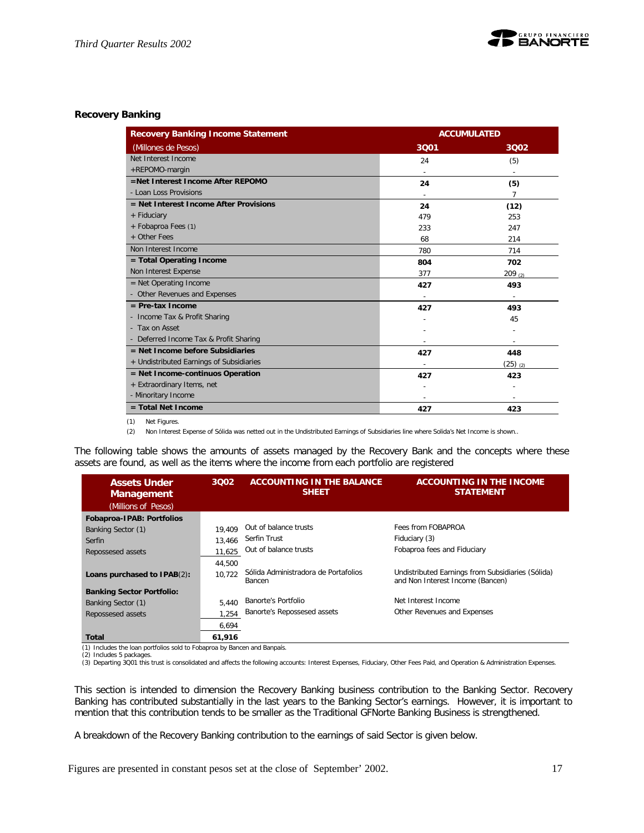

#### **Recovery Banking**

| <b>Recovery Banking Income Statement</b> | <b>ACCUMULATED</b> |                 |  |  |
|------------------------------------------|--------------------|-----------------|--|--|
| (Millones de Pesos)                      | 3Q01               | 3002            |  |  |
| Net Interest Income                      | 24                 | (5)             |  |  |
| +REPOMO-margin                           |                    |                 |  |  |
| =Net Interest Income After REPOMO        | 24                 | (5)             |  |  |
| - Loan Loss Provisions                   |                    | 7               |  |  |
| $=$ Net Interest Income After Provisions | 24                 | (12)            |  |  |
| + Fiduciary                              | 479                | 253             |  |  |
| + Fobaproa Fees (1)                      | 233                | 247             |  |  |
| + Other Fees                             | 68                 | 214             |  |  |
| Non Interest Income                      | 780                | 714             |  |  |
| = Total Operating Income                 | 804                | 702             |  |  |
| Non Interest Expense                     | 377                | 209(2)          |  |  |
| $=$ Net Operating Income                 | 427                | 493             |  |  |
| - Other Revenues and Expenses            |                    |                 |  |  |
| $=$ Pre-tax Income                       | 427                | 493             |  |  |
| - Income Tax & Profit Sharing            |                    | 45              |  |  |
| - Tax on Asset                           |                    |                 |  |  |
| - Deferred Income Tax & Profit Sharing   |                    |                 |  |  |
| $=$ Net Income before Subsidiaries       | 427                | 448             |  |  |
| + Undistributed Earnings of Subsidiaries |                    | $(25)$ $_{(2)}$ |  |  |
| $=$ Net Income-continuos Operation       | 427                | 423             |  |  |
| + Extraordinary Items, net               |                    |                 |  |  |
| - Minoritary Income                      |                    | ٠               |  |  |
| $=$ Total Net Income                     | 427                | 423             |  |  |

(1) Net Figures.

(2) Non Interest Expense of Sólida was netted out in the Undistributed Earnings of Subsidiaries line where Solida's Net Income is shown..

The following table shows the amounts of assets managed by the Recovery Bank and the concepts where these assets are found, as well as the items where the income from each portfolio are registered

| <b>Assets Under</b><br><b>Management</b> | 3002   | <b>ACCOUNTING IN THE BALANCE</b><br><b>SHEET</b> | <b>ACCOUNTING IN THE INCOME</b><br><b>STATEMENT</b>                                   |
|------------------------------------------|--------|--------------------------------------------------|---------------------------------------------------------------------------------------|
| (Millions of Pesos)                      |        |                                                  |                                                                                       |
| Fobaproa-IPAB: Portfolios                |        |                                                  |                                                                                       |
| Banking Sector (1)                       | 19.409 | Out of balance trusts                            | Fees from FOBAPROA                                                                    |
| Serfin                                   | 13,466 | Serfin Trust                                     | Fiduciary (3)                                                                         |
| Repossesed assets                        | 11,625 | Out of balance trusts                            | Fobaproa fees and Fiduciary                                                           |
|                                          | 44,500 |                                                  |                                                                                       |
| Loans purchased to IPAB(2):              | 10.722 | Sólida Administradora de Portafolios<br>Bancen   | Undistributed Earnings from Subsidiaries (Sólida)<br>and Non Interest Income (Bancen) |
| <b>Banking Sector Portfolio:</b>         |        |                                                  |                                                                                       |
| Banking Sector (1)                       | 5.440  | Banorte's Portfolio                              | Net Interest Income                                                                   |
| Repossesed assets                        | 1,254  | Banorte's Repossesed assets                      | Other Revenues and Expenses                                                           |
|                                          | 6,694  |                                                  |                                                                                       |
| Total<br>.<br>.<br>.                     | 61,916 | . .                                              |                                                                                       |

(1) Includes the loan portfolios sold to Fobaproa by Bancen and Banpaís. (2) Includes 5 packages.

(3) Departing 3Q01 this trust is consolidated and affects the following accounts: Interest Expenses, Fiduciary, Other Fees Paid, and Operation & Administration Expenses.

This section is intended to dimension the Recovery Banking business contribution to the Banking Sector. Recovery Banking has contributed substantially in the last years to the Banking Sector's earnings. However, it is important to mention that this contribution tends to be smaller as the Traditional GFNorte Banking Business is strengthened.

A breakdown of the Recovery Banking contribution to the earnings of said Sector is given below.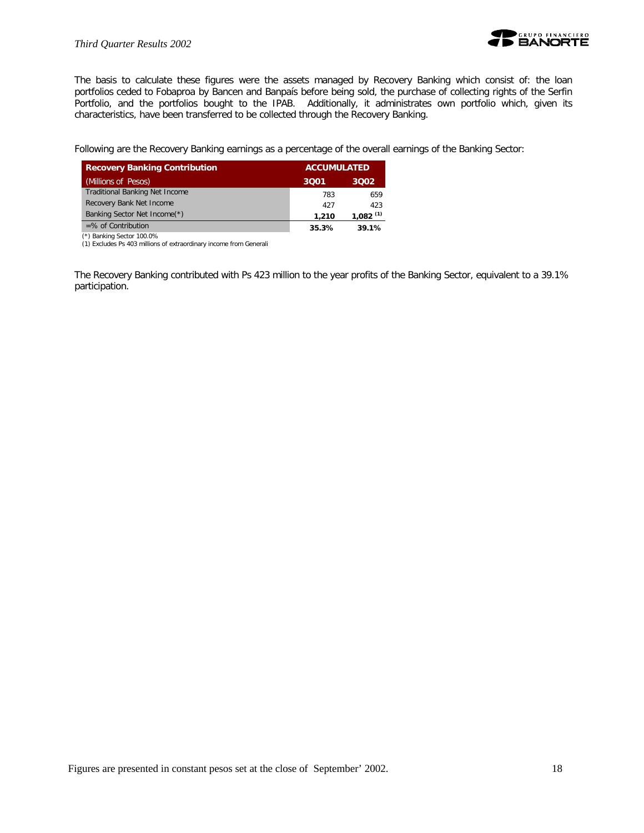

The basis to calculate these figures were the assets managed by Recovery Banking which consist of: the loan portfolios ceded to Fobaproa by Bancen and Banpaís before being sold, the purchase of collecting rights of the Serfin Portfolio, and the portfolios bought to the IPAB. Additionally, it administrates own portfolio which, given its characteristics, have been transferred to be collected through the Recovery Banking.

Following are the Recovery Banking earnings as a percentage of the overall earnings of the Banking Sector:

| <b>Recovery Banking Contribution</b>  | <b>ACCUMULATED</b> |                        |
|---------------------------------------|--------------------|------------------------|
| (Millions of Pesos)                   | 3001               | 3002                   |
| <b>Traditional Banking Net Income</b> | 783                | 659                    |
| Recovery Bank Net Income              | 427                | 423                    |
| Banking Sector Net Income(*)          | 1,210              | $1,082$ <sup>(1)</sup> |
| $=$ % of Contribution                 | 35.3%              | 39.1%                  |

 (\*) Banking Sector 100.0% (1) Excludes Ps 403 millions of extraordinary income from Generali

The Recovery Banking contributed with Ps 423 million to the year profits of the Banking Sector, equivalent to a 39.1% participation.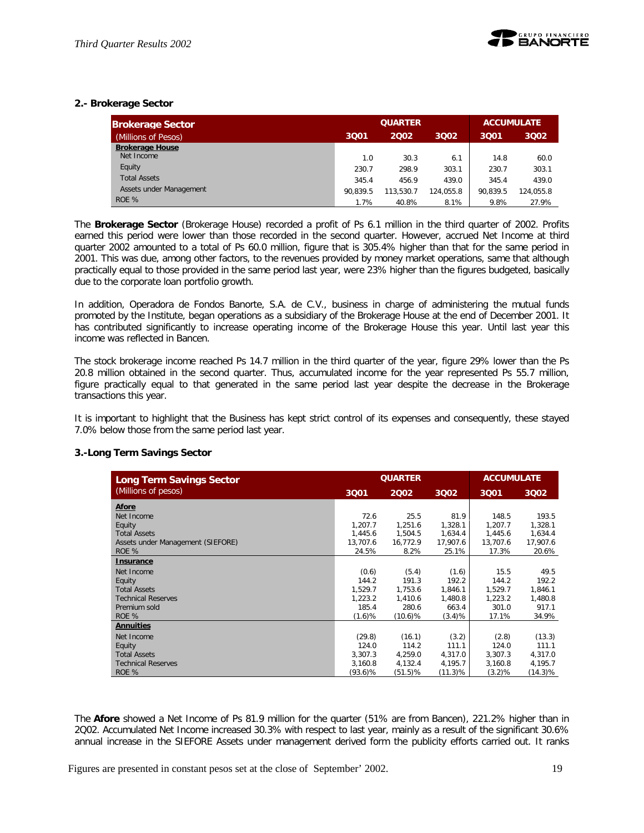## **2.- Brokerage Sector**

| <b>Brokerage Sector</b> |          | <b>QUARTER</b> | <b>ACCUMULATE</b> |          |           |
|-------------------------|----------|----------------|-------------------|----------|-----------|
| (Millions of Pesos)     | 3Q01     | 2002           | 3001              | 3002     |           |
| <b>Brokerage House</b>  |          |                |                   |          |           |
| Net Income              | 1.0      | 30.3           | 6.1               | 14.8     | 60.0      |
| Equity                  | 230.7    | 298.9          | 303.1             | 230.7    | 303.1     |
| <b>Total Assets</b>     | 345.4    | 456.9          | 439.0             | 345.4    | 439.0     |
| Assets under Management | 90.839.5 | 113.530.7      | 124.055.8         | 90.839.5 | 124.055.8 |
| ROE %                   | 1.7%     | 40.8%          | 8.1%              | 9.8%     | 27.9%     |

The *Brokerage Sector* (Brokerage House) recorded a profit of Ps 6.1 million in the third quarter of 2002. Profits earned this period were lower than those recorded in the second quarter. However, accrued Net Income at third quarter 2002 amounted to a total of Ps 60.0 million, figure that is 305.4% higher than that for the same period in 2001. This was due, among other factors, to the revenues provided by money market operations, same that although practically equal to those provided in the same period last year, were 23% higher than the figures budgeted, basically due to the corporate loan portfolio growth.

In addition, Operadora de Fondos Banorte, S.A. de C.V., business in charge of administering the mutual funds promoted by the Institute, began operations as a subsidiary of the Brokerage House at the end of December 2001. It has contributed significantly to increase operating income of the Brokerage House this year. Until last year this income was reflected in Bancen.

The stock brokerage income reached Ps 14.7 million in the third quarter of the year, figure 29% lower than the Ps 20.8 million obtained in the second quarter. Thus, accumulated income for the year represented Ps 55.7 million, figure practically equal to that generated in the same period last year despite the decrease in the Brokerage transactions this year.

It is important to highlight that the Business has kept strict control of its expenses and consequently, these stayed 7.0% below those from the same period last year.

## **3.-Long Term Savings Sector**

| <b>Long Term Savings Sector</b>   |            | <b>QUARTER</b> | <b>ACCUMULATE</b> |           |            |
|-----------------------------------|------------|----------------|-------------------|-----------|------------|
| (Millions of pesos)               | 3001       | 2002           | 3002              | 3Q01      | 3002       |
| <b>Afore</b>                      |            |                |                   |           |            |
| Net Income                        | 72.6       | 25.5           | 81.9              | 148.5     | 193.5      |
| Equity                            | 1,207.7    | 1,251.6        | 1,328.1           | 1,207.7   | 1,328.1    |
| <b>Total Assets</b>               | 1,445.6    | 1,504.5        | 1,634.4           | 1,445.6   | 1,634.4    |
| Assets under Management (SIEFORE) | 13,707.6   | 16,772.9       | 17,907.6          | 13,707.6  | 17,907.6   |
| ROE %                             | 24.5%      | 8.2%           | 25.1%             | 17.3%     | 20.6%      |
| <b>Insurance</b>                  |            |                |                   |           |            |
| Net Income                        | (0.6)      | (5.4)          | (1.6)             | 15.5      | 49.5       |
| Equity                            | 144.2      | 191.3          | 192.2             | 144.2     | 192.2      |
| <b>Total Assets</b>               | 1,529.7    | 1,753.6        | 1,846.1           | 1,529.7   | 1,846.1    |
| <b>Technical Reserves</b>         | 1,223.2    | 1,410.6        | 1,480.8           | 1,223.2   | 1,480.8    |
| Premium sold                      | 185.4      | 280.6          | 663.4             | 301.0     | 917.1      |
| ROE %                             | (1.6)%     | $(10.6)\%$     | (3.4)%            | 17.1%     | 34.9%      |
| <b>Annuities</b>                  |            |                |                   |           |            |
| Net Income                        | (29.8)     | (16.1)         | (3.2)             | (2.8)     | (13.3)     |
| Equity                            | 124.0      | 114.2          | 111.1             | 124.0     | 111.1      |
| <b>Total Assets</b>               | 3.307.3    | 4,259.0        | 4,317.0           | 3,307.3   | 4,317.0    |
| <b>Technical Reserves</b>         | 3.160.8    | 4,132.4        | 4,195.7           | 3.160.8   | 4,195.7    |
| ROE %                             | $(93.6)\%$ | (51.5)%        | (11.3)%           | $(3.2)\%$ | $(14.3)\%$ |

The *Afore* showed a Net Income of Ps 81.9 million for the quarter (51% are from Bancen), 221.2% higher than in 2Q02. Accumulated Net Income increased 30.3% with respect to last year, mainly as a result of the significant 30.6% annual increase in the SIEFORE Assets under management derived form the publicity efforts carried out. It ranks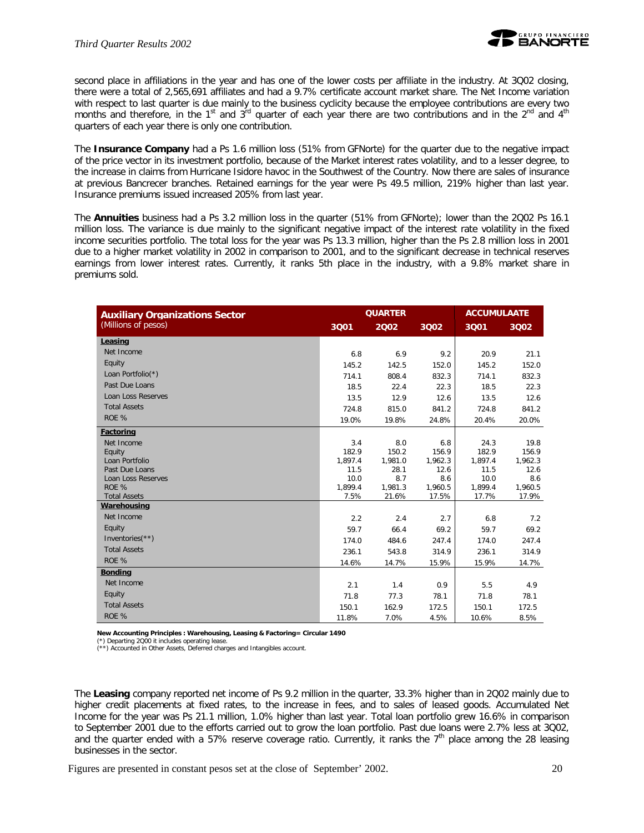

second place in affiliations in the year and has one of the lower costs per affiliate in the industry. At 3Q02 closing, there were a total of 2,565,691 affiliates and had a 9.7% certificate account market share. The Net Income variation with respect to last quarter is due mainly to the business cyclicity because the employee contributions are every two months and therefore, in the 1<sup>st</sup> and  $3^{rd}$  quarter of each year there are two contributions and in the  $2^{nd}$  and  $4^{th}$ quarters of each year there is only one contribution.

The **Insurance Company** had a Ps 1.6 million loss (51% from GFNorte) for the quarter due to the negative impact of the price vector in its investment portfolio, because of the Market interest rates volatility, and to a lesser degree, to the increase in claims from Hurricane Isidore havoc in the Southwest of the Country. Now there are sales of insurance at previous Bancrecer branches. Retained earnings for the year were Ps 49.5 million, 219% higher than last year. Insurance premiums issued increased 205% from last year.

The *Annuities* business had a Ps 3.2 million loss in the quarter (51% from GFNorte); lower than the 2Q02 Ps 16.1 million loss. The variance is due mainly to the significant negative impact of the interest rate volatility in the fixed income securities portfolio. The total loss for the year was Ps 13.3 million, higher than the Ps 2.8 million loss in 2001 due to a higher market volatility in 2002 in comparison to 2001, and to the significant decrease in technical reserves earnings from lower interest rates. Currently, it ranks 5th place in the industry, with a 9.8% market share in premiums sold.

| <b>Auxiliary Organizations Sector</b> |                 | <b>QUARTER</b>   | <b>ACCUMULAATE</b> |                  |                  |
|---------------------------------------|-----------------|------------------|--------------------|------------------|------------------|
| (Millions of pesos)                   | 3Q01            | 2002             | 3002               | 3Q01             | 3Q02             |
| Leasing                               |                 |                  |                    |                  |                  |
| Net Income                            | 6.8             | 6.9              | 9.2                | 20.9             | 21.1             |
| Equity                                | 145.2           | 142.5            | 152.0              | 145.2            | 152.0            |
| Loan Portfolio(*)                     | 714.1           | 808.4            | 832.3              | 714.1            | 832.3            |
| Past Due Loans                        | 18.5            | 22.4             | 22.3               | 18.5             | 22.3             |
| <b>Loan Loss Reserves</b>             | 13.5            | 12.9             | 12.6               | 13.5             | 12.6             |
| <b>Total Assets</b>                   | 724.8           | 815.0            | 841.2              | 724.8            | 841.2            |
| ROE %                                 | 19.0%           | 19.8%            | 24.8%              | 20.4%            | 20.0%            |
| Factoring                             |                 |                  |                    |                  |                  |
| Net Income                            | 3.4             | 8.0              | 6.8                | 24.3             | 19.8             |
| Equity                                | 182.9           | 150.2            | 156.9              | 182.9            | 156.9            |
| Loan Portfolio                        | 1,897.4         | 1,981.0          | 1,962.3            | 1,897.4          | 1,962.3          |
| Past Due Loans                        | 11.5            | 28.1             | 12.6               | 11.5             | 12.6             |
| Loan Loss Reserves                    | 10.0            | 8.7              | 8.6                | 10.0             | 8.6              |
| ROE %<br><b>Total Assets</b>          | 1,899.4<br>7.5% | 1,981.3<br>21.6% | 1,960.5<br>17.5%   | 1,899.4<br>17.7% | 1,960.5<br>17.9% |
| Warehousing                           |                 |                  |                    |                  |                  |
| Net Income                            |                 |                  |                    |                  |                  |
|                                       | 2.2             | 2.4              | 2.7                | 6.8              | 7.2              |
| Equity                                | 59.7            | 66.4             | 69.2               | 59.7             | 69.2             |
| Inventories $(**)$                    | 174.0           | 484.6            | 247.4              | 174.0            | 247.4            |
| <b>Total Assets</b>                   | 236.1           | 543.8            | 314.9              | 236.1            | 314.9            |
| ROE %                                 | 14.6%           | 14.7%            | 15.9%              | 15.9%            | 14.7%            |
| <b>Bonding</b>                        |                 |                  |                    |                  |                  |
| Net Income                            | 2.1             | 1.4              | 0.9                | 5.5              | 4.9              |
| Equity                                | 71.8            | 77.3             | 78.1               | 71.8             | 78.1             |
| <b>Total Assets</b>                   | 150.1           | 162.9            | 172.5              | 150.1            | 172.5            |
| ROE %                                 | 11.8%           | 7.0%             | 4.5%               | 10.6%            | 8.5%             |

**New Accounting Principles : Warehousing, Leasing & Factoring= Circular 1490**

(\*) Departing 2Q00 it includes operating lease.

(\*\*) Accounted in Other Assets, Deferred charges and Intangibles account.

The *Leasing* company reported net income of Ps 9.2 million in the quarter, 33.3% higher than in 2Q02 mainly due to higher credit placements at fixed rates, to the increase in fees, and to sales of leased goods. Accumulated Net Income for the year was Ps 21.1 million, 1.0% higher than last year. Total loan portfolio grew 16.6% in comparison to September 2001 due to the efforts carried out to grow the loan portfolio. Past due loans were 2.7% less at 3Q02, and the quarter ended with a 57% reserve coverage ratio. Currently, it ranks the  $7<sup>th</sup>$  place among the 28 leasing businesses in the sector.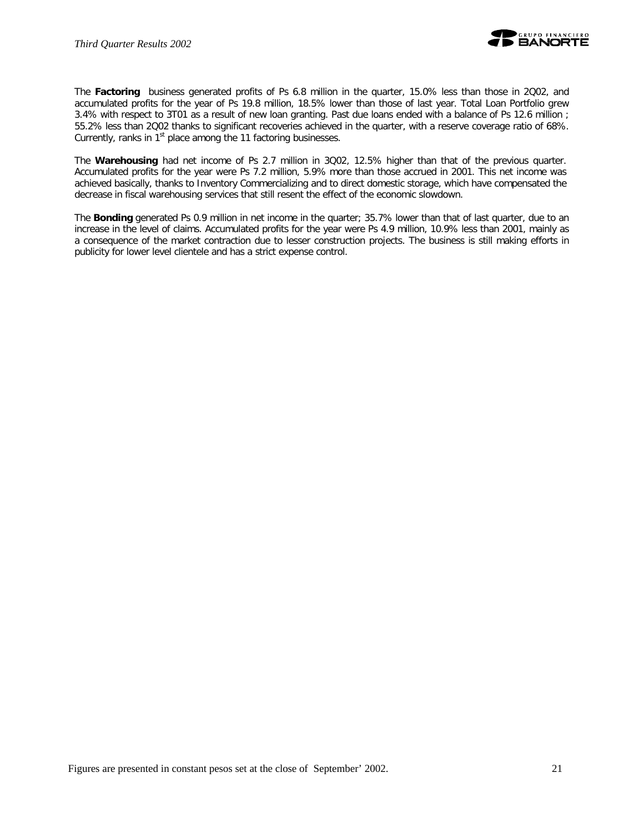

The *Factoring* business generated profits of Ps 6.8 million in the quarter, 15.0% less than those in 2Q02, and accumulated profits for the year of Ps 19.8 million, 18.5% lower than those of last year. Total Loan Portfolio grew 3.4% with respect to 3T01 as a result of new loan granting. Past due loans ended with a balance of Ps 12.6 million ; 55.2% less than 2Q02 thanks to significant recoveries achieved in the quarter, with a reserve coverage ratio of 68%. Currently, ranks in 1<sup>st</sup> place among the 11 factoring businesses.

The *Warehousing* had net income of Ps 2.7 million in 3Q02, 12.5% higher than that of the previous quarter. Accumulated profits for the year were Ps 7.2 million, 5.9% more than those accrued in 2001. This net income was achieved basically, thanks to Inventory Commercializing and to direct domestic storage, which have compensated the decrease in fiscal warehousing services that still resent the effect of the economic slowdown.

The *Bonding* generated Ps 0.9 million in net income in the quarter; 35.7% lower than that of last quarter, due to an increase in the level of claims. Accumulated profits for the year were Ps 4.9 million, 10.9% less than 2001, mainly as a consequence of the market contraction due to lesser construction projects. The business is still making efforts in publicity for lower level clientele and has a strict expense control.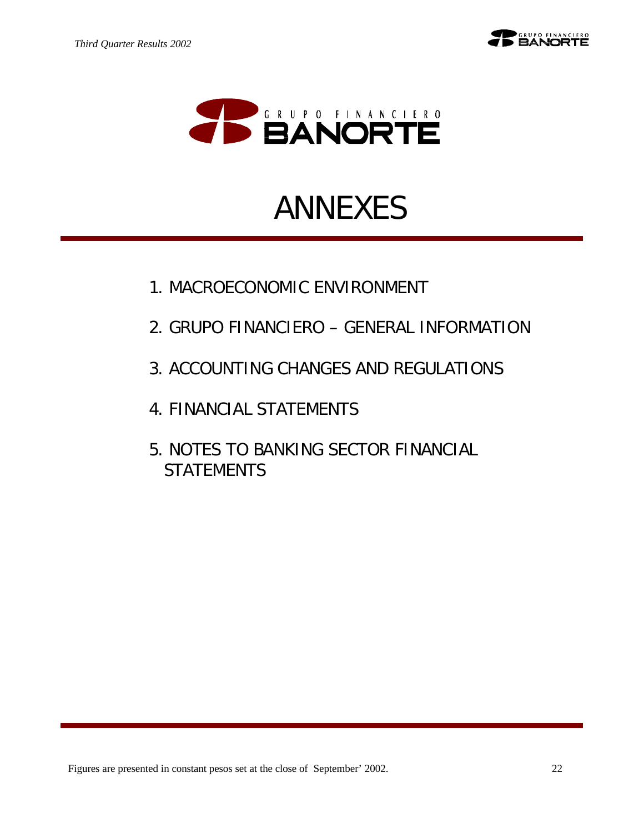



# ANNEXES

- 1. MACROECONOMIC ENVIRONMENT
- 2. GRUPO FINANCIERO GENERAL INFORMATION
- 3. ACCOUNTING CHANGES AND REGULATIONS
- 4. FINANCIAL STATEMENTS
- 5. NOTES TO BANKING SECTOR FINANCIAL **STATEMENTS**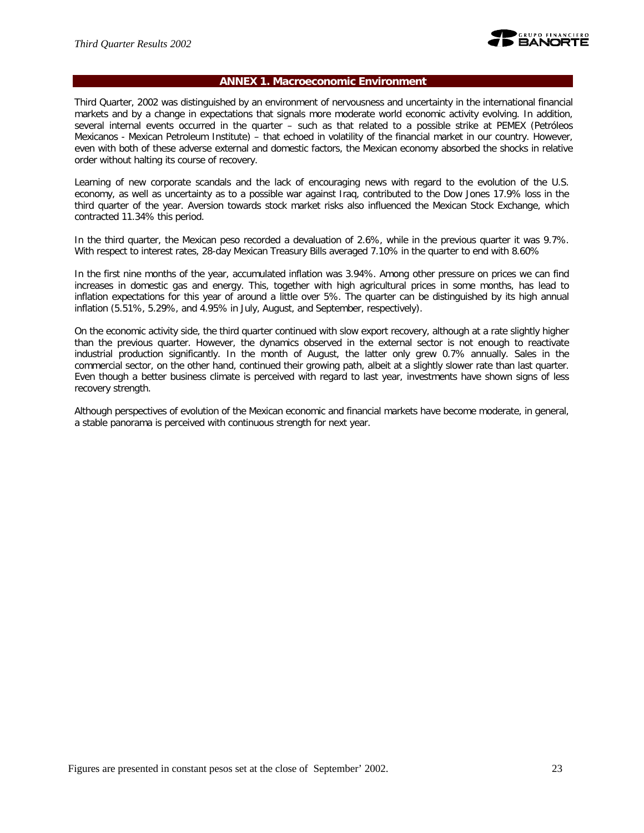

## **ANNEX 1. Macroeconomic Environment**

Third Quarter, 2002 was distinguished by an environment of nervousness and uncertainty in the international financial markets and by a change in expectations that signals more moderate world economic activity evolving. In addition, several internal events occurred in the quarter – such as that related to a possible strike at PEMEX (Petróleos Mexicanos - Mexican Petroleum Institute) – that echoed in volatility of the financial market in our country. However, even with both of these adverse external and domestic factors, the Mexican economy absorbed the shocks in relative order without halting its course of recovery.

Learning of new corporate scandals and the lack of encouraging news with regard to the evolution of the U.S. economy, as well as uncertainty as to a possible war against Iraq, contributed to the Dow Jones 17.9% loss in the third quarter of the year. Aversion towards stock market risks also influenced the Mexican Stock Exchange, which contracted 11.34% this period.

In the third quarter, the Mexican peso recorded a devaluation of 2.6%, while in the previous quarter it was 9.7%. With respect to interest rates, 28-day Mexican Treasury Bills averaged 7.10% in the quarter to end with 8.60%

In the first nine months of the year, accumulated inflation was 3.94%. Among other pressure on prices we can find increases in domestic gas and energy. This, together with high agricultural prices in some months, has lead to inflation expectations for this year of around a little over 5%. The quarter can be distinguished by its high annual inflation (5.51%, 5.29%, and 4.95% in July, August, and September, respectively).

On the economic activity side, the third quarter continued with slow export recovery, although at a rate slightly higher than the previous quarter. However, the dynamics observed in the external sector is not enough to reactivate industrial production significantly. In the month of August, the latter only grew 0.7% annually. Sales in the commercial sector, on the other hand, continued their growing path, albeit at a slightly slower rate than last quarter. Even though a better business climate is perceived with regard to last year, investments have shown signs of less recovery strength.

Although perspectives of evolution of the Mexican economic and financial markets have become moderate, in general, a stable panorama is perceived with continuous strength for next year.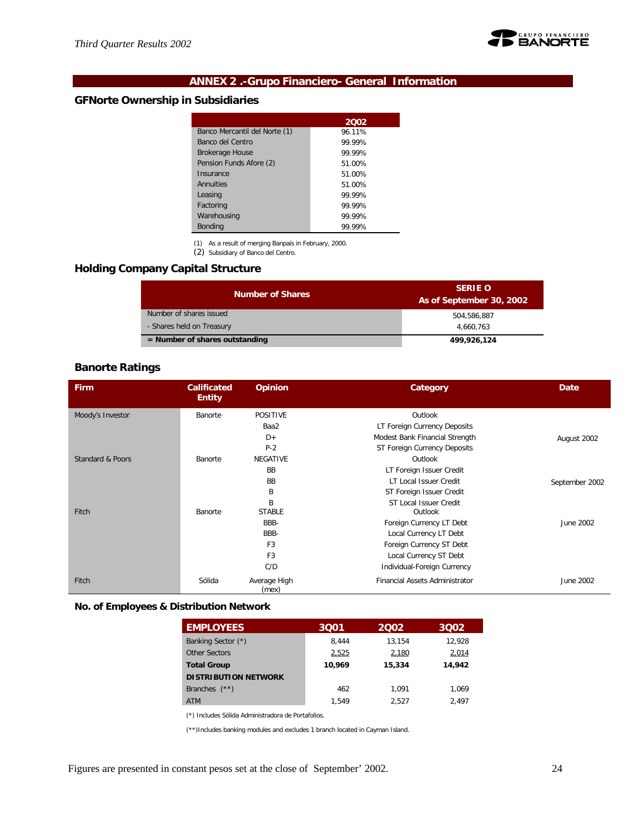

# **ANNEX 2 .-Grupo Financiero- General Information**

# **GFNorte Ownership in Subsidiaries**

|                               | 2002   |
|-------------------------------|--------|
| Banco Mercantil del Norte (1) | 96.11% |
| Banco del Centro              | 99.99% |
| <b>Brokerage House</b>        | 99.99% |
| Pension Funds Afore (2)       | 51.00% |
| Insurance                     | 51.00% |
| Annuities                     | 51.00% |
| Leasing                       | 99.99% |
| Factoring                     | 99.99% |
| Warehousing                   | 99.99% |
| <b>Bonding</b>                | 99.99% |

(1) As a result of merging Banpaís in February, 2000.

(2) Subsidiary of Banco del Centro.

# **Holding Company Capital Structure**

| <b>Number of Shares</b>          | <b>SERIE O</b><br>As of September 30, 2002 |
|----------------------------------|--------------------------------------------|
| Number of shares issued          | 504.586.887                                |
| - Shares held on Treasury        | 4.660.763                                  |
| $=$ Number of shares outstanding | 499,926,124                                |

# **Banorte Ratings**

| Firm             | <b>Opinion</b><br><b>Calificated</b><br><b>Entity</b> |                       | Category                       | Date           |
|------------------|-------------------------------------------------------|-----------------------|--------------------------------|----------------|
| Moody's Investor | Banorte                                               | <b>POSITIVE</b>       | Outlook                        |                |
|                  |                                                       | Baa2                  | LT Foreign Currency Deposits   |                |
|                  |                                                       | $D+$                  | Modest Bank Financial Strength | August 2002    |
|                  |                                                       | $P-2$                 | ST Foreign Currency Deposits   |                |
| Standard & Poors | Banorte                                               | <b>NEGATIVE</b>       | Outlook                        |                |
|                  |                                                       | <b>BB</b>             | LT Foreign Issuer Credit       |                |
|                  |                                                       | <b>BB</b>             | LT Local Issuer Credit         | September 2002 |
|                  |                                                       | B                     | ST Foreign Issuer Credit       |                |
|                  |                                                       | R                     | ST Local Issuer Credit         |                |
| Fitch            | Banorte                                               | <b>STABLE</b>         | Outlook                        |                |
|                  |                                                       | BBB-                  | Foreign Currency LT Debt       | June 2002      |
|                  |                                                       | BBB-                  | Local Currency LT Debt         |                |
|                  |                                                       | F <sub>3</sub>        | Foreign Currency ST Debt       |                |
|                  |                                                       | F <sub>3</sub>        | Local Currency ST Debt         |                |
|                  |                                                       | C/D                   | Individual-Foreign Currency    |                |
| Fitch            | Sólida                                                | Average High<br>(mex) | Financial Assets Administrator | June 2002      |

#### **No. of Employees & Distribution Network**

| <b>EMPLOYEES</b>            | 3001   | 2002   | 3002   |
|-----------------------------|--------|--------|--------|
| Banking Sector (*)          | 8.444  | 13.154 | 12.928 |
| Other Sectors               | 2,525  | 2,180  | 2,014  |
| <b>Total Group</b>          | 10.969 | 15,334 | 14,942 |
| <b>DISTRIBUTION NETWORK</b> |        |        |        |
| Branches $(**)$             | 462    | 1.091  | 1.069  |
| <b>ATM</b>                  | 1.549  | 2.527  | 2.497  |

(\*) Includes Sólida Administradora de Portafolios.

(\*\*)Includes banking modules and excludes 1 branch located in Cayman Island.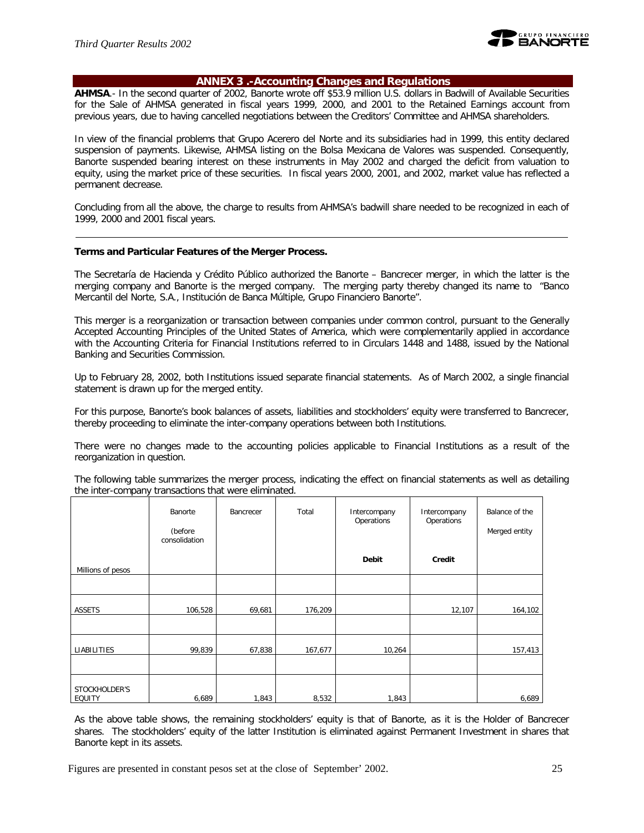

#### **ANNEX 3 .-Accounting Changes and Regulations**

**AHMSA**.- In the second quarter of 2002, Banorte wrote off \$53.9 million U.S. dollars in Badwill of Available Securities for the Sale of AHMSA generated in fiscal years 1999, 2000, and 2001 to the Retained Earnings account from previous years, due to having cancelled negotiations between the Creditors' Committee and AHMSA shareholders.

In view of the financial problems that Grupo Acerero del Norte and its subsidiaries had in 1999, this entity declared suspension of payments. Likewise, AHMSA listing on the Bolsa Mexicana de Valores was suspended. Consequently, Banorte suspended bearing interest on these instruments in May 2002 and charged the deficit from valuation to equity, using the market price of these securities. In fiscal years 2000, 2001, and 2002, market value has reflected a permanent decrease.

Concluding from all the above, the charge to results from AHMSA's badwill share needed to be recognized in each of 1999, 2000 and 2001 fiscal years.

#### **Terms and Particular Features of the Merger Process.**

The Secretaría de Hacienda y Crédito Público authorized the Banorte – Bancrecer merger, in which the latter is the merging company and Banorte is the merged company. The merging party thereby changed its name to "Banco Mercantil del Norte, S.A., Institución de Banca Múltiple, Grupo Financiero Banorte".

This merger is a reorganization or transaction between companies under common control, pursuant to the Generally Accepted Accounting Principles of the United States of America, which were complementarily applied in accordance with the Accounting Criteria for Financial Institutions referred to in Circulars 1448 and 1488, issued by the National Banking and Securities Commission.

Up to February 28, 2002, both Institutions issued separate financial statements. As of March 2002, a single financial statement is drawn up for the merged entity.

For this purpose, Banorte's book balances of assets, liabilities and stockholders' equity were transferred to Bancrecer, thereby proceeding to eliminate the inter-company operations between both Institutions.

There were no changes made to the accounting policies applicable to Financial Institutions as a result of the reorganization in question.

The following table summarizes the merger process, indicating the effect on financial statements as well as detailing the inter-company transactions that were eliminated.

|                                | Banorte<br>(before<br>consolidation | Bancrecer | Total   | Intercompany<br>Operations | Intercompany<br>Operations | Balance of the<br>Merged entity |
|--------------------------------|-------------------------------------|-----------|---------|----------------------------|----------------------------|---------------------------------|
| Millions of pesos              |                                     |           |         | Debit                      | Credit                     |                                 |
|                                |                                     |           |         |                            |                            |                                 |
| ASSETS                         | 106,528                             | 69,681    | 176,209 |                            | 12,107                     | 164,102                         |
|                                |                                     |           |         |                            |                            |                                 |
| LIABILITIES                    | 99,839                              | 67,838    | 167,677 | 10,264                     |                            | 157,413                         |
|                                |                                     |           |         |                            |                            |                                 |
| STOCKHOLDER'S<br><b>EQUITY</b> | 6,689                               | 1,843     | 8,532   | 1,843                      |                            | 6,689                           |

As the above table shows, the remaining stockholders' equity is that of Banorte, as it is the Holder of Bancrecer shares. The stockholders' equity of the latter Institution is eliminated against Permanent Investment in shares that Banorte kept in its assets.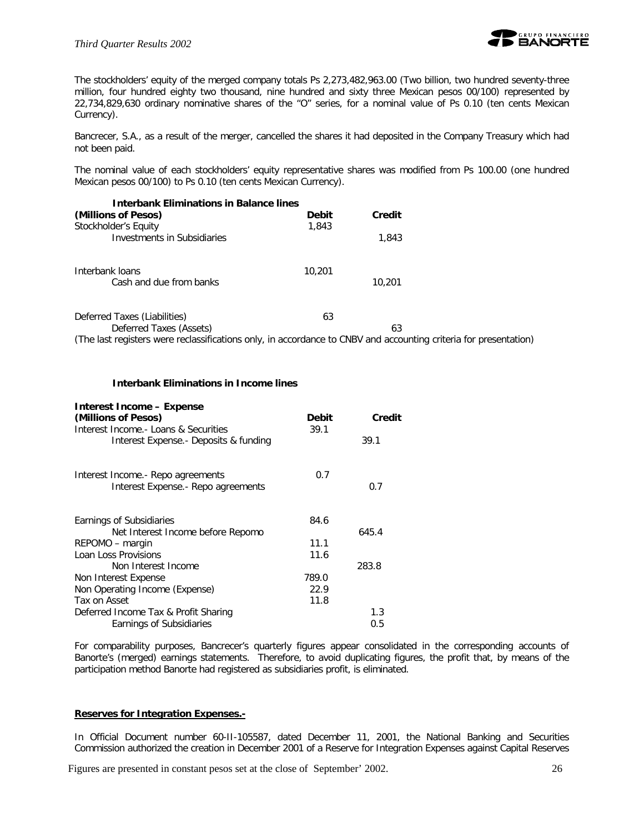

The stockholders' equity of the merged company totals Ps 2,273,482,963.00 (Two billion, two hundred seventy-three million, four hundred eighty two thousand, nine hundred and sixty three Mexican pesos 00/100) represented by 22,734,829,630 ordinary nominative shares of the "O" series, for a nominal value of Ps 0.10 (ten cents Mexican Currency).

Bancrecer, S.A., as a result of the merger, cancelled the shares it had deposited in the Company Treasury which had not been paid.

The nominal value of each stockholders' equity representative shares was modified from Ps 100.00 (one hundred Mexican pesos 00/100) to Ps 0.10 (ten cents Mexican Currency).

| <b>Interbank Eliminations in Balance lines</b>                                                                   |              |        |  |
|------------------------------------------------------------------------------------------------------------------|--------------|--------|--|
| (Millions of Pesos)                                                                                              | <b>Debit</b> | Credit |  |
| Stockholder's Equity<br>Investments in Subsidiaries                                                              | 1,843        | 1,843  |  |
| Interbank loans<br>Cash and due from banks                                                                       | 10,201       | 10,201 |  |
| Deferred Taxes (Liabilities)<br>Deferred Taxes (Assets)                                                          | 63           | 63     |  |
| (The last registers were reclassifications only, in accordance to CNBV and accounting criteria for presentation) |              |        |  |

#### **Interbank Eliminations in Income lines**

#### **Interest Income – Expense**

| (Millions of Pesos)<br>Interest Income.- Loans & Securities              | <b>Debit</b><br>39.1 | Credit |
|--------------------------------------------------------------------------|----------------------|--------|
| Interest Expense. - Deposits & funding                                   |                      | 39.1   |
| Interest Income.- Repo agreements<br>Interest Expense. - Repo agreements | 0.7                  | 0.7    |
| Earnings of Subsidiaries                                                 | 84.6                 |        |
| Net Interest Income before Repomo                                        |                      | 645.4  |
| REPOMO – margin                                                          | 11.1                 |        |
| Loan Loss Provisions                                                     | 11.6                 |        |
| Non Interest Income                                                      |                      | 283.8  |
| Non Interest Expense                                                     | 789.0                |        |
| Non Operating Income (Expense)                                           | 22.9                 |        |
| Tax on Asset                                                             | 11.8                 |        |
| Deferred Income Tax & Profit Sharing                                     |                      | 1.3    |
| Earnings of Subsidiaries                                                 |                      | 0.5    |

For comparability purposes, Bancrecer's quarterly figures appear consolidated in the corresponding accounts of Banorte's (merged) earnings statements. Therefore, to avoid duplicating figures, the profit that, by means of the participation method Banorte had registered as subsidiaries profit, is eliminated.

#### **Reserves for Integration Expenses.-**

In Official Document number 60-II-105587, dated December 11, 2001, the National Banking and Securities Commission authorized the creation in December 2001 of a Reserve for Integration Expenses against Capital Reserves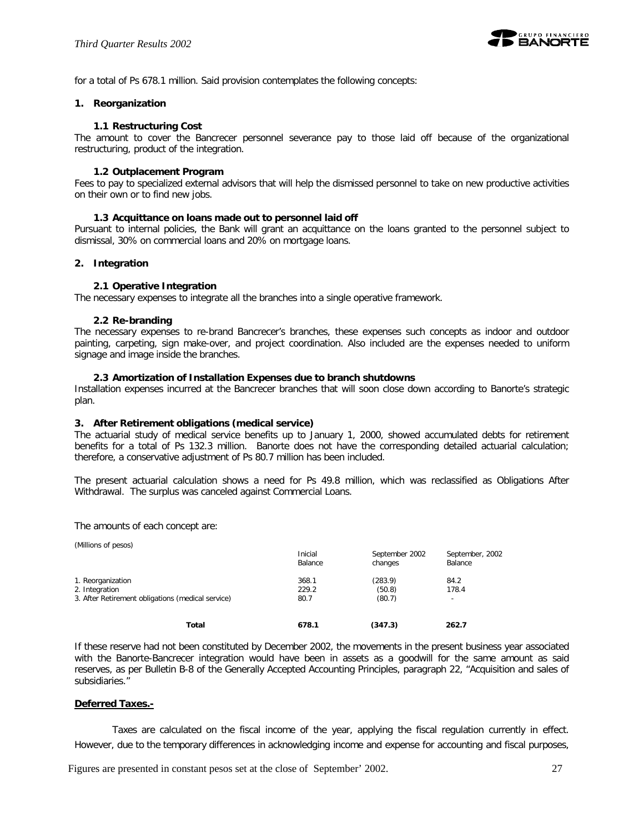

for a total of Ps 678.1 million. Said provision contemplates the following concepts:

#### **1. Reorganization**

#### **1.1 Restructuring Cost**

The amount to cover the Bancrecer personnel severance pay to those laid off because of the organizational restructuring, product of the integration.

#### **1.2 Outplacement Program**

Fees to pay to specialized external advisors that will help the dismissed personnel to take on new productive activities on their own or to find new jobs.

#### **1.3 Acquittance on loans made out to personnel laid off**

Pursuant to internal policies, the Bank will grant an acquittance on the loans granted to the personnel subject to dismissal, 30% on commercial loans and 20% on mortgage loans.

#### **2. Integration**

#### **2.1 Operative Integration**

The necessary expenses to integrate all the branches into a single operative framework.

#### **2.2 Re-branding**

The necessary expenses to re-brand Bancrecer's branches, these expenses such concepts as indoor and outdoor painting, carpeting, sign make-over, and project coordination. Also included are the expenses needed to uniform signage and image inside the branches.

#### **2.3 Amortization of Installation Expenses due to branch shutdowns**

Installation expenses incurred at the Bancrecer branches that will soon close down according to Banorte's strategic plan.

#### **3. After Retirement obligations (medical service)**

The actuarial study of medical service benefits up to January 1, 2000, showed accumulated debts for retirement benefits for a total of Ps 132.3 million. Banorte does not have the corresponding detailed actuarial calculation; therefore, a conservative adjustment of Ps 80.7 million has been included.

The present actuarial calculation shows a need for Ps 49.8 million, which was reclassified as Obligations After Withdrawal. The surplus was canceled against Commercial Loans.

The amounts of each concept are:

(Millions of pesos) Inicial September 2002 September, 2002 Balance changes Balance 1. Reorganization 368.1 (283.9) 84.2 2. Integration 229.2 (50.8) 3. After Retirement obligations (medical service) 80.7 (80.7) **Total 678.1 (347.3) 262.7**

If these reserve had not been constituted by December 2002, the movements in the present business year associated with the Banorte-Bancrecer integration would have been in assets as a goodwill for the same amount as said reserves, as per Bulletin B-8 of the Generally Accepted Accounting Principles, paragraph 22, "Acquisition and sales of subsidiaries."

#### **Deferred Taxes.-**

Taxes are calculated on the fiscal income of the year, applying the fiscal regulation currently in effect. However, due to the temporary differences in acknowledging income and expense for accounting and fiscal purposes,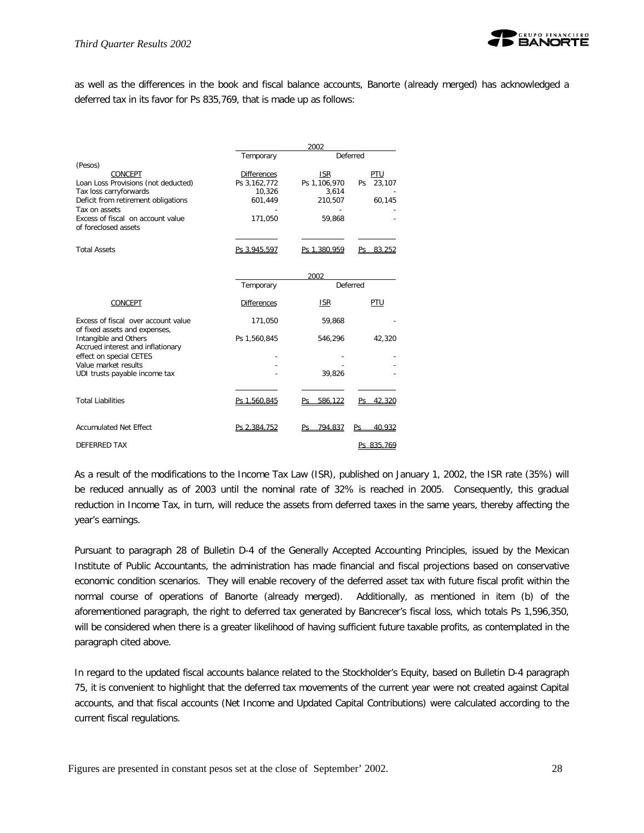

as well as the differences in the book and fiscal balance accounts, Banorte (already merged) has acknowledged a deferred tax in its favor for Ps 835,769, that is made up as follows:

|                                                                      | 2002               |              |              |  |  |  |  |  |
|----------------------------------------------------------------------|--------------------|--------------|--------------|--|--|--|--|--|
|                                                                      | Temporary          |              | Deferred     |  |  |  |  |  |
| (Pesos)                                                              |                    |              |              |  |  |  |  |  |
| CONCEPT                                                              | <b>Differences</b> | <b>ISR</b>   | PTU          |  |  |  |  |  |
| Loan Loss Provisions (not deducted)                                  | Ps 3,162,772       | Ps 1,106,970 | 23,107<br>Ps |  |  |  |  |  |
| Tax loss carryforwards                                               | 10,326             | 3.614        |              |  |  |  |  |  |
| Deficit from retirement obligations                                  | 601,449            | 210,507      | 60,145       |  |  |  |  |  |
| Tax on assets<br>Excess of fiscal on account value                   |                    |              |              |  |  |  |  |  |
| of foreclosed assets                                                 | 171,050            | 59,868       |              |  |  |  |  |  |
| <b>Total Assets</b>                                                  | Ps 3,945,597       | Ps 1,380,959 | Ps 83.252    |  |  |  |  |  |
|                                                                      |                    |              |              |  |  |  |  |  |
|                                                                      |                    | 2002         |              |  |  |  |  |  |
|                                                                      | Temporary          |              | Deferred     |  |  |  |  |  |
| CONCEPT                                                              | <b>Differences</b> | <b>ISR</b>   | PTU          |  |  |  |  |  |
| Excess of fiscal over account value<br>of fixed assets and expenses, | 171,050            | 59,868       |              |  |  |  |  |  |
| Intangible and Others<br>Accrued interest and inflationary           | Ps 1,560,845       | 546,296      | 42,320       |  |  |  |  |  |
| effect on special CETES                                              |                    |              |              |  |  |  |  |  |
| Value market results                                                 |                    |              |              |  |  |  |  |  |
| UDI trusts payable income tax                                        |                    | 39,826       |              |  |  |  |  |  |
|                                                                      |                    |              |              |  |  |  |  |  |
| <b>Total Liabilities</b>                                             | Ps 1,560,845       | 586.122      | 42.320       |  |  |  |  |  |
| <b>Accumulated Net Effect</b>                                        | Ps 2.384.752       | Ps 794.837   | 40,932<br>Ps |  |  |  |  |  |
| <b>DEFERRED TAX</b>                                                  |                    |              | Ps 835.769   |  |  |  |  |  |
|                                                                      |                    |              |              |  |  |  |  |  |

As a result of the modifications to the Income Tax Law (ISR), published on January 1, 2002, the ISR rate (35%) will be reduced annually as of 2003 until the nominal rate of 32% is reached in 2005. Consequently, this gradual reduction in Income Tax, in turn, will reduce the assets from deferred taxes in the same years, thereby affecting the year's earnings.

Pursuant to paragraph 28 of Bulletin D-4 of the Generally Accepted Accounting Principles, issued by the Mexican Institute of Public Accountants, the administration has made financial and fiscal projections based on conservative economic condition scenarios. They will enable recovery of the deferred asset tax with future fiscal profit within the normal course of operations of Banorte (already merged). Additionally, as mentioned in item (b) of the aforementioned paragraph, the right to deferred tax generated by Bancrecer's fiscal loss, which totals Ps 1,596,350, will be considered when there is a greater likelihood of having sufficient future taxable profits, as contemplated in the paragraph cited above.

In regard to the updated fiscal accounts balance related to the Stockholder's Equity, based on Bulletin D-4 paragraph 75, it is convenient to highlight that the deferred tax movements of the current year were not created against Capital accounts, and that fiscal accounts (Net Income and Updated Capital Contributions) were calculated according to the current fiscal regulations.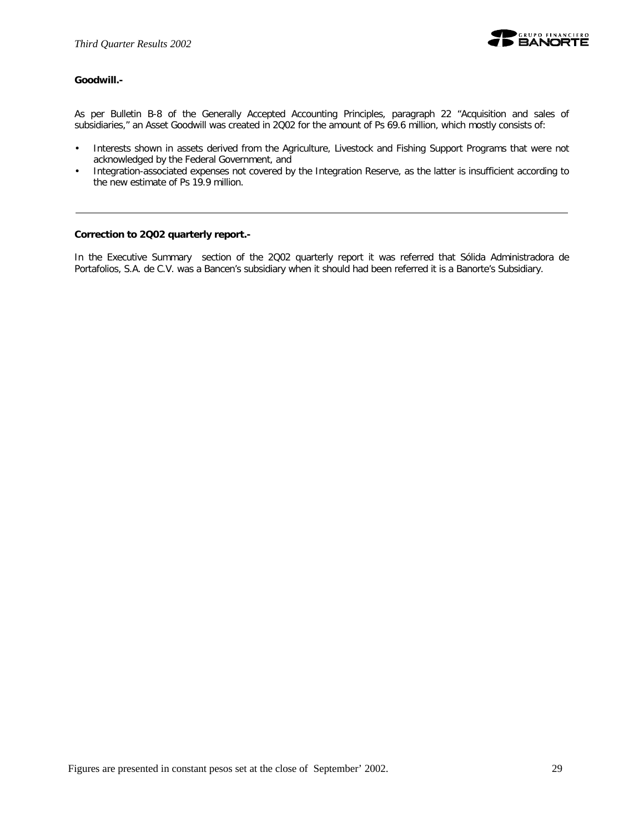

### **Goodwill.-**

As per Bulletin B-8 of the Generally Accepted Accounting Principles, paragraph 22 "Acquisition and sales of subsidiaries," an Asset Goodwill was created in 2Q02 for the amount of Ps 69.6 million, which mostly consists of:

- Interests shown in assets derived from the Agriculture, Livestock and Fishing Support Programs that were not acknowledged by the Federal Government, and
- Integration-associated expenses not covered by the Integration Reserve, as the latter is insufficient according to the new estimate of Ps 19.9 million.

#### **Correction to 2Q02 quarterly report.-**

In the Executive Summary section of the 2Q02 quarterly report it was referred that Sólida Administradora de Portafolios, S.A. de C.V. was a Bancen's subsidiary when it should had been referred it is a Banorte's Subsidiary.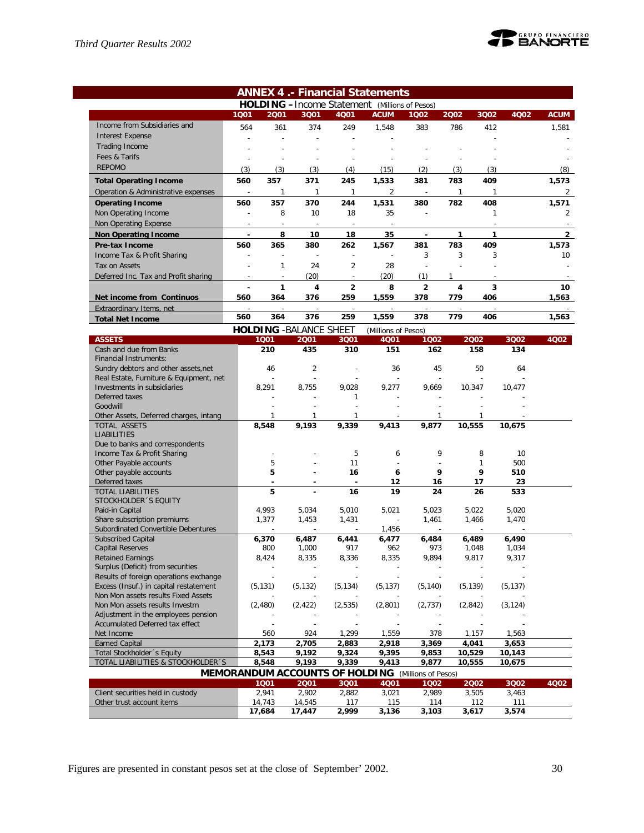$\sim$ 



|                                                                               |                          |                          |                                |                | <b>ANNEX 4.- Financial Statements</b>                     |                |                |              |              |                |
|-------------------------------------------------------------------------------|--------------------------|--------------------------|--------------------------------|----------------|-----------------------------------------------------------|----------------|----------------|--------------|--------------|----------------|
|                                                                               |                          |                          |                                |                | <b>HOLDING</b> - Income Statement (Millions of Pesos)     |                |                |              |              |                |
|                                                                               | 1001                     | 2001                     | 3Q01                           | 4Q01           | <b>ACUM</b>                                               | 1002           | 2002           | 3Q02         | 4Q02         | <b>ACUM</b>    |
| Income from Subsidiaries and                                                  | 564                      | 361                      | 374                            | 249            | 1,548                                                     | 383            | 786            | 412          |              | 1,581          |
| <b>Interest Expense</b>                                                       | $\overline{a}$           |                          | $\overline{\phantom{a}}$       |                |                                                           |                |                |              |              |                |
| <b>Trading Income</b>                                                         |                          |                          |                                |                |                                                           |                |                |              |              |                |
| Fees & Tarifs                                                                 |                          |                          | $\overline{a}$                 |                |                                                           |                |                |              |              |                |
| <b>REPOMO</b>                                                                 | (3)                      | (3)                      | (3)                            | (4)            | (15)                                                      | (2)            | (3)            | (3)          |              | (8)            |
| <b>Total Operating Income</b>                                                 | 560                      | 357                      | 371                            | 245            | 1,533                                                     | 381            | 783            | 409          |              | 1,573          |
| Operation & Administrative expenses                                           | $\sim$                   | 1                        | $\mathbf{1}$                   | $\mathbf{1}$   | $\overline{2}$                                            | $\sim$         | $\mathbf{1}$   | 1            |              | 2              |
| <b>Operating Income</b>                                                       | 560                      | 357                      | 370                            | 244            | 1,531                                                     | 380            | 782            | 408          |              | 1,571          |
| Non Operating Income                                                          | $\overline{\phantom{a}}$ | 8                        | 10                             | 18             | 35                                                        |                |                | 1            |              | 2              |
| Non Operating Expense                                                         | $\sim$                   | $\overline{\phantom{a}}$ | $\sim$                         |                |                                                           |                |                |              |              |                |
| <b>Non Operating Income</b>                                                   |                          | 8                        | 10                             | 18             | 35                                                        | ä,             | $\mathbf{1}$   | $\mathbf{1}$ |              | $\overline{2}$ |
| Pre-tax Income                                                                | 560                      | 365                      | 380                            | 262            | 1,567                                                     | 381            | 783            | 409          |              | 1,573          |
| Income Tax & Profit Sharing                                                   |                          | $\overline{a}$           |                                |                |                                                           | 3              | 3              | 3            |              | 10             |
| Tax on Assets                                                                 |                          | 1                        | 24                             | $\overline{2}$ | 28                                                        |                | $\overline{a}$ |              |              |                |
| Deferred Inc. Tax and Profit sharing                                          | $\overline{a}$           | $\overline{a}$           | (20)                           | $\overline{a}$ | (20)                                                      | (1)            | 1              |              |              |                |
|                                                                               |                          | 1                        | 4                              | $\overline{2}$ | 8                                                         | $\overline{2}$ | 4              | 3            |              | 10             |
| Net income from Continuos                                                     | 560                      | 364                      | 376                            | 259            | 1,559                                                     | 378            | 779            | 406          |              | 1,563          |
| Extraordinary Items, net                                                      |                          |                          |                                |                |                                                           |                |                |              |              |                |
| <b>Total Net Income</b>                                                       | 560                      | 364                      | 376                            | 259            | 1,559                                                     | 378            | 779            | 406          |              | 1,563          |
|                                                                               |                          |                          | <b>HOLDING - BALANCE SHEET</b> |                | (Millions of Pesos)                                       |                |                |              |              |                |
| <b>ASSETS</b>                                                                 |                          | 1001                     | 2001                           | 3Q01           | 4Q01                                                      | 1002           |                | 2002         | 3Q02         | 4Q02           |
| Cash and due from Banks                                                       |                          | 210                      | 435                            | 310            | 151                                                       | 162            |                | 158          | 134          |                |
| <b>Financial Instruments:</b>                                                 |                          |                          |                                |                |                                                           |                |                |              |              |                |
| Sundry debtors and other assets, net                                          |                          | 46                       | 2                              |                | 36                                                        | 45             |                | 50           | 64           |                |
| Real Estate, Furniture & Equipment, net                                       |                          |                          |                                |                |                                                           |                |                |              |              |                |
| Investments in subsidiaries<br>Deferred taxes                                 |                          | 8,291                    | 8,755                          | 9,028          | 9,277                                                     | 9,669          |                | 10,347       | 10,477       |                |
| Goodwill                                                                      |                          |                          |                                | 1              |                                                           |                |                |              |              |                |
| Other Assets, Deferred charges, intang                                        |                          | 1                        | 1                              | 1              |                                                           | 1              |                |              |              |                |
| TOTAL ASSETS                                                                  |                          | 8,548                    | 9,193                          | 9,339          | 9,413                                                     | 9,877          |                | 10,555       | 10,675       |                |
| <b>LIABILITIES</b>                                                            |                          |                          |                                |                |                                                           |                |                |              |              |                |
| Due to banks and correspondents                                               |                          |                          |                                |                |                                                           |                |                |              |              |                |
| Income Tax & Profit Sharing                                                   |                          |                          |                                | 5              | 6                                                         | 9              |                | 8            | 10           |                |
| Other Payable accounts                                                        |                          | 5                        |                                | 11             |                                                           |                |                | $\mathbf{1}$ | 500          |                |
| Other payable accounts                                                        |                          | 5                        |                                | 16             | 6                                                         | 9              |                | 9            | 510          |                |
| Deferred taxes<br><b>TOTAL LIABILITIES</b>                                    |                          | ٠<br>5                   |                                | $\blacksquare$ | 12<br>19                                                  | 16             |                | 17           | 23           |                |
| STOCKHOLDER 'S EQUITY                                                         |                          |                          |                                | 16             |                                                           | 24             |                | 26           | 533          |                |
| Paid-in Capital                                                               |                          | 4,993                    | 5,034                          | 5,010          | 5,021                                                     | 5,023          |                | 5,022        | 5,020        |                |
| Share subscription premiums                                                   |                          | 1,377                    | 1,453                          | 1,431          |                                                           | 1,461          |                | 1,466        | 1,470        |                |
| Subordinated Convertible Debentures                                           |                          |                          |                                |                | 1,456                                                     |                |                |              |              |                |
| <b>Subscribed Capital</b>                                                     |                          | 6,370                    | 6,487                          | 6,441          | 6,477                                                     | 6,484          |                | 6,489        | 6,490        |                |
| <b>Capital Reserves</b>                                                       |                          | 800                      | 1,000                          | 917            | 962                                                       | 973            |                | 1,048        | 1,034        |                |
| <b>Retained Earnings</b>                                                      |                          | 8,424                    | 8,335                          | 8,336          | 8,335                                                     | 9,894          |                | 9,817        | 9,317        |                |
| Surplus (Deficit) from securities                                             |                          |                          |                                |                |                                                           |                |                |              |              |                |
| Results of foreign operations exchange                                        |                          |                          |                                |                | (5, 137)                                                  | (5, 140)       |                |              |              |                |
| Excess (Insuf.) in capital restatement<br>Non Mon assets results Fixed Assets |                          | (5, 131)                 | (5, 132)                       | (5, 134)       |                                                           |                |                | (5, 139)     | (5, 137)     |                |
| Non Mon assets results Investm                                                |                          | (2, 480)                 | (2, 422)                       | (2, 535)       | (2,801)                                                   | (2, 737)       |                | (2, 842)     | (3, 124)     |                |
| Adjustment in the employees pension                                           |                          |                          |                                |                |                                                           |                |                |              |              |                |
| Accumulated Deferred tax effect                                               |                          |                          |                                |                |                                                           |                |                |              |              |                |
| Net Income                                                                    |                          | 560                      | 924                            | 1,299          | 1,559                                                     | 378            |                | 1,157        | 1,563        |                |
| <b>Earned Capital</b>                                                         |                          | 2,173                    | 2,705                          | 2,883          | 2,918                                                     | 3,369          |                | 4,041        | 3,653        |                |
| Total Stockholder 's Equity                                                   |                          | 8,543                    | 9,192                          | 9,324          | 9,395                                                     | 9,853          |                | 10,529       | 10,143       |                |
| TOTAL LIABILITIES & STOCKHOLDER'S                                             |                          | 8,548                    | 9,193                          | 9,339          | 9,413                                                     | 9,877          |                | 10,555       | 10,675       |                |
|                                                                               |                          |                          |                                |                | <b>MEMORANDUM ACCOUNTS OF HOLDING</b> (Millions of Pesos) |                |                |              |              |                |
|                                                                               |                          | 1001                     | 2001                           | 3Q01           | 4Q01                                                      | 1002           |                | 2002         | 3Q02         | 4Q02           |
| Client securities held in custody<br>Other trust account items                |                          | 2,941<br>14,743          | 2,902<br>14,545                | 2,882<br>117   | 3,021<br>115                                              | 2,989<br>114   |                | 3,505<br>112 | 3,463<br>111 |                |
|                                                                               |                          | 17,684                   | 17,447                         | 2,999          | 3,136                                                     | 3,103          |                | 3,617        | 3,574        |                |
|                                                                               |                          |                          |                                |                |                                                           |                |                |              |              |                |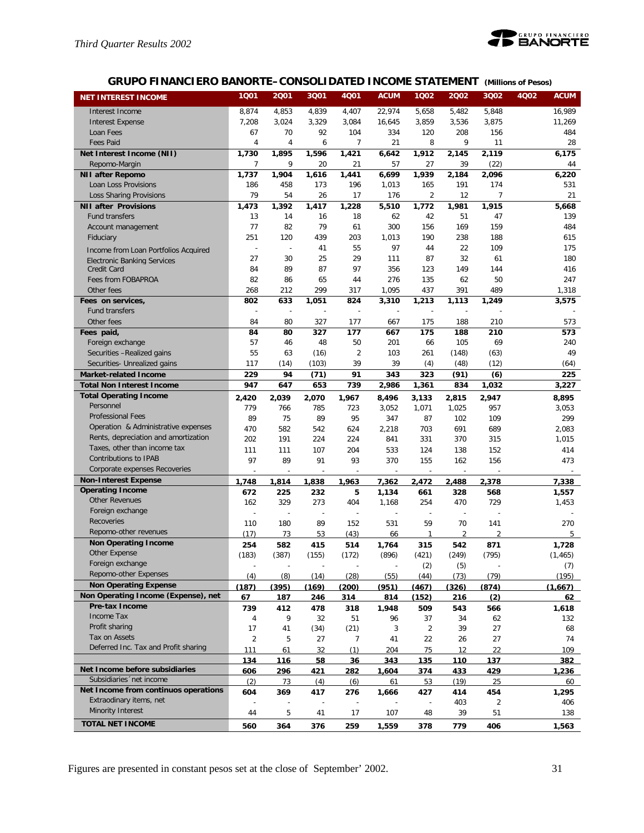

# **GRUPO FINANCIERO BANORTE–CONSOLIDATED INCOME STATEMENT** *(Millions of Pesos)*

| <b>NET INTEREST INCOME</b>                            | 1001                  | 2001           | 3Q01                     | 4001           | <b>ACUM</b>  | 1002                     | 2002           | 3Q02                     | 4Q02 | <b>ACUM</b>  |
|-------------------------------------------------------|-----------------------|----------------|--------------------------|----------------|--------------|--------------------------|----------------|--------------------------|------|--------------|
| Interest Income                                       | 8,874                 | 4,853          | 4,839                    | 4,407          | 22,974       | 5,658                    | 5,482          | 5,848                    |      | 16,989       |
| <b>Interest Expense</b>                               | 7,208                 | 3,024          | 3,329                    | 3,084          | 16,645       | 3,859                    | 3,536          | 3,875                    |      | 11,269       |
| Loan Fees                                             | 67                    | 70             | 92                       | 104            | 334          | 120                      | 208            | 156                      |      | 484          |
| <b>Fees Paid</b>                                      | $\overline{4}$        | 4              | 6                        | 7              | 21           | 8                        | 9              | 11                       |      | 28           |
| Net Interest Income (NII)                             | 1,730                 | 1,895          | 1,596                    | 1,421          | 6.642        | 1.912                    | 2,145          | 2,119                    |      | 6,175        |
| Repomo-Margin                                         | 7                     | 9              | 20                       | 21             | 57           | 27                       | 39             | (22)                     |      | 44           |
| <b>NII after Repomo</b>                               | 1,737                 | 1,904          | 1,616                    | 1,441          | 6,699        | 1,939                    | 2,184          | 2,096                    |      | 6,220        |
| Loan Loss Provisions                                  | 186                   | 458            | 173                      | 196            | 1,013        | 165                      | 191            | 174                      |      | 531          |
| Loss Sharing Provisions                               | 79                    | 54             | 26                       | 17             | 176          | $\overline{2}$           | 12             | $\overline{7}$           |      | 21           |
| <b>NII after Provisions</b>                           | 1,473                 | 1,392          | 1,417                    | 1,228          | 5,510        | 1,772                    | 1,981          | 1,915                    |      | 5,668        |
| Fund transfers                                        | 13                    | 14             | 16                       | 18             | 62           | 42                       | 51             | 47                       |      | 139          |
| Account management                                    | 77                    | 82             | 79                       | 61             | 300          | 156                      | 169            | 159                      |      | 484          |
| Fiduciary                                             | 251                   | 120            | 439                      | 203            | 1,013        | 190                      | 238            | 188                      |      | 615          |
| Income from Loan Portfolios Acquired                  | $\overline{a}$        | $\overline{a}$ | 41                       | 55             | 97           | 44                       | 22             | 109                      |      | 175          |
| <b>Electronic Banking Services</b>                    | 27                    | 30             | 25                       | 29             | 111          | 87                       | 32             | 61                       |      | 180          |
| Credit Card                                           | 84                    | 89             | 87                       | 97             | 356          | 123                      | 149            | 144                      |      | 416          |
| Fees from FOBAPROA                                    | 82                    | 86             | 65                       | 44             | 276          | 135                      | 62             | 50                       |      | 247          |
| Other fees                                            | 268                   | 212            | 299                      | 317            | 1,095        | 437                      | 391            | 489                      |      | 1,318        |
| Fees on services,                                     | 802                   | 633            | 1,051                    | 824            | 3,310        | 1,213                    | 1,113          | 1,249                    |      | 3,575        |
| Fund transfers<br>Other fees                          | Ĭ.<br>84              | ÷,<br>80       | Ĭ.<br>327                | 177            | 667          | 175                      | 188            | 210                      |      | 573          |
|                                                       | 84                    | 80             | 327                      | 177            | 667          | 175                      | 188            | 210                      |      | 573          |
| Fees paid,<br>Foreign exchange                        | 57                    | 46             | 48                       | 50             | 201          | 66                       | 105            | 69                       |      | 240          |
| Securities -Realized gains                            | 55                    | 63             | (16)                     | $\overline{2}$ | 103          | 261                      | (148)          | (63)                     |      | 49           |
| Securities- Unrealized gains                          | 117                   | (14)           | (103)                    | 39             | 39           | (4)                      | (48)           | (12)                     |      | (64)         |
| <b>Market-related Income</b>                          | 229                   | 94             | (71)                     | 91             | 343          | 323                      | (91)           | (6)                      |      | 225          |
| <b>Total Non Interest Income</b>                      | 947                   | 647            | 653                      | 739            | 2,986        | 1,361                    | 834            | 1,032                    |      | 3,227        |
| <b>Total Operating Income</b>                         | 2,420                 | 2,039          | 2,070                    | 1,967          | 8,496        | 3,133                    | 2,815          | 2,947                    |      | 8,895        |
| Personnel                                             | 779                   | 766            | 785                      | 723            | 3,052        | 1,071                    | 1,025          | 957                      |      | 3,053        |
| <b>Professional Fees</b>                              | 89                    | 75             | 89                       | 95             | 347          | 87                       | 102            | 109                      |      | 299          |
| Operation & Administrative expenses                   | 470                   | 582            | 542                      | 624            | 2,218        | 703                      | 691            | 689                      |      | 2,083        |
| Rents, depreciation and amortization                  | 202                   | 191            | 224                      | 224            | 841          | 331                      | 370            | 315                      |      | 1,015        |
| Taxes, other than income tax                          | 111                   | 111            | 107                      | 204            | 533          | 124                      | 138            | 152                      |      | 414          |
| Contributions to IPAB                                 | 97                    | 89             | 91                       | 93             | 370          | 155                      | 162            | 156                      |      | 473          |
| Corporate expenses Recoveries                         |                       |                |                          |                |              |                          |                |                          |      |              |
| <b>Non-Interest Expense</b>                           | 1.748                 | 1,814          | 1,838                    | 1,963          | 7,362        | 2.472                    | 2.488          | 2.378                    |      | 7.338        |
| <b>Operating Income</b>                               | 672                   | 225            | 232                      | 5              | 1,134        | 661                      | 328            | 568                      |      | 1,557        |
| <b>Other Revenues</b>                                 | 162                   | 329            | 273                      | 404            | 1,168        | 254                      | 470            | 729                      |      | 1,453        |
| Foreign exchange                                      | $\overline{a}$        |                | $\overline{a}$           |                |              |                          |                |                          |      |              |
| Recoveries                                            | 110                   | 180            | 89                       | 152            | 531          | 59                       | 70             | 141                      |      | 270          |
| Repomo-other revenues                                 | (17)                  | 73             | 53                       | (43)           | 66           | $\mathbf{1}$             | $\overline{2}$ | $\overline{\mathcal{L}}$ |      | 5            |
| <b>Non Operating Income</b>                           | 254                   | 582            | 415                      | 514            | 1,764        | 315                      | 542            | 871                      |      | 1,728        |
| Other Expense                                         | (183)                 | (387)          | (155)                    | (172)          | (896)        | (421)                    | (249)          | (795)                    |      | (1, 465)     |
| Foreign exchange                                      |                       |                |                          |                |              | (2)                      | (5)            |                          |      | (7)          |
| Repomo-other Expenses                                 | (4)                   | (8)            | (14)                     | (28)           | (55)         | (44)                     | (73)           | (79)                     |      | (195)        |
| <b>Non Operating Expense</b>                          | (187)                 | (395)          | (169)                    | (200)          | (951)        | (467)                    | (326)          | (874)                    |      | (1,667)      |
| Non Operating Income (Expense), net<br>Pre-tax Income | 67                    | 187            | 246                      | 314            | 814          | (152)                    | 216            | (2)                      |      | 62           |
| Income Tax                                            | 739                   | 412            | 478                      | 318            | 1,948        | 509                      | 543            | 566                      |      | 1,618        |
| Profit sharing                                        | 4                     | 9              | 32                       | 51             | 96           | 37                       | 34             | 62                       |      | 132          |
| Tax on Assets                                         | 17                    | 41             | (34)                     | (21)           | 3            | $\overline{2}$           | 39             | 27                       |      | 68           |
| Deferred Inc. Tax and Profit sharing                  | $\overline{c}$<br>111 | 5<br>61        | 27<br>32                 | 7<br>(1)       | 41<br>204    | 22<br>75                 | 26<br>12       | 27<br>22                 |      | 74<br>109    |
|                                                       |                       |                |                          |                |              |                          |                |                          |      |              |
| Net Income before subsidiaries                        | 134<br>606            | 116<br>296     | 58<br>421                | 36<br>282      | 343<br>1,604 | 135<br>374               | 110<br>433     | 137<br>429               |      | 382<br>1,236 |
| Subsidiaries 'net income                              | (2)                   | 73             | (4)                      | (6)            | 61           | 53                       | (19)           | 25                       |      | 60           |
| Net Income from continuos operations                  | 604                   | 369            | 417                      | 276            | 1,666        | 427                      | 414            | 454                      |      | 1,295        |
| Extraodinary items, net                               |                       |                | $\overline{\phantom{a}}$ | $\overline{a}$ |              | $\overline{\phantom{a}}$ | 403            | $\overline{2}$           |      | 406          |
| Minority Interest                                     | 44                    | 5              | 41                       | 17             | 107          | 48                       | 39             | 51                       |      | 138          |
| <b>TOTAL NET INCOME</b>                               | 560                   | 364            | 376                      | 259            | 1,559        | 378                      | 779            | 406                      |      | 1,563        |
|                                                       |                       |                |                          |                |              |                          |                |                          |      |              |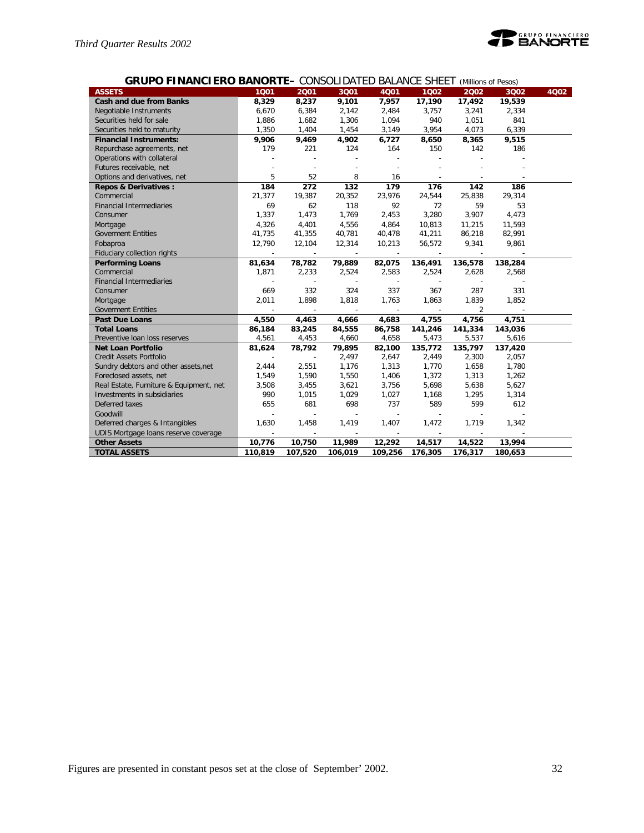

| <b>GRUPO FINANCIERO BANORTE-</b> CONSOLIDATED BALANCE SHEET (Millions of Pesos) |  |
|---------------------------------------------------------------------------------|--|
|---------------------------------------------------------------------------------|--|

| <b>ASSETS</b>                           | 1001                     | 2001                     | 3001    | 4001                     | 1002    | 2002           | 3002    | 4Q02 |
|-----------------------------------------|--------------------------|--------------------------|---------|--------------------------|---------|----------------|---------|------|
| <b>Cash and due from Banks</b>          | 8,329                    | 8,237                    | 9,101   | 7,957                    | 17,190  | 17,492         | 19,539  |      |
| Negotiable Instruments                  | 6,670                    | 6,384                    | 2,142   | 2,484                    | 3,757   | 3,241          | 2,334   |      |
| Securities held for sale                | 1,886                    | 1,682                    | 1,306   | 1,094                    | 940     | 1,051          | 841     |      |
| Securities held to maturity             | 1,350                    | 1,404                    | 1,454   | 3,149                    | 3,954   | 4,073          | 6,339   |      |
| <b>Financial Instruments:</b>           | 9,906                    | 9,469                    | 4,902   | 6,727                    | 8,650   | 8,365          | 9,515   |      |
| Repurchase agreements, net              | 179                      | 221                      | 124     | 164                      | 150     | 142            | 186     |      |
| Operations with collateral              |                          |                          |         |                          |         |                |         |      |
| Futures receivable, net                 |                          |                          |         |                          |         |                |         |      |
| Options and derivatives, net            | 5                        | 52                       | 8       | 16                       |         |                |         |      |
| <b>Repos &amp; Derivatives:</b>         | 184                      | 272                      | 132     | 179                      | 176     | 142            | 186     |      |
| Commercial                              | 21,377                   | 19,387                   | 20,352  | 23,976                   | 24,544  | 25,838         | 29,314  |      |
| <b>Financial Intermediaries</b>         | 69                       | 62                       | 118     | 92                       | 72      | 59             | 53      |      |
| Consumer                                | 1,337                    | 1,473                    | 1,769   | 2,453                    | 3,280   | 3,907          | 4,473   |      |
| Mortgage                                | 4,326                    | 4,401                    | 4,556   | 4,864                    | 10,813  | 11,215         | 11,593  |      |
| <b>Goverment Entities</b>               | 41,735                   | 41,355                   | 40,781  | 40,478                   | 41,211  | 86,218         | 82,991  |      |
| Fobaproa                                | 12,790                   | 12,104                   | 12,314  | 10,213                   | 56,572  | 9,341          | 9,861   |      |
| Fiduciary collection rights             | $\overline{a}$           | $\overline{a}$           | $\sim$  |                          | $\sim$  |                |         |      |
| <b>Performing Loans</b>                 | 81,634                   | 78,782                   | 79,889  | 82,075                   | 136,491 | 136,578        | 138,284 |      |
| Commercial                              | 1,871                    | 2,233                    | 2,524   | 2,583                    | 2,524   | 2,628          | 2,568   |      |
| <b>Financial Intermediaries</b>         |                          |                          |         |                          |         |                |         |      |
| Consumer                                | 669                      | 332                      | 324     | 337                      | 367     | 287            | 331     |      |
| Mortgage                                | 2,011                    | 1,898                    | 1,818   | 1,763                    | 1,863   | 1,839          | 1,852   |      |
| <b>Goverment Entities</b>               |                          |                          |         |                          |         | $\overline{2}$ |         |      |
| <b>Past Due Loans</b>                   | 4,550                    | 4,463                    | 4,666   | 4,683                    | 4,755   | 4,756          | 4,751   |      |
| <b>Total Loans</b>                      | 86,184                   | 83,245                   | 84,555  | 86,758                   | 141,246 | 141,334        | 143,036 |      |
| Preventive Ioan loss reserves           | 4,561                    | 4,453                    | 4,660   | 4,658                    | 5,473   | 5,537          | 5,616   |      |
| <b>Net Loan Portfolio</b>               | 81,624                   | 78,792                   | 79,895  | 82,100                   | 135,772 | 135,797        | 137,420 |      |
| Credit Assets Portfolio                 |                          | $\overline{a}$           | 2,497   | 2,647                    | 2,449   | 2,300          | 2,057   |      |
| Sundry debtors and other assets, net    | 2,444                    | 2,551                    | 1,176   | 1,313                    | 1,770   | 1,658          | 1,780   |      |
| Foreclosed assets, net                  | 1,549                    | 1,590                    | 1,550   | 1,406                    | 1,372   | 1,313          | 1,262   |      |
| Real Estate, Furniture & Equipment, net | 3,508                    | 3,455                    | 3,621   | 3,756                    | 5,698   | 5,638          | 5,627   |      |
| Investments in subsidiaries             | 990                      | 1,015                    | 1,029   | 1,027                    | 1,168   | 1,295          | 1,314   |      |
| Deferred taxes                          | 655                      | 681                      | 698     | 737                      | 589     | 599            | 612     |      |
| Goodwill                                | $\overline{\phantom{a}}$ | $\overline{\phantom{a}}$ | $\sim$  | $\overline{\phantom{a}}$ |         |                |         |      |
| Deferred charges & Intangibles          | 1,630                    | 1,458                    | 1,419   | 1,407                    | 1,472   | 1,719          | 1,342   |      |
| UDIS Mortgage loans reserve coverage    |                          | $\overline{a}$           |         |                          |         |                |         |      |
| <b>Other Assets</b>                     | 10,776                   | 10,750                   | 11,989  | 12,292                   | 14,517  | 14,522         | 13,994  |      |
| <b>TOTAL ASSETS</b>                     | 110,819                  | 107,520                  | 106,019 | 109,256                  | 176,305 | 176,317        | 180,653 |      |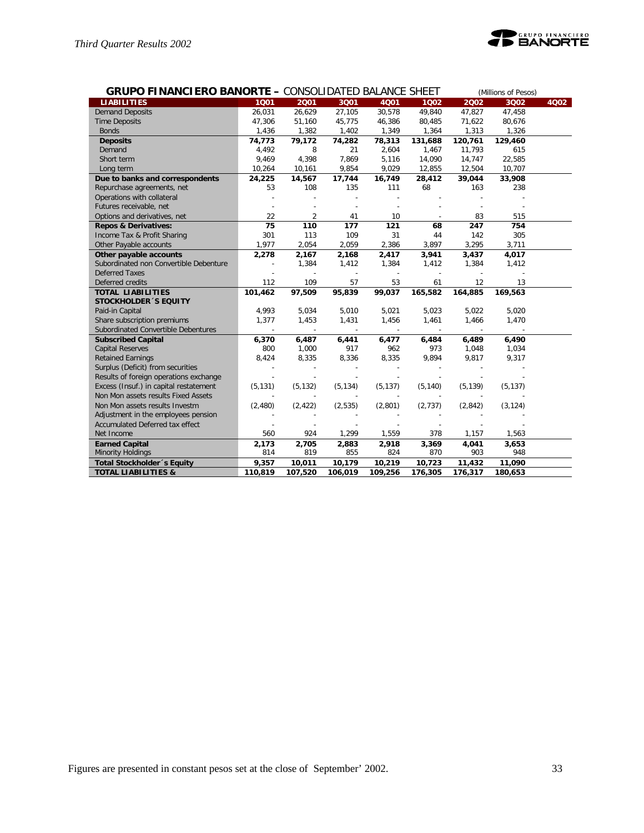

|                                        | <b>GRUPO FINANCIERO BANORTE - CONSOLIDATED BALANCE SHEET</b><br>(Millions of Pesos) |                |                |          |          |               |          |      |
|----------------------------------------|-------------------------------------------------------------------------------------|----------------|----------------|----------|----------|---------------|----------|------|
| <b>LIABILITIES</b>                     | 1001                                                                                | 2001           | 3Q01           | 4001     | 1002     | 2002          | 3002     | 4Q02 |
| <b>Demand Deposits</b>                 | 26,031                                                                              | 26,629         | 27,105         | 30,578   | 49,840   | 47,827        | 47,458   |      |
| <b>Time Deposits</b>                   | 47,306                                                                              | 51,160         | 45,775         | 46,386   | 80,485   | 71,622        | 80,676   |      |
| <b>Bonds</b>                           | 1,436                                                                               | 1,382          | 1,402          | 1,349    | 1,364    | 1,313         | 1,326    |      |
| <b>Deposits</b>                        | 74,773                                                                              | 79,172         | 74,282         | 78,313   | 131,688  | 120,761       | 129,460  |      |
| Demand                                 | 4,492                                                                               | 8              | 21             | 2,604    | 1,467    | 11,793        | 615      |      |
| Short term                             | 9,469                                                                               | 4,398          | 7,869          | 5,116    | 14,090   | 14,747        | 22,585   |      |
| Long term                              | 10,264                                                                              | 10,161         | 9,854          | 9,029    | 12,855   | 12,504        | 10,707   |      |
| Due to banks and correspondents        | 24,225                                                                              | 14,567         | 17,744         | 16,749   | 28,412   | 39,044        | 33,908   |      |
| Repurchase agreements, net             | 53                                                                                  | 108            | 135            | 111      | 68       | 163           | 238      |      |
| Operations with collateral             |                                                                                     |                |                |          |          |               |          |      |
| Futures receivable, net                |                                                                                     |                |                |          |          |               |          |      |
| Options and derivatives, net           | 22                                                                                  | $\overline{2}$ | 41             | 10       |          | 83            | 515      |      |
| <b>Repos &amp; Derivatives:</b>        | 75                                                                                  | 110            | 177            | 121      | 68       | 247           | 754      |      |
| Income Tax & Profit Sharing            | 301                                                                                 | 113            | 109            | 31       | 44       | 142           | 305      |      |
| Other Payable accounts                 | 1,977                                                                               | 2,054          | 2,059          | 2,386    | 3,897    | 3,295         | 3,711    |      |
| Other payable accounts                 | 2,278                                                                               | 2,167          | 2,168          | 2,417    | 3,941    | 3,437         | 4,017    |      |
| Subordinated non Convertible Debenture |                                                                                     | 1,384          | 1,412          | 1,384    | 1,412    | 1,384         | 1,412    |      |
| <b>Deferred Taxes</b>                  |                                                                                     |                |                |          |          |               |          |      |
| Deferred credits                       | 112                                                                                 | 109            | 57             | 53       | 61       | 12            | 13       |      |
| <b>TOTAL LIABILITIES</b>               | 101,462                                                                             | 97,509         | 95,839         | 99,037   | 165,582  | 164,885       | 169,563  |      |
| <b>STOCKHOLDER 'S EQUITY</b>           |                                                                                     |                |                |          |          |               |          |      |
| Paid-in Capital                        | 4,993                                                                               | 5,034          | 5,010          | 5,021    | 5,023    | 5,022         | 5,020    |      |
| Share subscription premiums            | 1,377                                                                               | 1,453          | 1,431          | 1,456    | 1,461    | 1,466         | 1,470    |      |
| Subordinated Convertible Debentures    | $\sim$                                                                              | $\blacksquare$ | $\mathbb{Z}^2$ | $\sim$   | $\sim$   | $\mathcal{L}$ | $\sim$   |      |
| <b>Subscribed Capital</b>              | 6,370                                                                               | 6,487          | 6,441          | 6,477    | 6,484    | 6,489         | 6,490    |      |
| <b>Capital Reserves</b>                | 800                                                                                 | 1,000          | 917            | 962      | 973      | 1,048         | 1,034    |      |
| <b>Retained Earnings</b>               | 8,424                                                                               | 8,335          | 8,336          | 8,335    | 9,894    | 9,817         | 9,317    |      |
| Surplus (Deficit) from securities      |                                                                                     |                |                |          |          |               |          |      |
| Results of foreign operations exchange |                                                                                     |                |                |          |          |               |          |      |
| Excess (Insuf.) in capital restatement | (5, 131)                                                                            | (5, 132)       | (5, 134)       | (5, 137) | (5, 140) | (5, 139)      | (5, 137) |      |
| Non Mon assets results Fixed Assets    |                                                                                     |                |                |          |          |               |          |      |
| Non Mon assets results Investm         | (2,480)                                                                             | (2, 422)       | (2, 535)       | (2,801)  | (2,737)  | (2,842)       | (3, 124) |      |
| Adjustment in the employees pension    |                                                                                     |                |                |          |          |               |          |      |
| Accumulated Deferred tax effect        |                                                                                     |                |                |          |          |               |          |      |
| Net Income                             | 560                                                                                 | 924            | 1,299          | 1,559    | 378      | 1,157         | 1,563    |      |
| <b>Earned Capital</b>                  | 2,173                                                                               | 2,705          | 2,883          | 2,918    | 3,369    | 4,041         | 3,653    |      |
| <b>Minority Holdings</b>               | 814                                                                                 | 819            | 855            | 824      | 870      | 903           | 948      |      |
| Total Stockholder 's Equity            | 9,357                                                                               | 10,011         | 10,179         | 10,219   | 10,723   | 11,432        | 11,090   |      |
| <b>TOTAL LIABILITIES &amp;</b>         | 110,819                                                                             | 107,520        | 106,019        | 109,256  | 176,305  | 176,317       | 180,653  |      |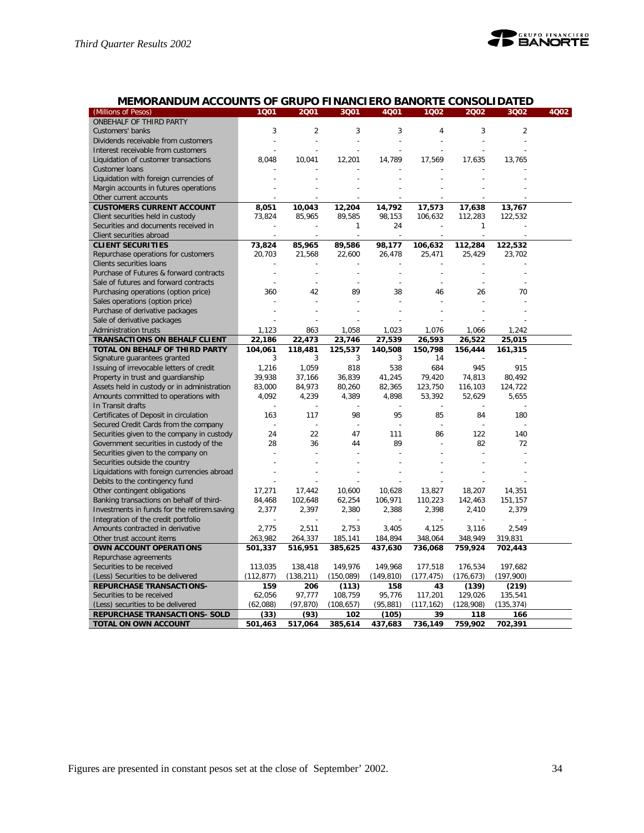

# **MEMORANDUM ACCOUNTS OF GRUPO FINANCIERO BANORTE CONSOLIDATED**

| (Millions of Pesos)                         | 1Q01       | 2001           | 3Q01       | 4Q01       | 1Q02       | 2002       | 3Q02           | 4Q02 |
|---------------------------------------------|------------|----------------|------------|------------|------------|------------|----------------|------|
| ONBEHALF OF THIRD PARTY                     |            |                |            |            |            |            |                |      |
| Customers' banks                            | 3          | $\overline{2}$ | 3          | 3          | 4          | 3          | $\overline{2}$ |      |
| Dividends receivable from customers         |            | $\overline{a}$ | ÷,         | ÷          |            |            | $\overline{a}$ |      |
| Interest receivable from customers          |            |                |            |            |            |            |                |      |
| Liquidation of customer transactions        | 8.048      | 10.041         | 12,201     | 14,789     | 17,569     | 17,635     | 13,765         |      |
| Customer Ioans                              |            |                |            |            |            |            |                |      |
| Liquidation with foreign currencies of      |            |                |            |            |            |            |                |      |
| Margin accounts in futures operations       |            |                |            |            |            |            |                |      |
| Other current accounts                      |            |                |            |            |            |            |                |      |
| <b>CUSTOMERS CURRENT ACCOUNT</b>            | 8,051      | 10,043         | 12,204     | 14,792     | 17,573     | 17,638     | 13,767         |      |
| Client securities held in custody           | 73,824     | 85,965         | 89,585     | 98,153     | 106,632    | 112,283    | 122,532        |      |
| Securities and documents received in        |            |                | 1          | 24         |            | 1          |                |      |
| Client securities abroad                    |            |                |            |            |            |            |                |      |
| <b>CLIENT SECURITIES</b>                    | 73,824     | 85,965         | 89,586     | 98,177     | 106,632    | 112,284    | 122,532        |      |
| Repurchase operations for customers         | 20,703     | 21,568         | 22,600     | 26,478     | 25,471     | 25,429     | 23,702         |      |
| Clients securities loans                    |            |                |            |            |            |            |                |      |
| Purchase of Futures & forward contracts     |            |                |            |            |            |            |                |      |
| Sale of futures and forward contracts       |            |                |            |            |            |            |                |      |
| Purchasing operations (option price)        | 360        | 42             | 89         | 38         | 46         | 26         | 70             |      |
| Sales operations (option price)             |            |                |            |            |            |            |                |      |
| Purchase of derivative packages             |            |                |            |            |            |            |                |      |
| Sale of derivative packages                 |            |                |            |            |            |            |                |      |
| Administration trusts                       | 1,123      | 863            | 1,058      | 1,023      | 1,076      | 1,066      | 1,242          |      |
| <b>TRANSACTIONS ON BEHALF CLIENT</b>        | 22,186     | 22,473         | 23,746     | 27,539     | 26,593     | 26,522     | 25,015         |      |
| TOTAL ON BEHALF OF THIRD PARTY              | 104,061    | 118,481        | 125,537    | 140,508    | 150,798    | 156,444    | 161,315        |      |
| Signature guarantees granted                | 3          | 3              | 3          | 3          | 14         |            |                |      |
| Issuing of irrevocable letters of credit    | 1,216      | 1,059          | 818        | 538        | 684        | 945        | 915            |      |
| Property in trust and guardianship          | 39,938     | 37,166         | 36,839     | 41,245     | 79,420     | 74,813     | 80,492         |      |
| Assets held in custody or in administration | 83,000     | 84,973         | 80,260     | 82,365     | 123,750    | 116.103    | 124,722        |      |
| Amounts committed to operations with        | 4,092      | 4,239          | 4,389      | 4,898      | 53,392     | 52,629     | 5,655          |      |
| In Transit drafts                           |            |                |            |            |            |            |                |      |
| Certificates of Deposit in circulation      | 163        | 117            | 98         | 95         | 85         | 84         | 180            |      |
| Secured Credit Cards from the company       |            | ÷,             | ÷,         |            |            |            |                |      |
| Securities given to the company in custody  | 24         | 22             | 47         | 111        | 86         | 122        | 140            |      |
| Government securities in custody of the     | 28         | 36             | 44         | 89         |            | 82         | 72             |      |
| Securities given to the company on          |            |                |            |            |            |            |                |      |
| Securities outside the country              |            |                |            |            |            |            |                |      |
| Liquidations with foreign currencies abroad |            |                |            |            |            |            |                |      |
| Debits to the contingency fund              |            |                |            |            |            |            |                |      |
| Other contingent obligations                | 17,271     | 17,442         | 10,600     | 10,628     | 13,827     | 18,207     | 14,351         |      |
| Banking transactions on behalf of third-    | 84,468     | 102,648        | 62,254     | 106,971    | 110,223    | 142,463    | 151,157        |      |
| Investments in funds for the retirem.saving | 2,377      | 2,397          | 2,380      | 2,388      | 2,398      | 2,410      | 2,379          |      |
| Integration of the credit portfolio         |            |                |            |            |            |            |                |      |
| Amounts contracted in derivative            | 2,775      | 2,511          | 2,753      | 3,405      | 4,125      | 3,116      | 2,549          |      |
| Other trust account items                   | 263,982    | 264,337        | 185,141    | 184,894    | 348,064    | 348,949    | 319,831        |      |
| <b>OWN ACCOUNT OPERATIONS</b>               | 501,337    | 516,951        | 385,625    | 437,630    | 736,068    | 759,924    | 702,443        |      |
| Repurchase agreements                       |            |                |            |            |            |            |                |      |
| Securities to be received                   | 113,035    | 138,418        | 149,976    | 149,968    | 177,518    | 176,534    | 197,682        |      |
| (Less) Securities to be delivered           | (112, 877) | (138, 211)     | (150,089)  | (149, 810) | (177, 475) | (176, 673) | (197,900)      |      |
| <b>REPURCHASE TRANSACTIONS-</b>             | 159        | 206            | (113)      | 158        | 43         | (139)      | (219)          |      |
| Securities to be received                   | 62,056     | 97,777         | 108,759    | 95,776     | 117,201    | 129,026    | 135,541        |      |
| (Less) securities to be delivered           | (62,088)   | (97, 870)      | (108, 657) | (95, 881)  | (117, 162) | (128,908)  | (135, 374)     |      |
| REPURCHASE TRANSACTIONS- SOLD               | (33)       | (93)           | 102        | (105)      | 39         | 118        | 166            |      |
| TOTAL ON OWN ACCOUNT                        | 501,463    | 517,064        | 385,614    | 437,683    | 736,149    | 759,902    | 702,391        |      |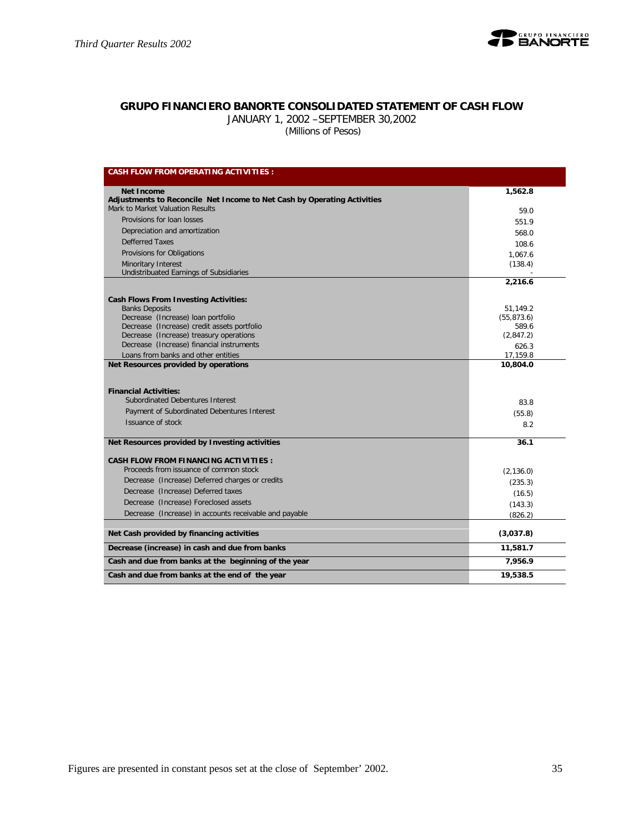

# **GRUPO FINANCIERO BANORTE CONSOLIDATED STATEMENT OF CASH FLOW**

JANUARY 1, 2002 –SEPTEMBER 30,2002

 *(Millions of Pesos)*

| <b>CASH FLOW FROM OPERATING ACTIVITIES:</b>                                                                     |                      |
|-----------------------------------------------------------------------------------------------------------------|----------------------|
| <b>Net Income</b>                                                                                               | 1,562.8              |
| Adjustments to Reconcile Net Income to Net Cash by Operating Activities                                         |                      |
| Mark to Market Valuation Results                                                                                | 59.0                 |
| Provisions for loan losses                                                                                      | 551.9                |
| Depreciation and amortization                                                                                   | 568.0                |
| Defferred Taxes                                                                                                 | 108.6                |
| Provisions for Obligations                                                                                      | 1,067.6              |
| <b>Minoritary Interest</b>                                                                                      | (138.4)              |
| Undistribuated Earnings of Subsidiaries                                                                         |                      |
|                                                                                                                 | 2,216.6              |
| <b>Cash Flows From Investing Activities:</b>                                                                    |                      |
| <b>Banks Deposits</b>                                                                                           | 51,149.2             |
| Decrease (Increase) loan portfolio                                                                              | (55, 873.6)          |
| Decrease (Increase) credit assets portfolio                                                                     | 589.6                |
| Decrease (Increase) treasury operations                                                                         | (2,847.2)            |
| Decrease (Increase) financial instruments                                                                       | 626.3                |
| Loans from banks and other entities<br>Net Resources provided by operations                                     | 17,159.8<br>10,804.0 |
| <b>Financial Activities:</b><br>Subordinated Debentures Interest<br>Payment of Subordinated Debentures Interest | 83.8<br>(55.8)       |
| Issuance of stock                                                                                               | 8.2                  |
| Net Resources provided by Investing activities                                                                  | 36.1                 |
| <b>CASH FLOW FROM FINANCING ACTIVITIES:</b>                                                                     |                      |
| Proceeds from issuance of common stock                                                                          | (2, 136.0)           |
| Decrease (Increase) Deferred charges or credits                                                                 | (235.3)              |
| Decrease (Increase) Deferred taxes                                                                              | (16.5)               |
| Decrease (Increase) Foreclosed assets                                                                           | (143.3)              |
| Decrease (Increase) in accounts receivable and payable                                                          | (826.2)              |
|                                                                                                                 |                      |
| Net Cash provided by financing activities                                                                       | (3,037.8)            |
| Decrease (increase) in cash and due from banks                                                                  | 11,581.7             |
| Cash and due from banks at the beginning of the year                                                            | 7,956.9              |
| Cash and due from banks at the end of the year                                                                  | 19,538.5             |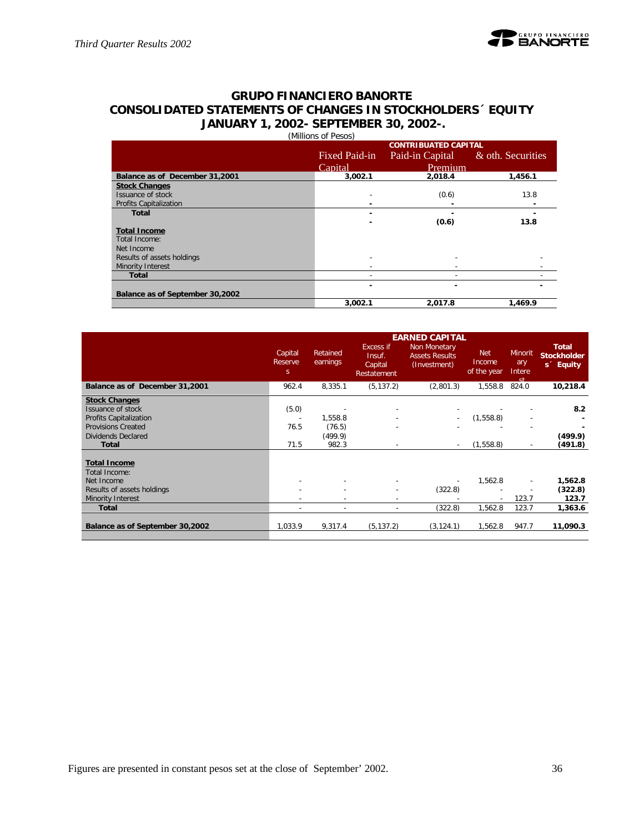# **GRUPO FINANCIERO BANORTE CONSOLIDATED STATEMENTS OF CHANGES IN STOCKHOLDERS´ EQUITY JANUARY 1, 2002- SEPTEMBER 30, 2002-.** (Millions of Pesos)

|                                 | ונטטט דוט טווטווויוון<br><b>CONTRIBUATED CAPITAL</b> |                 |                   |  |  |  |  |  |  |
|---------------------------------|------------------------------------------------------|-----------------|-------------------|--|--|--|--|--|--|
|                                 | Fixed Paid-in                                        | Paid-in Capital | & oth. Securities |  |  |  |  |  |  |
|                                 | Capital                                              | Premium         |                   |  |  |  |  |  |  |
| Balance as of December 31,2001  | 3,002.1                                              | 2,018.4         | 1,456.1           |  |  |  |  |  |  |
| <b>Stock Changes</b>            |                                                      |                 |                   |  |  |  |  |  |  |
| Issuance of stock               |                                                      | (0.6)           | 13.8              |  |  |  |  |  |  |
| <b>Profits Capitalization</b>   | -                                                    |                 |                   |  |  |  |  |  |  |
| Total                           |                                                      |                 |                   |  |  |  |  |  |  |
|                                 |                                                      | (0.6)           | 13.8              |  |  |  |  |  |  |
| <b>Total Income</b>             |                                                      |                 |                   |  |  |  |  |  |  |
| Total Income:                   |                                                      |                 |                   |  |  |  |  |  |  |
| Net Income                      |                                                      |                 |                   |  |  |  |  |  |  |
| Results of assets holdings      |                                                      |                 |                   |  |  |  |  |  |  |
| Minority Interest               |                                                      |                 |                   |  |  |  |  |  |  |
| <b>Total</b>                    |                                                      |                 |                   |  |  |  |  |  |  |
|                                 | -                                                    |                 |                   |  |  |  |  |  |  |
| Balance as of September 30,2002 |                                                      |                 |                   |  |  |  |  |  |  |
|                                 | 3,002.1                                              | 2,017.8         | 1.469.9           |  |  |  |  |  |  |

|                                                                                                                                                      | Capital<br>Reserve<br>S.                          | Retained<br>earnings                  | <b>Excess if</b><br>Insuf.<br>Capital<br>Restatement | <b>EARNED CAPITAL</b><br>Non Monetary<br><b>Assets Results</b><br>(Investment) | <b>Net</b><br>Income<br>of the year | <b>Minorit</b><br>ary<br>Intere<br>ct.               | <b>Total</b><br><b>Stockholder</b><br>s <sup>2</sup> Equity |
|------------------------------------------------------------------------------------------------------------------------------------------------------|---------------------------------------------------|---------------------------------------|------------------------------------------------------|--------------------------------------------------------------------------------|-------------------------------------|------------------------------------------------------|-------------------------------------------------------------|
| Balance as of December 31,2001                                                                                                                       | 962.4                                             | 8,335.1                               | (5, 137.2)                                           | (2,801.3)                                                                      | 1,558.8                             | 824.0                                                | 10,218.4                                                    |
| <b>Stock Changes</b><br>Issuance of stock<br><b>Profits Capitalization</b><br><b>Provisions Created</b><br><b>Dividends Declared</b><br><b>Total</b> | (5.0)<br>$\overline{\phantom{a}}$<br>76.5<br>71.5 | 1,558.8<br>(76.5)<br>(499.9)<br>982.3 |                                                      | $\overline{\phantom{a}}$                                                       | (1,558.8)<br>(1, 558.8)             | $\overline{\phantom{a}}$<br>$\overline{\phantom{a}}$ | 8.2<br>(499.9)<br>(491.8)                                   |
| <b>Total Income</b><br>Total Income:<br>Net Income<br>Results of assets holdings<br>Minority Interest                                                | $\overline{\phantom{a}}$                          |                                       | $\overline{\phantom{a}}$                             | (322.8)                                                                        | 1,562.8                             | $\sim$<br>$\overline{\phantom{a}}$<br>123.7          | 1,562.8<br>(322.8)<br>123.7                                 |
| <b>Total</b>                                                                                                                                         | $\overline{\phantom{a}}$                          | $\overline{\phantom{a}}$              | $\overline{\phantom{a}}$                             | (322.8)                                                                        | 1,562.8                             | 123.7                                                | 1,363.6                                                     |
| Balance as of September 30,2002                                                                                                                      | 1.033.9                                           | 9,317.4                               | (5, 137.2)                                           | (3, 124.1)                                                                     | 1.562.8                             | 947.7                                                | 11,090.3                                                    |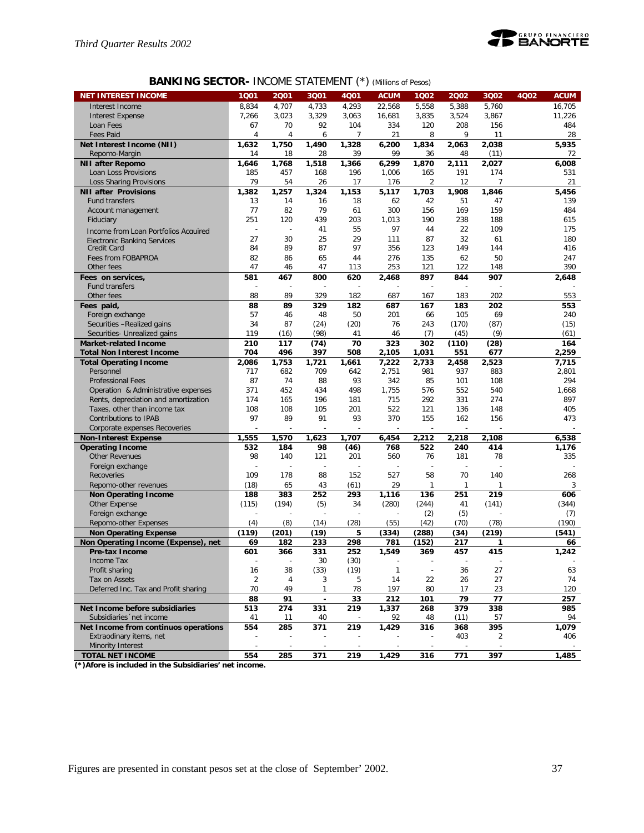![](_page_36_Picture_1.jpeg)

# **BANKING SECTOR-** INCOME STATEMENT (\*) *(Millions of Pesos)*

| <b>NET INTEREST INCOME</b>           | 1Q01           | 2001                     | 3Q01           | <b>4Q01</b> | <b>ACUM</b>  | 1Q02                     | 2002  | 3Q02  | <b>4Q02</b> | <b>ACUM</b> |
|--------------------------------------|----------------|--------------------------|----------------|-------------|--------------|--------------------------|-------|-------|-------------|-------------|
| Interest Income                      | 8,834          | 4,707                    | 4,733          | 4,293       | 22,568       | 5,558                    | 5,388 | 5,760 |             | 16,705      |
| <b>Interest Expense</b>              | 7,266          | 3,023                    | 3,329          | 3,063       | 16,681       | 3,835                    | 3,524 | 3,867 |             | 11,226      |
| Loan Fees                            | 67             | 70                       | 92             | 104         | 334          | 120                      | 208   | 156   |             | 484         |
| <b>Fees Paid</b>                     | $\overline{4}$ | 4                        | 6              | 7           | 21           | 8                        | 9     | 11    |             | 28          |
| Net Interest Income (NII)            | 1,632          | 1,750                    | 1,490          | 1,328       | 6,200        | 1,834                    | 2,063 | 2,038 |             | 5,935       |
| Repomo-Margin                        | 14             | 18                       | 28             | 39          | 99           | 36                       | 48    | (11)  |             | 72          |
| <b>NII after Repomo</b>              | 1,646          | 1,768                    | 1,518          | 1,366       | 6,299        | 1,870                    | 2,111 | 2,027 |             | 6.008       |
| Loan Loss Provisions                 | 185            | 457                      | 168            | 196         | 1,006        | 165                      | 191   | 174   |             | 531         |
| <b>Loss Sharing Provisions</b>       | 79             | 54                       | 26             | 17          | 176          | 2                        | 12    | 7     |             | 21          |
| <b>NII after Provisions</b>          | 1,382          | 1,257                    | 1,324          | 1,153       | 5,117        | 1,703                    | 1,908 | 1,846 |             | 5,456       |
| <b>Fund transfers</b>                | 13             | 14                       | 16             | 18          | 62           | 42                       | 51    | 47    |             | 139         |
| Account management                   | 77             | 82                       | 79             | 61          | 300          | 156                      | 169   | 159   |             | 484         |
| Fiduciary                            | 251            | 120                      | 439            | 203         | 1,013        | 190                      | 238   | 188   |             | 615         |
| Income from Loan Portfolios Acquired | Ē,             | $\overline{\phantom{a}}$ | 41             | 55          | 97           | 44                       | 22    | 109   |             | 175         |
| <b>Flectronic Banking Services</b>   | 27             | 30                       | 25             | 29          | 111          | 87                       | 32    | 61    |             | 180         |
| Credit Card                          | 84             | 89                       | 87             | 97          | 356          | 123                      | 149   | 144   |             | 416         |
| Fees from FOBAPROA                   | 82             | 86                       | 65             | 44          | 276          | 135                      | 62    | 50    |             | 247         |
| Other fees                           | 47             | 46                       | 47             | 113         | 253          | 121                      | 122   | 148   |             | 390         |
| Fees on services,                    | 581            | 467                      | 800            | 620         | 2,468        | 897                      | 844   | 907   |             | 2,648       |
| <b>Fund transfers</b>                |                |                          |                |             |              |                          |       |       |             |             |
| Other fees                           | 88             | 89                       | 329            | 182         | 687          | 167                      | 183   | 202   |             | 553         |
| Fees paid,                           | 88             | 89                       | 329            | 182         | 687          | 167                      | 183   | 202   |             | 553         |
| Foreign exchange                     | 57             | 46                       | 48             | 50          | 201          | 66                       | 105   | 69    |             | 240         |
| Securities -Realized gains           | 34             | 87                       | (24)           | (20)        | 76           | 243                      | (170) | (87)  |             | (15)        |
| Securities- Unrealized gains         | 119            | (16)                     | (98)           | 41          | 46           | (7)                      | (45)  | (9)   |             | (61)        |
| <b>Market-related Income</b>         | 210            | 117                      | (74)           | 70          | 323          | 302                      | (110) | (28)  |             | 164         |
| <b>Total Non Interest Income</b>     | 704            | 496                      | 397            | 508         | 2,105        | 1,031                    | 551   | 677   |             | 2,259       |
| <b>Total Operating Income</b>        | 2,086          | 1,753                    | 1,721          | 1,661       | 7,222        | 2.733                    | 2,458 | 2,523 |             | 7,715       |
| Personnel                            | 717            | 682                      | 709            | 642         | 2,751        | 981                      | 937   | 883   |             | 2,801       |
| <b>Professional Fees</b>             | 87             | 74                       | 88             | 93          | 342          | 85                       | 101   | 108   |             | 294         |
| Operation & Administrative expenses  | 371            | 452                      | 434            | 498         | 1,755        | 576                      | 552   | 540   |             | 1,668       |
| Rents, depreciation and amortization | 174            | 165                      | 196            | 181         | 715          | 292                      | 331   | 274   |             | 897         |
| Taxes, other than income tax         | 108            | 108                      | 105            | 201         | 522          | 121                      | 136   | 148   |             | 405         |
| Contributions to IPAB                | 97             | 89                       | 91             | 93          | 370          | 155                      | 162   | 156   |             | 473         |
| Corporate expenses Recoveries        |                |                          |                |             |              |                          |       |       |             |             |
| <b>Non-Interest Expense</b>          | 1,555          | 1,570                    | 1,623          | 1,707       | 6,454        | 2,212                    | 2,218 | 2,108 |             | 6,538       |
| <b>Operating Income</b>              | 532            | 184                      | 98             | (46)        | 768          | 522                      | 240   | 414   |             | 1,176       |
| <b>Other Revenues</b>                | 98             | 140                      | 121            | 201         | 560          | 76                       | 181   | 78    |             | 335         |
| Foreign exchange                     |                |                          |                |             |              |                          |       |       |             |             |
| Recoveries                           | 109            | 178                      | 88             | 152         | 527          | 58                       | 70    | 140   |             | 268         |
| Repomo-other revenues                | (18)           | 65                       | 43             | (61)        | 29           | 1                        | 1     | 1     |             | 3           |
| <b>Non Operating Income</b>          | 188            | 383                      | 252            | 293         | 1.116        | 136                      | 251   | 219   |             | 606         |
| Other Expense                        | (115)          | (194)                    | (5)            | 34          | (280)        | (244)                    | 41    | (141) |             | (344)       |
| Foreign exchange                     |                |                          |                |             |              | (2)                      | (5)   |       |             | (7)         |
| Repomo-other Expenses                | (4)            | (8)                      | (14)           | (28)        | (55)         | (42)                     | (70)  | (78)  |             | (190)       |
| <b>Non Operating Expense</b>         | (119)          | (201)                    | (19)           | 5           | (334)        | (288)                    | (34)  | (219) |             | (541)       |
| Non Operating Income (Expense), net  | 69             | 182                      | 233            | 298         | 781          | (152)                    | 217   | 1     |             | 66          |
| Pre-tax Income                       | 601            | 366                      | 331            | 252         | 1,549        | 369                      | 457   | 415   |             | 1,242       |
| Income lax                           |                |                          | 30             | (30)        |              |                          |       |       |             |             |
| Profit sharing                       | 16             | 38                       | (33)           | (19)        | $\mathbf{1}$ | $\overline{\phantom{a}}$ | 36    | 27    |             | 63          |
| Tax on Assets                        | $\overline{2}$ | 4                        | 3              | 5           | 14           | 22                       | 26    | 27    |             | 74          |
| Deferred Inc. Tax and Profit sharing | 70             | 49                       | 1              | 78          | 197          | 80                       | 17    | 23    |             | 120         |
|                                      | 88             | 91                       | $\blacksquare$ | 33          | 212          | 101                      | 79    | 77    |             | 257         |
| Net Income before subsidiaries       | 513            | 274                      | 331            | 219         | 1,337        | 268                      | 379   | 338   |             | 985         |
| Subsidiaries 'net income             | 41             | 11                       | 40             |             | 92           | 48                       | (11)  | 57    |             | 94          |
| Net Income from continuos operations | 554            | 285                      | 371            | 219         | 1,429        | 316                      | 368   | 395   |             | 1,079       |
| Extraodinary items, net              |                |                          |                |             |              |                          | 403   | 2     |             | 406         |
| Minority Interest                    |                |                          |                |             |              |                          |       |       |             |             |
| <b>TOTAL NET INCOME</b>              | 554            | 285                      | 371            | 219         | 1,429        | 316                      | 771   | 397   |             | 1,485       |

**(\*)Afore is included in the Subsidiaries' net income.**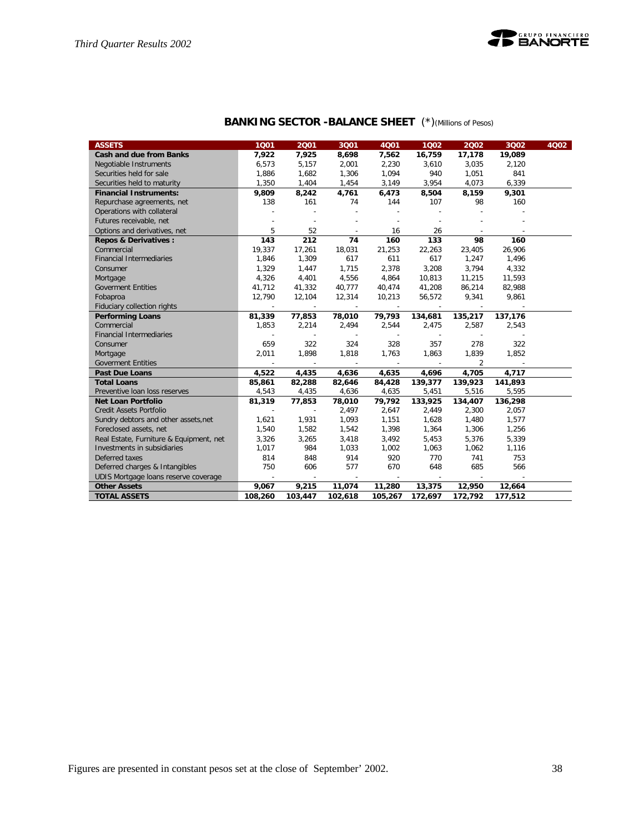![](_page_37_Picture_1.jpeg)

| <b>BANKING SECTOR -BALANCE SHEET</b> (*) (Millions of Pesos) |  |
|--------------------------------------------------------------|--|
|--------------------------------------------------------------|--|

| <b>ASSETS</b>                           | 1001                     | 2001                     | 3Q01    | <b>4Q01</b> | 1002                     | 2002           | 3Q02    | 4Q02 |
|-----------------------------------------|--------------------------|--------------------------|---------|-------------|--------------------------|----------------|---------|------|
| Cash and due from Banks                 | 7,922                    | 7,925                    | 8,698   | 7,562       | 16,759                   | 17,178         | 19,089  |      |
| Negotiable Instruments                  | 6,573                    | 5,157                    | 2,001   | 2,230       | 3,610                    | 3,035          | 2,120   |      |
| Securities held for sale                | 1,886                    | 1,682                    | 1,306   | 1,094       | 940                      | 1,051          | 841     |      |
| Securities held to maturity             | 1,350                    | 1,404                    | 1,454   | 3,149       | 3,954                    | 4,073          | 6,339   |      |
| <b>Financial Instruments:</b>           | 9,809                    | 8,242                    | 4,761   | 6,473       | 8,504                    | 8,159          | 9,301   |      |
| Repurchase agreements, net              | 138                      | 161                      | 74      | 144         | 107                      | 98             | 160     |      |
| Operations with collateral              |                          |                          | $\sim$  |             |                          |                |         |      |
| Futures receivable, net                 |                          |                          |         |             |                          |                |         |      |
| Options and derivatives, net            | 5                        | 52                       |         | 16          | 26                       |                |         |      |
| <b>Repos &amp; Derivatives:</b>         | 143                      | 212                      | 74      | 160         | 133                      | 98             | 160     |      |
| Commercial                              | 19,337                   | 17,261                   | 18,031  | 21,253      | 22,263                   | 23,405         | 26,906  |      |
| <b>Financial Intermediaries</b>         | 1,846                    | 1,309                    | 617     | 611         | 617                      | 1,247          | 1,496   |      |
| Consumer                                | 1,329                    | 1,447                    | 1,715   | 2,378       | 3,208                    | 3,794          | 4,332   |      |
| Mortgage                                | 4,326                    | 4,401                    | 4,556   | 4,864       | 10,813                   | 11,215         | 11,593  |      |
| <b>Goverment Entities</b>               | 41,712                   | 41,332                   | 40,777  | 40,474      | 41,208                   | 86,214         | 82,988  |      |
| Fobaproa                                | 12,790                   | 12,104                   | 12,314  | 10,213      | 56,572                   | 9,341          | 9,861   |      |
| Fiduciary collection rights             | $\overline{\phantom{a}}$ | $\overline{\phantom{a}}$ | $\sim$  |             | $\overline{\phantom{a}}$ | $\sim$         | $\sim$  |      |
| <b>Performing Loans</b>                 | 81,339                   | 77,853                   | 78,010  | 79,793      | 134,681                  | 135,217        | 137,176 |      |
| Commercial                              | 1,853                    | 2,214                    | 2,494   | 2,544       | 2,475                    | 2,587          | 2,543   |      |
| <b>Financial Intermediaries</b>         |                          | $\sim$                   | $\sim$  | $\sim$      | $\overline{\phantom{a}}$ | $\sim$         |         |      |
| Consumer                                | 659                      | 322                      | 324     | 328         | 357                      | 278            | 322     |      |
| Mortgage                                | 2,011                    | 1,898                    | 1,818   | 1,763       | 1,863                    | 1,839          | 1,852   |      |
| <b>Goverment Entities</b>               |                          | $\overline{\phantom{a}}$ | $\sim$  |             |                          | $\overline{2}$ |         |      |
| <b>Past Due Loans</b>                   | 4.522                    | 4,435                    | 4,636   | 4,635       | 4,696                    | 4,705          | 4,717   |      |
| <b>Total Loans</b>                      | 85,861                   | 82,288                   | 82,646  | 84,428      | 139,377                  | 139,923        | 141,893 |      |
| Preventive Ioan loss reserves           | 4,543                    | 4,435                    | 4,636   | 4,635       | 5,451                    | 5,516          | 5,595   |      |
| <b>Net Loan Portfolio</b>               | 81,319                   | 77,853                   | 78,010  | 79,792      | 133,925                  | 134,407        | 136,298 |      |
| Credit Assets Portfolio                 | $\overline{\phantom{a}}$ | $\sim$                   | 2,497   | 2,647       | 2,449                    | 2,300          | 2,057   |      |
| Sundry debtors and other assets, net    | 1,621                    | 1,931                    | 1,093   | 1,151       | 1,628                    | 1,480          | 1,577   |      |
| Foreclosed assets, net                  | 1,540                    | 1,582                    | 1,542   | 1,398       | 1,364                    | 1,306          | 1,256   |      |
| Real Estate, Furniture & Equipment, net | 3,326                    | 3,265                    | 3,418   | 3,492       | 5,453                    | 5,376          | 5,339   |      |
| Investments in subsidiaries             | 1,017                    | 984                      | 1,033   | 1,002       | 1,063                    | 1,062          | 1,116   |      |
| Deferred taxes                          | 814                      | 848                      | 914     | 920         | 770                      | 741            | 753     |      |
| Deferred charges & Intangibles          | 750                      | 606                      | 577     | 670         | 648                      | 685            | 566     |      |
| UDIS Mortgage loans reserve coverage    | $\sim$                   | $\sim$                   | $\sim$  | $\sim$      | $\overline{\phantom{a}}$ | $\sim$         | $\sim$  |      |
| <b>Other Assets</b>                     | 9,067                    | 9,215                    | 11,074  | 11,280      | 13,375                   | 12,950         | 12,664  |      |
| <b>TOTAL ASSETS</b>                     | 108,260                  | 103,447                  | 102,618 | 105,267     | 172,697                  | 172,792        | 177,512 |      |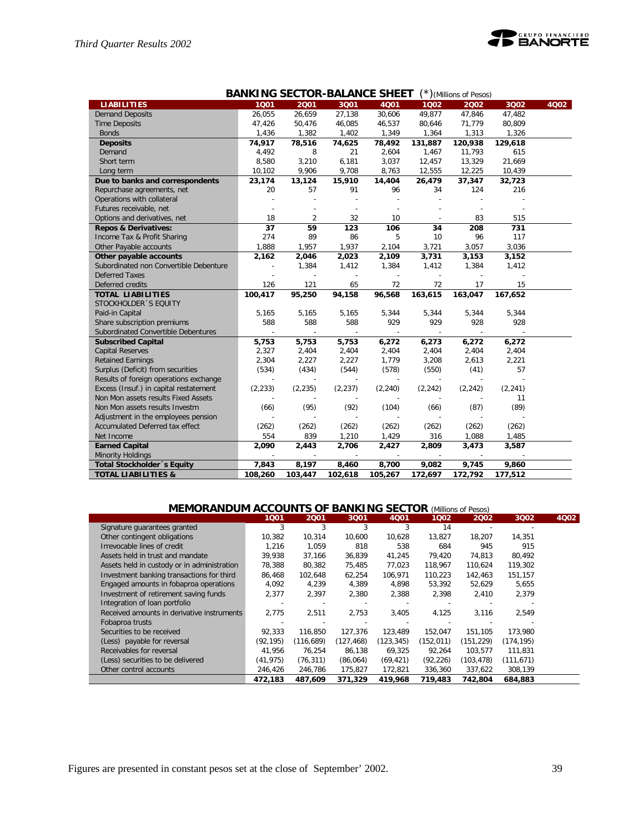![](_page_38_Picture_1.jpeg)

|                                        | <b>BANKING SECTOR-BALANCE SHEET</b><br>$(*)$ (Millions of Pesos) |                          |                          |          |          |                          |          |      |  |  |
|----------------------------------------|------------------------------------------------------------------|--------------------------|--------------------------|----------|----------|--------------------------|----------|------|--|--|
| <b>LIABILITIES</b>                     | 1001                                                             | 2001                     | 3Q01                     | 4Q01     | 1002     | 2002                     | 3Q02     | 4Q02 |  |  |
| <b>Demand Deposits</b>                 | 26,055                                                           | 26,659                   | 27,138                   | 30,606   | 49,877   | 47,846                   | 47,482   |      |  |  |
| <b>Time Deposits</b>                   | 47,426                                                           | 50,476                   | 46,085                   | 46,537   | 80,646   | 71,779                   | 80,809   |      |  |  |
| <b>Bonds</b>                           | 1,436                                                            | 1,382                    | 1,402                    | 1,349    | 1,364    | 1,313                    | 1,326    |      |  |  |
| <b>Deposits</b>                        | 74,917                                                           | 78,516                   | 74,625                   | 78,492   | 131,887  | 120,938                  | 129,618  |      |  |  |
| Demand                                 | 4,492                                                            | 8                        | 21                       | 2,604    | 1,467    | 11,793                   | 615      |      |  |  |
| Short term                             | 8,580                                                            | 3,210                    | 6,181                    | 3,037    | 12,457   | 13,329                   | 21,669   |      |  |  |
| Long term                              | 10,102                                                           | 9,906                    | 9,708                    | 8,763    | 12,555   | 12,225                   | 10,439   |      |  |  |
| Due to banks and correspondents        | 23,174                                                           | 13,124                   | 15,910                   | 14,404   | 26,479   | 37,347                   | 32,723   |      |  |  |
| Repurchase agreements, net             | 20                                                               | 57                       | 91                       | 96       | 34       | 124                      | 216      |      |  |  |
| Operations with collateral             |                                                                  |                          |                          |          |          |                          |          |      |  |  |
| Futures receivable, net                |                                                                  |                          |                          |          |          |                          |          |      |  |  |
| Options and derivatives, net           | 18                                                               | $\overline{2}$           | 32                       | 10       |          | 83                       | 515      |      |  |  |
| <b>Repos &amp; Derivatives:</b>        | 37                                                               | 59                       | 123                      | 106      | 34       | 208                      | 731      |      |  |  |
| Income Tax & Profit Sharing            | 274                                                              | 89                       | 86                       | 5        | 10       | 96                       | 117      |      |  |  |
| Other Payable accounts                 | 1,888                                                            | 1,957                    | 1,937                    | 2,104    | 3,721    | 3,057                    | 3,036    |      |  |  |
| Other payable accounts                 | 2,162                                                            | 2,046                    | 2,023                    | 2,109    | 3,731    | 3,153                    | 3,152    |      |  |  |
| Subordinated non Convertible Debenture | ÷,                                                               | 1,384                    | 1,412                    | 1,384    | 1,412    | 1,384                    | 1,412    |      |  |  |
| <b>Deferred Taxes</b>                  |                                                                  |                          | ÷,                       |          |          |                          |          |      |  |  |
| Deferred credits                       | 126                                                              | 121                      | 65                       | 72       | 72       | 17                       | 15       |      |  |  |
| <b>TOTAL LIABILITIES</b>               | 100,417                                                          | 95,250                   | 94,158                   | 96,568   | 163,615  | 163,047                  | 167,652  |      |  |  |
| STOCKHOLDER 'S EQUITY                  |                                                                  |                          |                          |          |          |                          |          |      |  |  |
| Paid-in Capital                        | 5,165                                                            | 5,165                    | 5,165                    | 5,344    | 5,344    | 5,344                    | 5,344    |      |  |  |
| Share subscription premiums            | 588                                                              | 588                      | 588                      | 929      | 929      | 928                      | 928      |      |  |  |
| Subordinated Convertible Debentures    |                                                                  | $\overline{\phantom{a}}$ | $\overline{\phantom{a}}$ |          |          | $\overline{\phantom{a}}$ |          |      |  |  |
| <b>Subscribed Capital</b>              | 5,753                                                            | 5,753                    | 5,753                    | 6,272    | 6,273    | 6,272                    | 6,272    |      |  |  |
| <b>Capital Reserves</b>                | 2,327                                                            | 2,404                    | 2,404                    | 2,404    | 2,404    | 2,404                    | 2,404    |      |  |  |
| <b>Retained Earnings</b>               | 2,304                                                            | 2,227                    | 2,227                    | 1,779    | 3,208    | 2,613                    | 2,221    |      |  |  |
| Surplus (Deficit) from securities      | (534)                                                            | (434)                    | (544)                    | (578)    | (550)    | (41)                     | 57       |      |  |  |
| Results of foreign operations exchange |                                                                  |                          |                          |          |          |                          |          |      |  |  |
| Excess (Insuf.) in capital restatement | (2, 233)                                                         | (2, 235)                 | (2, 237)                 | (2, 240) | (2, 242) | (2, 242)                 | (2, 241) |      |  |  |
| Non Mon assets results Fixed Assets    |                                                                  |                          |                          |          |          |                          | 11       |      |  |  |
| Non Mon assets results Investm         | (66)                                                             | (95)                     | (92)                     | (104)    | (66)     | (87)                     | (89)     |      |  |  |
| Adjustment in the employees pension    |                                                                  |                          |                          |          |          |                          |          |      |  |  |
| Accumulated Deferred tax effect        | (262)                                                            | (262)                    | (262)                    | (262)    | (262)    | (262)                    | (262)    |      |  |  |
| Net Income                             | 554                                                              | 839                      | 1,210                    | 1,429    | 316      | 1,088                    | 1,485    |      |  |  |
| <b>Earned Capital</b>                  | 2,090                                                            | 2,443                    | 2,706                    | 2,427    | 2,809    | 3,473                    | 3,587    |      |  |  |
| <b>Minority Holdings</b>               | $\overline{\phantom{a}}$                                         | $\overline{\phantom{a}}$ | $\sim$                   |          | $\sim$   | $\overline{\phantom{a}}$ |          |      |  |  |
| Total Stockholder 's Equity            | 7,843                                                            | 8,197                    | 8,460                    | 8,700    | 9,082    | 9,745                    | 9,860    |      |  |  |
| <b>TOTAL LIABILITIES &amp;</b>         | 108,260                                                          | 103,447                  | 102,618                  | 105,267  | 172,697  | 172,792                  | 177,512  |      |  |  |

| <b>ACCOUNTS OF</b><br><b>INKING SECTOR</b><br>BА<br>(Millions of Pesos) |           |            |            |           |            |            |            |      |  |  |
|-------------------------------------------------------------------------|-----------|------------|------------|-----------|------------|------------|------------|------|--|--|
|                                                                         | 1001      | 2001       | 3Q01       | 4Q01      | 1002       | 2002       | 3Q02       | 4Q02 |  |  |
| Signature guarantees granted                                            | 3         | 3          | 3          | 3         | 14         |            |            |      |  |  |
| Other contingent obligations                                            | 10,382    | 10,314     | 10,600     | 10,628    | 13,827     | 18,207     | 14,351     |      |  |  |
| Irrevocable lines of credit                                             | 1.216     | 1,059      | 818        | 538       | 684        | 945        | 915        |      |  |  |
| Assets held in trust and mandate                                        | 39,938    | 37.166     | 36.839     | 41.245    | 79.420     | 74.813     | 80.492     |      |  |  |
| Assets held in custody or in administration                             | 78,388    | 80,382     | 75,485     | 77,023    | 118,967    | 110.624    | 119,302    |      |  |  |
| Investment banking transactions for third                               | 86,468    | 102,648    | 62,254     | 106,971   | 110,223    | 142,463    | 151,157    |      |  |  |
| Engaged amounts in fobaproa operations                                  | 4,092     | 4,239      | 4,389      | 4,898     | 53,392     | 52,629     | 5,655      |      |  |  |
| Investment of retirement saving funds                                   | 2,377     | 2,397      | 2,380      | 2,388     | 2,398      | 2,410      | 2,379      |      |  |  |
| Integration of loan portfolio                                           |           |            |            |           |            |            |            |      |  |  |
| Received amounts in derivative instruments                              | 2,775     | 2,511      | 2,753      | 3,405     | 4,125      | 3,116      | 2,549      |      |  |  |
| Fobaproa trusts                                                         |           |            |            |           |            |            |            |      |  |  |
| Securities to be received                                               | 92,333    | 116,850    | 127,376    | 123,489   | 152,047    | 151,105    | 173,980    |      |  |  |
| (Less) payable for reversal                                             | (92, 195) | (116, 689) | (127, 468) | (123,345) | (152, 011) | (151, 229) | (174, 195) |      |  |  |
| Receivables for reversal                                                | 41.956    | 76,254     | 86,138     | 69,325    | 92,264     | 103,577    | 111,831    |      |  |  |
| (Less) securities to be delivered                                       | (41, 975) | (76, 311)  | (86,064)   | (69, 421) | (92, 226)  | (103, 478) | (111, 671) |      |  |  |
| Other control accounts                                                  | 246,426   | 246,786    | 175,827    | 172,821   | 336,360    | 337,622    | 308,139    |      |  |  |
|                                                                         | 472,183   | 487,609    | 371,329    | 419,968   | 719,483    | 742.804    | 684,883    |      |  |  |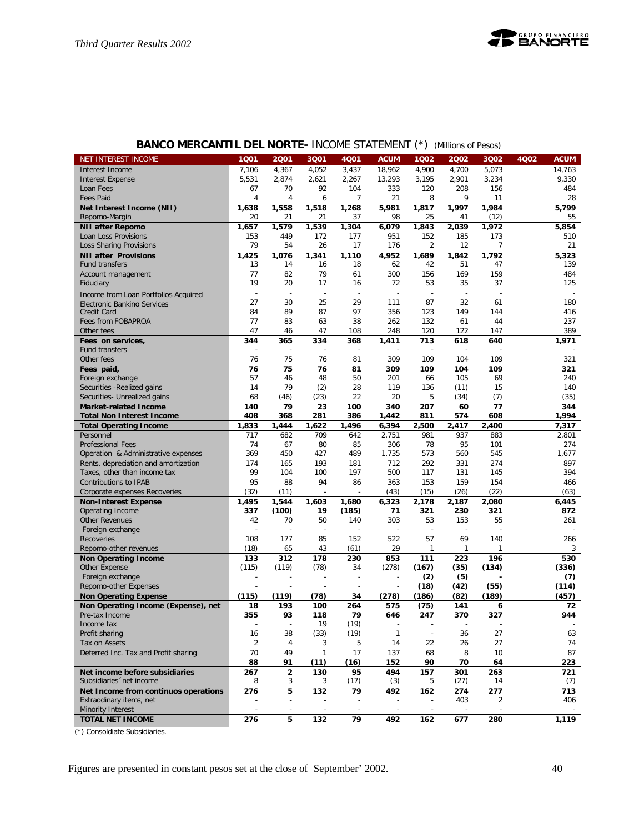| <b>BANCO MERCANTIL DEL NORTE- INCOME STATEMENT (*)</b> (Millions of Pesos) |  |  |  |  |
|----------------------------------------------------------------------------|--|--|--|--|
|----------------------------------------------------------------------------|--|--|--|--|

| NET INTEREST INCOME                  | 1001                 | 2001                          | 3Q01                     | 4Q01       | <b>ACUM</b>    | 1Q02                     | 2002         | 3Q02           | 4Q02 | <b>ACUM</b> |
|--------------------------------------|----------------------|-------------------------------|--------------------------|------------|----------------|--------------------------|--------------|----------------|------|-------------|
| Interest Income                      | 7,106                | 4,367                         | 4,052                    | 3,437      | 18,962         | 4,900                    | 4,700        | 5,073          |      | 14,763      |
| <b>Interest Expense</b>              | 5,531                | 2,874                         | 2,621                    | 2,267      | 13,293         | 3,195                    | 2,901        | 3,234          |      | 9,330       |
| Loan Fees                            | 67                   | 70                            | 92                       | 104        | 333            | 120                      | 208          | 156            |      | 484         |
| Fees Paid                            | 4                    | $\overline{4}$                | 6                        | 7          | 21             | 8                        | 9            | 11             |      | 28          |
| Net Interest Income (NII)            | 1,638                | 1,558                         | 1,518                    | 1,268      | 5,981          | 1,817                    | 1,997        | 1,984          |      | 5,799       |
| Repomo-Margin                        | 20                   | 21                            | 21                       | 37         | 98             | 25                       | 41           | (12)           |      | 55          |
| <b>NII after Repomo</b>              | 1,657                | 1,579                         | 1,539                    | 1,304      | 6,079          | 1,843                    | 2,039        | 1,972          |      | 5,854       |
| Loan Loss Provisions                 | 153                  | 449                           | 172                      | 177        | 951            | 152                      | 185          | 173            |      | 510         |
| Loss Sharing Provisions              | 79                   | 54                            | 26                       | 17         | 176            | 2                        | 12           | $\overline{7}$ |      | 21          |
| <b>NII after Provisions</b>          | 1,425                | 1,076                         | 1,341                    | 1,110      | 4,952          | 1,689                    | 1,842        | 1,792          |      | 5,323       |
| <b>Fund transfers</b>                | 13                   | 14                            | 16                       | 18         | 62             | 42                       | 51           | 47             |      | 139         |
| Account management                   | 77                   | 82                            | 79                       | 61         | 300            | 156                      | 169          | 159            |      | 484         |
| Fiduciary                            | 19                   | 20                            | 17                       | 16         | 72             | 53                       | 35           | 37             |      | 125         |
| Income from Loan Portfolios Acquired | $\overline{a}$       | ÷                             | $\overline{a}$           |            | $\overline{a}$ | ÷                        |              |                |      |             |
| Electronic Banking Services          | 27                   | 30                            | 25                       | 29         | 111            | 87                       | 32           | 61             |      | 180         |
| Credit Card                          | 84                   | 89                            | 87                       | 97         | 356            | 123                      | 149          | 144            |      | 416         |
| Fees from FOBAPROA                   | 77                   | 83                            | 63                       | 38         | 262            | 132                      | 61           | 44             |      | 237         |
| Other fees                           | 47                   | 46                            | 47                       | 108        | 248            | 120                      | 122          | 147            |      | 389         |
| Fees on services,                    | 344                  | 365                           | 334                      | 368        | 1,411          | 713                      | 618          | 640            |      | 1,971       |
| <b>Fund transfers</b>                |                      |                               |                          |            |                |                          |              |                |      |             |
| Other fees                           | 76                   | 75                            | 76                       | 81         | 309            | 109                      | 104          | 109            |      | 321         |
| Fees paid,                           | 76                   | 75                            | 76                       | 81         | 309            | 109                      | 104          | 109            |      | 321         |
| Foreign exchange                     | 57                   | 46                            | 48                       | 50         | 201            | 66                       | 105          | 69             |      | 240         |
| Securities - Realized gains          | 14                   | 79                            | (2)                      | 28         | 119            | 136                      | (11)         | 15             |      | 140         |
| Securities- Unrealized gains         | 68                   | (46)                          | (23)                     | 22         | 20             | 5                        | (34)         | (7)            |      | (35)        |
| <b>Market-related Income</b>         | 140                  | 79                            | 23                       | 100        | 340            | 207                      | 60           | 77             |      | 344         |
| <b>Total Non Interest Income</b>     | 408                  | 368                           | 281                      | 386        | 1,442          | 811                      | 574          | 608            |      | 1,994       |
| <b>Total Operating Income</b>        | 1,833                | 1,444                         | 1,622                    | 1,496      | 6,394          | 2.500                    | 2,417        | 2,400          |      | 7,317       |
| Personnel                            | 717                  | 682                           | 709                      | 642        | 2,751          | 981                      | 937          | 883            |      | 2,801       |
| <b>Professional Fees</b>             | 74                   | 67                            | 80                       | 85         | 306            | 78                       | 95           | 101            |      | 274         |
| Operation & Administrative expenses  | 369                  | 450                           | 427                      | 489        | 1,735          | 573                      | 560          | 545            |      | 1,677       |
| Rents, depreciation and amortization | 174                  | 165                           | 193                      | 181        | 712            | 292                      | 331          | 274            |      | 897         |
| Taxes, other than income tax         | 99                   | 104                           | 100                      | 197        | 500            | 117                      | 131          | 145            |      | 394         |
| Contributions to IPAB                | 95                   | 88                            | 94                       | 86         | 363            | 153                      | 159          | 154            |      | 466         |
| Corporate expenses Recoveries        | (32)                 | (11)                          |                          |            | (43)           | (15)                     | (26)         | (22)           |      | (63)        |
| <b>Non-Interest Expense</b>          | 1,495                | 1,544                         | 1,603                    | 1,680      | 6,323          | 2,178                    | 2,187        | 2,080          |      | 6,445       |
| Operating Income                     | 337                  | (100)                         | 19                       | (185)      | 71             | 321                      | 230          | 321            |      | 872         |
| <b>Other Revenues</b>                | 42                   | 70                            | 50                       | 140        | 303            | 53                       | 153          | 55             |      | 261         |
| Foreign exchange                     |                      |                               |                          |            |                |                          |              |                |      |             |
| <b>Recoveries</b>                    | 108                  | 177                           | 85                       | 152        | 522            | 57                       | 69           | 140            |      | 266         |
| Repomo-other revenues                | (18)                 | 65                            | 43                       | (61)       | 29             | 1                        | $\mathbf{1}$ | 1              |      | 3           |
| <b>Non Operating Income</b>          | 133                  | 312                           | 178                      | 230        | 853            | 111                      | 223          | 196            |      | 530         |
| Other Expense                        | (115)                | (119)                         | (78)                     | 34         | (278)          | (167)                    | (35)         | (134)          |      | (336)       |
| Foreign exchange                     |                      |                               |                          |            |                | (2)                      | (5)          |                |      | (7)         |
| Repomo-other Expenses                |                      |                               |                          |            |                | (18)                     | (42)         | (55)           |      | (114)       |
| <b>Non Operating Expense</b>         | (115)                | (119)                         | (78)                     | 34         | (278)          | (186)                    | (82)         | (189)          |      | (457)       |
| Non Operating Income (Expense), net  | 18                   | 193                           | 100                      | 264        | 575            | (75)                     | 141          | 6              |      | 72          |
| Pre-tax Income                       | 355                  | 93                            | 118<br>19                | 79         | 646            | 247                      | 370          | 327            |      | 944         |
| Income tax                           |                      | 38                            |                          | (19)       | $\mathbf{1}$   | $\overline{\phantom{a}}$ | 36           | 27             |      | 63          |
| Profit sharing<br>Tax on Assets      | 16<br>$\overline{2}$ | $\overline{4}$                | (33)                     | (19)       | 14             |                          |              |                |      | 74          |
| Deferred Inc. Tax and Profit sharing | 70                   | 49                            | 3<br>1                   | 5<br>17    | 137            | 22<br>68                 | 26<br>8      | 27<br>10       |      | 87          |
|                                      |                      |                               |                          |            |                |                          | 70           |                |      |             |
| Net income before subsidiaries       | 88<br>267            | 91<br>$\overline{\mathbf{c}}$ | (11)                     | (16)<br>95 | 152<br>494     | 90<br>157                | 301          | 64<br>263      |      | 223<br>721  |
| Subsidiaries 'net income             | 8                    | 3                             | 130<br>3                 | (17)       | (3)            | 5                        | (27)         | 14             |      | (7)         |
| Net Income from continuos operations | 276                  | 5                             | 132                      | 79         | 492            | 162                      | 274          | 277            |      | 713         |
| Extraodinary items, net              |                      |                               |                          |            |                |                          | 403          | 2              |      | 406         |
| Minority Interest                    |                      | $\overline{\phantom{a}}$      | $\overline{\phantom{a}}$ |            |                |                          |              |                |      |             |
| <b>TOTAL NET INCOME</b>              | 276                  | 5                             | 132                      | 79         | 492            | 162                      | 677          | 280            |      | 1,119       |
|                                      |                      |                               |                          |            |                |                          |              |                |      |             |

(\*) Consoldiate Subsidiaries.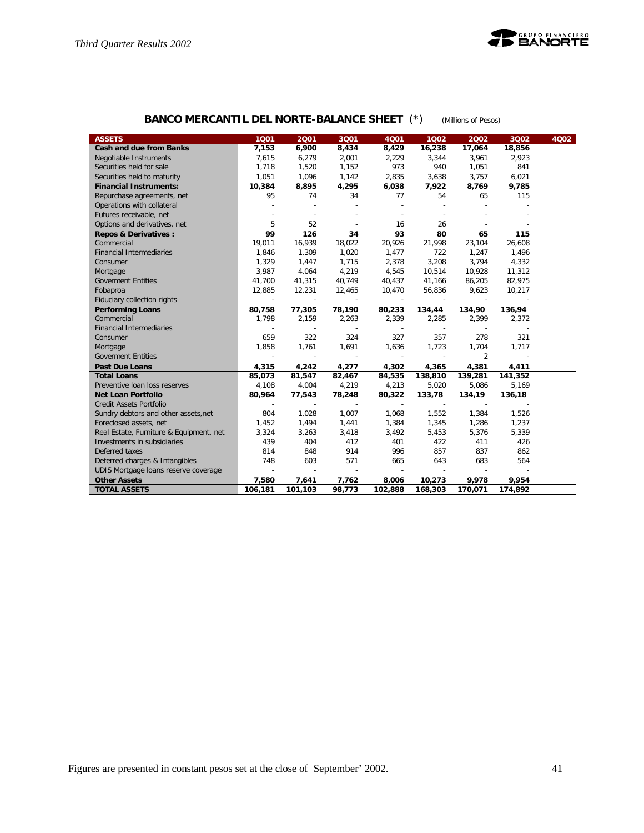![](_page_40_Picture_1.jpeg)

# **BANCO MERCANTIL DEL NORTE-BALANCE SHEET** (\*) *(Millions of Pesos)*

| <b>ASSETS</b>                           | 1001    | 2001                     | 3001   | 4Q01    | 1002                     | 2002    | 3Q02    | 4Q02 |
|-----------------------------------------|---------|--------------------------|--------|---------|--------------------------|---------|---------|------|
| <b>Cash and due from Banks</b>          | 7,153   | 6,900                    | 8,434  | 8,429   | 16,238                   | 17,064  | 18,856  |      |
| Negotiable Instruments                  | 7,615   | 6,279                    | 2,001  | 2,229   | 3,344                    | 3,961   | 2,923   |      |
| Securities held for sale                | 1,718   | 1,520                    | 1,152  | 973     | 940                      | 1,051   | 841     |      |
| Securities held to maturity             | 1,051   | 1,096                    | 1,142  | 2,835   | 3,638                    | 3,757   | 6,021   |      |
| <b>Financial Instruments:</b>           | 10,384  | 8,895                    | 4,295  | 6,038   | 7,922                    | 8,769   | 9,785   |      |
| Repurchase agreements, net              | 95      | 74                       | 34     | 77      | 54                       | 65      | 115     |      |
| Operations with collateral              |         |                          |        |         |                          |         |         |      |
| Futures receivable, net                 |         |                          |        |         |                          |         |         |      |
| Options and derivatives, net            | 5       | 52                       |        | 16      | 26                       |         |         |      |
| <b>Repos &amp; Derivatives:</b>         | 99      | 126                      | 34     | 93      | 80                       | 65      | 115     |      |
| Commercial                              | 19,011  | 16,939                   | 18,022 | 20,926  | 21,998                   | 23,104  | 26,608  |      |
| <b>Financial Intermediaries</b>         | 1,846   | 1,309                    | 1,020  | 1,477   | 722                      | 1,247   | 1,496   |      |
| Consumer                                | 1,329   | 1,447                    | 1,715  | 2,378   | 3,208                    | 3,794   | 4,332   |      |
| Mortgage                                | 3,987   | 4,064                    | 4,219  | 4,545   | 10,514                   | 10,928  | 11,312  |      |
| <b>Goverment Entities</b>               | 41,700  | 41,315                   | 40,749 | 40,437  | 41,166                   | 86,205  | 82,975  |      |
| Fobaproa                                | 12,885  | 12,231                   | 12,465 | 10,470  | 56,836                   | 9,623   | 10,217  |      |
| Fiduciary collection rights             | $\sim$  | $\sim$                   | $\sim$ | $\sim$  | $\sim$                   | $\sim$  |         |      |
| <b>Performing Loans</b>                 | 80,758  | 77,305                   | 78,190 | 80,233  | 134,44                   | 134,90  | 136,94  |      |
| Commercial                              | 1,798   | 2,159                    | 2,263  | 2,339   | 2,285                    | 2,399   | 2,372   |      |
| <b>Financial Intermediaries</b>         |         |                          |        | $\sim$  |                          |         |         |      |
| Consumer                                | 659     | 322                      | 324    | 327     | 357                      | 278     | 321     |      |
| Mortgage                                | 1,858   | 1,761                    | 1,691  | 1,636   | 1,723                    | 1,704   | 1,717   |      |
| <b>Goverment Entities</b>               |         |                          |        |         |                          | 2       |         |      |
| <b>Past Due Loans</b>                   | 4,315   | 4,242                    | 4,277  | 4,302   | 4,365                    | 4,381   | 4,411   |      |
| <b>Total Loans</b>                      | 85,073  | 81,547                   | 82,467 | 84,535  | 138,810                  | 139,281 | 141,352 |      |
| Preventive Ioan loss reserves           | 4,108   | 4,004                    | 4,219  | 4,213   | 5,020                    | 5,086   | 5,169   |      |
| <b>Net Loan Portfolio</b>               | 80,964  | 77,543                   | 78,248 | 80,322  | 133,78                   | 134,19  | 136,18  |      |
| Credit Assets Portfolio                 | ÷       | $\sim$                   | $\sim$ | $\sim$  | $\overline{\phantom{a}}$ | $\sim$  |         |      |
| Sundry debtors and other assets, net    | 804     | 1,028                    | 1,007  | 1,068   | 1,552                    | 1,384   | 1,526   |      |
| Foreclosed assets, net                  | 1,452   | 1,494                    | 1,441  | 1,384   | 1,345                    | 1,286   | 1,237   |      |
| Real Estate, Furniture & Equipment, net | 3,324   | 3,263                    | 3,418  | 3,492   | 5,453                    | 5,376   | 5,339   |      |
| Investments in subsidiaries             | 439     | 404                      | 412    | 401     | 422                      | 411     | 426     |      |
| Deferred taxes                          | 814     | 848                      | 914    | 996     | 857                      | 837     | 862     |      |
| Deferred charges & Intangibles          | 748     | 603                      | 571    | 665     | 643                      | 683     | 564     |      |
| UDIS Mortgage loans reserve coverage    | $\sim$  | $\overline{\phantom{a}}$ | $\sim$ | $\sim$  | $\sim$                   | $\sim$  |         |      |
| <b>Other Assets</b>                     | 7,580   | 7,641                    | 7,762  | 8,006   | 10,273                   | 9,978   | 9,954   |      |
| <b>TOTAL ASSETS</b>                     | 106,181 | 101,103                  | 98,773 | 102,888 | 168,303                  | 170,071 | 174,892 |      |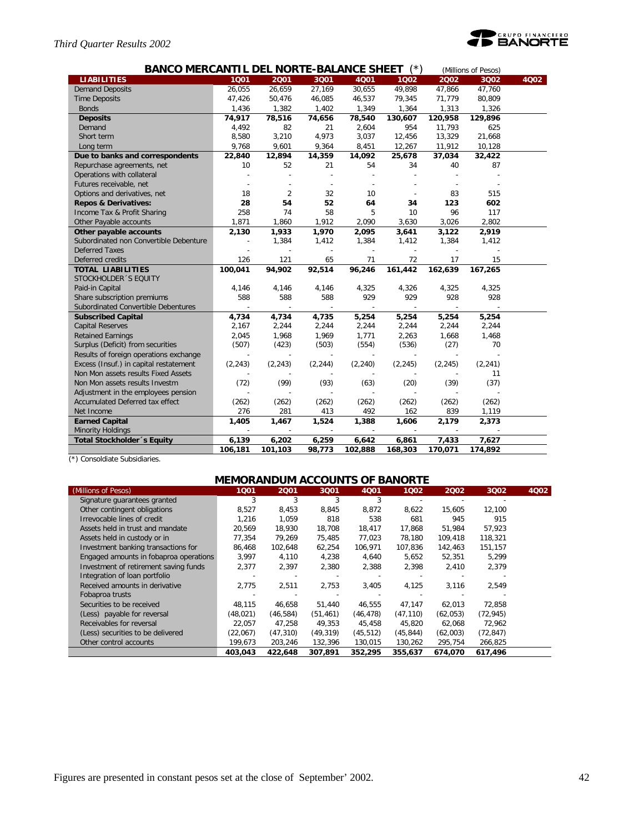# *Third Quarter Results 2002*

![](_page_41_Picture_1.jpeg)

| <b>BANCO MERCANTIL DEL NORTE-BALANCE SHEET</b><br>(Millions of Pesos) |          |          |          |                          |          |          |          |      |  |  |  |
|-----------------------------------------------------------------------|----------|----------|----------|--------------------------|----------|----------|----------|------|--|--|--|
| <b>LIABILITIES</b>                                                    | 1001     | 2001     | 3001     | 4001                     | 1002     | 2002     | 3Q02     | 4002 |  |  |  |
| <b>Demand Deposits</b>                                                | 26,055   | 26,659   | 27,169   | 30,655                   | 49,898   | 47,866   | 47,760   |      |  |  |  |
| <b>Time Deposits</b>                                                  | 47,426   | 50,476   | 46,085   | 46,537                   | 79,345   | 71,779   | 80,809   |      |  |  |  |
| <b>Bonds</b>                                                          | 1,436    | 1,382    | 1,402    | 1,349                    | 1,364    | 1,313    | 1,326    |      |  |  |  |
| <b>Deposits</b>                                                       | 74,917   | 78,516   | 74,656   | 78,540                   | 130,607  | 120,958  | 129,896  |      |  |  |  |
| Demand                                                                | 4,492    | 82       | 21       | 2,604                    | 954      | 11,793   | 625      |      |  |  |  |
| Short term                                                            | 8,580    | 3,210    | 4,973    | 3,037                    | 12,456   | 13,329   | 21,668   |      |  |  |  |
| Long term                                                             | 9,768    | 9,601    | 9,364    | 8,451                    | 12,267   | 11,912   | 10,128   |      |  |  |  |
| Due to banks and correspondents                                       | 22,840   | 12,894   | 14,359   | 14,092                   | 25,678   | 37,034   | 32,422   |      |  |  |  |
| Repurchase agreements, net                                            | 10       | 52       | 21       | 54                       | 34       | 40       | 87       |      |  |  |  |
| Operations with collateral                                            |          |          |          |                          |          |          |          |      |  |  |  |
| Futures receivable, net                                               |          |          |          |                          |          |          |          |      |  |  |  |
| Options and derivatives, net                                          | 18       | 2        | 32       | 10                       |          | 83       | 515      |      |  |  |  |
| <b>Repos &amp; Derivatives:</b>                                       | 28       | 54       | 52       | 64                       | 34       | 123      | 602      |      |  |  |  |
| Income Tax & Profit Sharing                                           | 258      | 74       | 58       | 5                        | 10       | 96       | 117      |      |  |  |  |
| Other Payable accounts                                                | 1,871    | 1,860    | 1,912    | 2,090                    | 3,630    | 3,026    | 2,802    |      |  |  |  |
| Other payable accounts                                                | 2,130    | 1,933    | 1,970    | 2,095                    | 3,641    | 3,122    | 2,919    |      |  |  |  |
| Subordinated non Convertible Debenture                                |          | 1,384    | 1,412    | 1,384                    | 1,412    | 1,384    | 1,412    |      |  |  |  |
| <b>Deferred Taxes</b>                                                 |          |          |          |                          |          |          |          |      |  |  |  |
| Deferred credits                                                      | 126      | 121      | 65       | 71                       | 72       | 17       | 15       |      |  |  |  |
| <b>TOTAL LIABILITIES</b>                                              | 100,041  | 94,902   | 92,514   | 96,246                   | 161,442  | 162,639  | 167,265  |      |  |  |  |
| STOCKHOLDER 'S EQUITY                                                 |          |          |          |                          |          |          |          |      |  |  |  |
| Paid-in Capital                                                       | 4,146    | 4,146    | 4,146    | 4,325                    | 4,326    | 4,325    | 4,325    |      |  |  |  |
| Share subscription premiums                                           | 588      | 588      | 588      | 929                      | 929      | 928      | 928      |      |  |  |  |
| Subordinated Convertible Debentures                                   |          |          |          |                          |          |          |          |      |  |  |  |
| <b>Subscribed Capital</b>                                             | 4,734    | 4,734    | 4,735    | 5,254                    | 5,254    | 5,254    | 5,254    |      |  |  |  |
| <b>Capital Reserves</b>                                               | 2,167    | 2,244    | 2,244    | 2,244                    | 2,244    | 2,244    | 2,244    |      |  |  |  |
| <b>Retained Earnings</b>                                              | 2,045    | 1,968    | 1,969    | 1,771                    | 2,263    | 1,668    | 1,468    |      |  |  |  |
| Surplus (Deficit) from securities                                     | (507)    | (423)    | (503)    | (554)                    | (536)    | (27)     | 70       |      |  |  |  |
| Results of foreign operations exchange                                |          |          |          |                          |          |          |          |      |  |  |  |
| Excess (Insuf.) in capital restatement                                | (2, 243) | (2, 243) | (2, 244) | (2, 240)                 | (2, 245) | (2, 245) | (2, 241) |      |  |  |  |
| Non Mon assets results Fixed Assets                                   |          |          |          |                          |          |          | 11       |      |  |  |  |
| Non Mon assets results Investm                                        | (72)     | (99)     | (93)     | (63)                     | (20)     | (39)     | (37)     |      |  |  |  |
| Adjustment in the employees pension                                   |          |          |          |                          |          |          |          |      |  |  |  |
| Accumulated Deferred tax effect                                       | (262)    | (262)    | (262)    | (262)                    | (262)    | (262)    | (262)    |      |  |  |  |
| Net Income                                                            | 276      | 281      | 413      | 492                      | 162      | 839      | 1,119    |      |  |  |  |
| <b>Earned Capital</b>                                                 | 1,405    | 1,467    | 1,524    | 1,388                    | 1,606    | 2,179    | 2,373    |      |  |  |  |
| <b>Minority Holdings</b>                                              |          |          |          | $\overline{\phantom{a}}$ |          |          |          |      |  |  |  |
| <b>Total Stockholder</b> 's Equity                                    | 6,139    | 6,202    | 6,259    | 6,642                    | 6,861    | 7,433    | 7,627    |      |  |  |  |
|                                                                       | 106,181  | 101,103  | 98,773   | 102,888                  | 168,303  | 170,071  | 174,892  |      |  |  |  |

(\*) Consoldiate Subsidiaries.

# **MEMORANDUM ACCOUNTS OF BANORTE**

| (Millions of Pesos)                    | 1001     | 2001      | 3001      | <b>4Q01</b> | 1Q02      | 2002     | 3Q02      | 4Q02 |
|----------------------------------------|----------|-----------|-----------|-------------|-----------|----------|-----------|------|
| Signature quarantees granted           | 3        | 3         | 3         | 3           |           |          |           |      |
| Other contingent obligations           | 8,527    | 8,453     | 8,845     | 8,872       | 8,622     | 15,605   | 12,100    |      |
| Irrevocable lines of credit            | 1.216    | 1.059     | 818       | 538         | 681       | 945      | 915       |      |
| Assets held in trust and mandate       | 20,569   | 18.930    | 18.708    | 18,417      | 17,868    | 51.984   | 57,923    |      |
| Assets held in custody or in           | 77.354   | 79.269    | 75.485    | 77,023      | 78.180    | 109,418  | 118,321   |      |
| Investment banking transactions for    | 86.468   | 102.648   | 62.254    | 106.971     | 107,836   | 142.463  | 151,157   |      |
| Engaged amounts in fobaproa operations | 3,997    | 4,110     | 4,238     | 4,640       | 5,652     | 52,351   | 5,299     |      |
| Investment of retirement saving funds  | 2,377    | 2,397     | 2,380     | 2,388       | 2,398     | 2,410    | 2,379     |      |
| Integration of loan portfolio          |          |           |           |             |           |          |           |      |
| Received amounts in derivative         | 2,775    | 2.511     | 2.753     | 3,405       | 4,125     | 3,116    | 2.549     |      |
| Fobaproa trusts                        |          |           |           |             |           |          |           |      |
| Securities to be received              | 48,115   | 46,658    | 51,440    | 46.555      | 47,147    | 62,013   | 72,858    |      |
| (Less) payable for reversal            | (48,021) | (46, 584) | (51, 461) | (46, 478)   | (47, 110) | (62,053) | (72, 945) |      |
| Receivables for reversal               | 22,057   | 47.258    | 49.353    | 45.458      | 45,820    | 62,068   | 72,962    |      |
| (Less) securities to be delivered      | (22,067) | (47, 310) | (49, 319) | (45, 512)   | (45, 844) | (62,003) | (72, 847) |      |
| Other control accounts                 | 199,673  | 203,246   | 132,396   | 130,015     | 130,262   | 295,754  | 266,825   |      |
|                                        | 403.043  | 422,648   | 307.891   | 352,295     | 355.637   | 674.070  | 617.496   |      |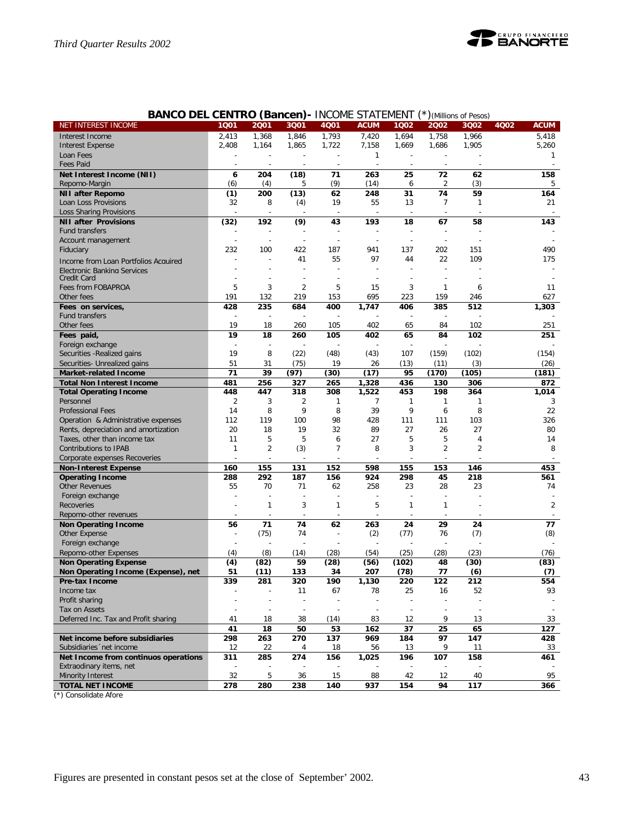![](_page_42_Picture_0.jpeg)

|                                      | <b>DEL VEIVI</b> | NU (Daliceli)  |                          | - INUUNIL JIAILIVILIVI |              |              |                 | J (MIIIIUIIS UI Pesus) |                     |
|--------------------------------------|------------------|----------------|--------------------------|------------------------|--------------|--------------|-----------------|------------------------|---------------------|
| NET INTEREST INCOME                  | 1Q01             | 2001           | 3Q01                     | 4Q01                   | <b>ACUM</b>  | 1Q02         | 2002            | 3Q02                   | 4Q02<br><b>ACUM</b> |
| Interest Income                      | 2,413            | 1,368          | 1,846                    | 1,793                  | 7,420        | 1,694        | 1,758           | 1,966                  | 5.418               |
| <b>Interest Expense</b>              | 2,408            | 1,164          | 1,865                    | 1,722                  | 7,158        | 1,669        | 1,686           | 1,905                  | 5,260               |
| Loan Fees                            |                  |                |                          |                        | $\mathbf{1}$ |              |                 |                        | 1                   |
| <b>Fees Paid</b>                     |                  |                |                          |                        |              |              |                 |                        |                     |
|                                      |                  |                |                          |                        |              |              |                 |                        |                     |
| Net Interest Income (NII)            | 6                | 204            | (18)                     | 71                     | 263          | 25           | 72              | 62                     | 158                 |
| Repomo-Margin                        | (6)              | (4)            | 5                        | (9)                    | (14)         | 6            | 2               | (3)                    | 5                   |
| <b>NII after Repomo</b>              | (1)              | 200            | (13)                     | 62                     | 248          | 31           | $\overline{74}$ | 59                     | 164                 |
| Loan Loss Provisions                 | 32               | 8              | (4)                      | 19                     | 55           | 13           | 7               | 1                      | 21                  |
| Loss Sharing Provisions              |                  |                |                          |                        |              |              |                 |                        |                     |
| <b>NII after Provisions</b>          | (32)             | 192            | (9)                      | 43                     | 193          | 18           | 67              | 58                     | 143                 |
| Fund transfers                       |                  |                |                          |                        |              |              |                 |                        |                     |
| Account management                   |                  |                |                          |                        |              |              |                 |                        |                     |
| Fiduciary                            | 232              | 100            | 422                      | 187                    | 941          | 137          | 202             | 151                    | 490                 |
|                                      |                  |                | 41                       | 55                     | 97           | 44           | 22              | 109                    | 175                 |
| Income from Loan Portfolios Acquired |                  |                |                          |                        |              |              |                 |                        |                     |
| Electronic Banking Services          |                  |                |                          |                        |              |              |                 |                        |                     |
| Credit Card                          |                  |                |                          |                        |              |              |                 |                        |                     |
| Fees from FOBAPROA                   | 5                | 3              | $\overline{c}$           | 5                      | 15           | 3            | 1               | 6                      | 11                  |
| Other fees                           | 191              | 132            | 219                      | 153                    | 695          | 223          | 159             | 246                    | 627                 |
| Fees on services,                    | 428              | 235            | 684                      | 400                    | 1,747        | 406          | 385             | 512                    | 1,303               |
| Fund transfers                       |                  |                |                          |                        |              |              |                 |                        |                     |
| Other fees                           | 19               | 18             | 260                      | 105                    | 402          | 65           | 84              | 102                    | 251                 |
| Fees paid,                           | 19               | 18             | 260                      | 105                    | 402          | 65           | 84              | 102                    | 251                 |
| Foreign exchange                     |                  |                |                          |                        |              |              |                 |                        |                     |
|                                      | 19               | 8              | (22)                     | (48)                   | (43)         | 107          | (159)           | (102)                  |                     |
| Securities - Realized gains          |                  |                |                          |                        |              |              |                 |                        | (154)               |
| Securities- Unrealized gains         | 51               | 31             | (75)                     | 19                     | 26           | (13)         | (11)            | (3)                    | (26)                |
| <b>Market-related Income</b>         | 71               | 39             | (97)                     | (30)                   | (17)         | 95           | (170)           | (105)                  | (181)               |
| <b>Total Non Interest Income</b>     | 481              | 256            | 327                      | 265                    | 1,328        | 436          | 130             | 306                    | 872                 |
| <b>Total Operating Income</b>        | 448              | 447            | 318                      | 308                    | 1,522        | 453          | 198             | 364                    | 1,014               |
| Personnel                            | $\overline{c}$   | 3              | 2                        | 1                      | 7            | 1            | 1               | 1                      | 3                   |
| <b>Professional Fees</b>             | 14               | 8              | 9                        | 8                      | 39           | 9            | 6               | 8                      | 22                  |
| Operation & Administrative expenses  | 112              | 119            | 100                      | 98                     | 428          | 111          | 111             | 103                    | 326                 |
| Rents, depreciation and amortization | 20               | 18             | 19                       | 32                     | 89           | 27           | 26              | 27                     | 80                  |
| Taxes, other than income tax         | 11               | 5              | 5                        | 6                      | 27           | 5            | 5               | 4                      | 14                  |
| Contributions to IPAB                | $\mathbf{1}$     | $\overline{2}$ | (3)                      | $\overline{7}$         | 8            | 3            | 2               | $\overline{2}$         | 8                   |
|                                      |                  |                |                          |                        |              |              |                 |                        |                     |
| Corporate expenses Recoveries        |                  |                |                          |                        |              |              |                 |                        |                     |
| <b>Non-Interest Expense</b>          | 160              | 155            | 131                      | 152                    | 598          | 155          | 153             | 146                    | 453                 |
| <b>Operating Income</b>              | 288              | 292            | 187                      | 156                    | 924          | 298          | 45              | 218                    | 561                 |
| <b>Other Revenues</b>                | 55               | 70             | 71                       | 62                     | 258          | 23           | 28              | 23                     | 74                  |
| Foreign exchange                     |                  |                |                          |                        |              |              |                 |                        |                     |
| Recoveries                           |                  | $\mathbf{1}$   | 3                        | 1                      | 5            | $\mathbf{1}$ | 1               |                        | $\overline{2}$      |
| Repomo-other revenues                |                  |                |                          |                        |              |              |                 |                        |                     |
| <b>Non Operating Income</b>          | 56               | 71             | 74                       | 62                     | 263          | 24           | 29              | 24                     | 77                  |
| Other Expense                        |                  | (75)           | 74                       |                        | (2)          | (77)         | 76              | (7)                    | (8)                 |
| Foreign exchange                     |                  |                |                          |                        |              |              |                 |                        |                     |
| Repomo-other Expenses                | (4)              | (8)            |                          | (28)                   | (54)         | (25)         | (28)            | (23)                   | (76)                |
|                                      |                  |                | (14)                     |                        |              |              |                 |                        |                     |
| <b>Non Operating Expense</b>         | (4)              | (82)           | 59                       | (28)                   | (56)         | (102)        | 48              | (30)                   | (83)                |
| Non Operating Income (Expense), net  | 51               | (11)           | 133                      | 34                     | 207          | (78)         | 77              | (6)                    | (7)                 |
| Pre-tax Income                       | 339              | 281            | 320                      | 190                    | 1,130        | 220          | 122             | 212                    | 554                 |
| Income tax                           |                  |                | 11                       | 67                     | 78           | 25           | 16              | 52                     | 93                  |
| Profit sharing                       |                  |                |                          |                        |              |              |                 |                        |                     |
| Tax on Assets                        |                  |                | $\overline{\phantom{a}}$ |                        |              |              |                 |                        |                     |
| Deferred Inc. Tax and Profit sharing | 41               | 18             | 38                       | (14)                   | 83           | 12           | 9               | 13                     | 33                  |
|                                      | 41               | 18             | 50                       | 53                     | 162          | 37           | 25              | 65                     | 127                 |
| Net income before subsidiaries       | 298              | 263            | 270                      | 137                    | 969          | 184          | 97              | 147                    | 428                 |
| Subsidiaries 'net income             | 12               | 22             | 4                        | 18                     | 56           | 13           | 9               | 11                     | 33                  |
| Net Income from continuos operations | 311              | 285            | 274                      | 156                    |              | 196          | 107             | 158                    | 461                 |
|                                      |                  |                |                          |                        | 1,025        |              |                 |                        |                     |
| Extraodinary items, net              |                  |                |                          |                        |              |              |                 |                        |                     |
| Minority Interest                    | 32               | 5              | 36                       | 15                     | 88           | 42           | 12              | 40                     | 95                  |
| <b>TOTAL NET INCOME</b>              | 278              | 280            | 238                      | 140                    | 937          | 154          | 94              | 117                    | 366                 |

**BANCO DEL CENTRO (Bancen)-** INCOME STATEMENT (\*)*(Millions of Pesos)*

(\*) Consolidate Afore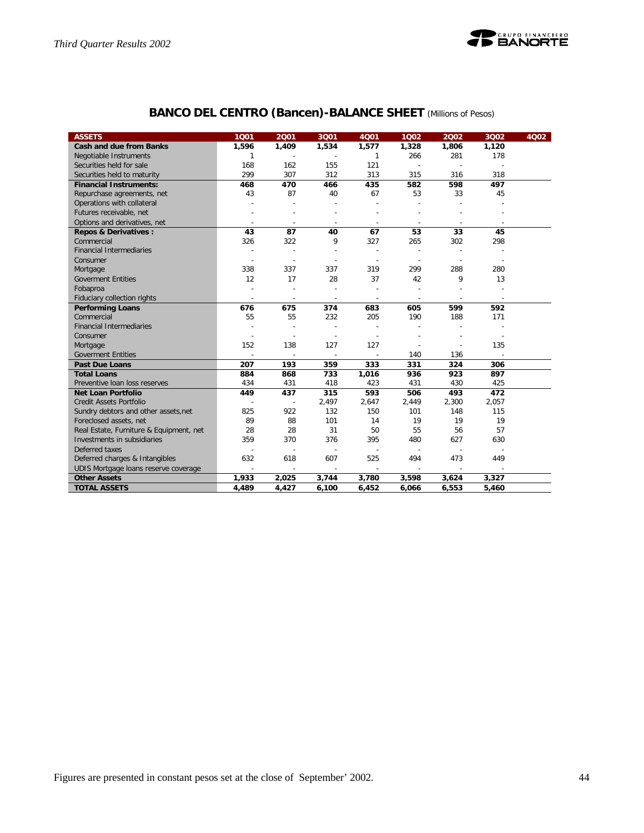![](_page_43_Picture_1.jpeg)

# **BANCO DEL CENTRO (Bancen)-BALANCE SHEET** *(Millions of Pesos)*

| <b>ASSETS</b>                           | 1 <sub>Q01</sub>         | 2001                     | 3Q01                     | 4Q01                     | 1Q02                     | 2002                     | 3Q02                     | 4Q02 |
|-----------------------------------------|--------------------------|--------------------------|--------------------------|--------------------------|--------------------------|--------------------------|--------------------------|------|
| <b>Cash and due from Banks</b>          | 1,596                    | 1,409                    | 1,534                    | 1,577                    | 1,328                    | 1,806                    | 1,120                    |      |
| Negotiable Instruments                  | 1                        |                          | $\overline{a}$           | 1                        | 266                      | 281                      | 178                      |      |
| Securities held for sale                | 168                      | 162                      | 155                      | 121                      |                          |                          |                          |      |
| Securities held to maturity             | 299                      | 307                      | 312                      | 313                      | 315                      | 316                      | 318                      |      |
| <b>Financial Instruments:</b>           | 468                      | 470                      | 466                      | 435                      | 582                      | 598                      | 497                      |      |
| Repurchase agreements, net              | 43                       | 87                       | 40                       | 67                       | 53                       | 33                       | 45                       |      |
| Operations with collateral              |                          |                          |                          |                          |                          |                          |                          |      |
| Futures receivable, net                 |                          |                          | $\overline{\phantom{a}}$ |                          |                          |                          |                          |      |
| Options and derivatives, net            |                          | ÷                        | $\overline{a}$           | ÷,                       |                          |                          |                          |      |
| <b>Repos &amp; Derivatives:</b>         | 43                       | 87                       | 40                       | 67                       | 53                       | 33                       | 45                       |      |
| Commercial                              | 326                      | 322                      | 9                        | 327                      | 265                      | 302                      | 298                      |      |
| <b>Financial Intermediaries</b>         |                          |                          | $\overline{\phantom{a}}$ | ÷,                       | $\overline{\phantom{a}}$ | $\overline{\phantom{a}}$ |                          |      |
| Consumer                                |                          |                          | $\overline{a}$           |                          |                          |                          |                          |      |
| Mortgage                                | 338                      | 337                      | 337                      | 319                      | 299                      | 288                      | 280                      |      |
| <b>Goverment Entities</b>               | 12                       | 17                       | 28                       | 37                       | 42                       | 9                        | 13                       |      |
| Fobaproa                                |                          |                          | $\overline{a}$           |                          |                          |                          |                          |      |
| Fiduciary collection rights             | $\overline{\phantom{a}}$ | $\overline{\phantom{a}}$ | $\overline{\phantom{a}}$ | $\overline{\phantom{a}}$ | $\overline{\phantom{a}}$ | ÷                        | $\overline{\phantom{a}}$ |      |
| <b>Performing Loans</b>                 | 676                      | 675                      | 374                      | 683                      | 605                      | 599                      | 592                      |      |
| Commercial                              | 55                       | 55                       | 232                      | 205                      | 190                      | 188                      | 171                      |      |
| <b>Financial Intermediaries</b>         |                          |                          |                          |                          |                          |                          |                          |      |
| Consumer                                |                          |                          | ÷,                       |                          |                          |                          |                          |      |
| Mortgage                                | 152                      | 138                      | 127                      | 127                      |                          |                          | 135                      |      |
| <b>Goverment Entities</b>               | $\overline{a}$           | $\overline{\phantom{a}}$ | $\overline{a}$           | $\overline{a}$           | 140                      | 136                      |                          |      |
| <b>Past Due Loans</b>                   | 207                      | 193                      | 359                      | 333                      | 331                      | 324                      | 306                      |      |
| <b>Total Loans</b>                      | 884                      | 868                      | 733                      | 1,016                    | 936                      | 923                      | 897                      |      |
| Preventive Ioan loss reserves           | 434                      | 431                      | 418                      | 423                      | 431                      | 430                      | 425                      |      |
| <b>Net Loan Portfolio</b>               | 449                      | 437                      | 315                      | 593                      | 506                      | 493                      | 472                      |      |
| <b>Credit Assets Portfolio</b>          |                          | $\overline{a}$           | 2,497                    | 2,647                    | 2,449                    | 2,300                    | 2,057                    |      |
| Sundry debtors and other assets, net    | 825                      | 922                      | 132                      | 150                      | 101                      | 148                      | 115                      |      |
| Foreclosed assets, net                  | 89                       | 88                       | 101                      | 14                       | 19                       | 19                       | 19                       |      |
| Real Estate, Furniture & Equipment, net | 28                       | 28                       | 31                       | 50                       | 55                       | 56                       | 57                       |      |
| Investments in subsidiaries             | 359                      | 370                      | 376                      | 395                      | 480                      | 627                      | 630                      |      |
| Deferred taxes                          |                          |                          | $\sim$                   | L,                       |                          |                          |                          |      |
| Deferred charges & Intangibles          | 632                      | 618                      | 607                      | 525                      | 494                      | 473                      | 449                      |      |
| UDIS Mortgage loans reserve coverage    |                          |                          |                          |                          |                          |                          |                          |      |
| <b>Other Assets</b>                     | 1,933                    | 2,025                    | 3,744                    | 3,780                    | 3,598                    | 3,624                    | 3,327                    |      |
| <b>TOTAL ASSETS</b>                     | 4,489                    | 4,427                    | 6,100                    | 6,452                    | 6,066                    | 6,553                    | 5,460                    |      |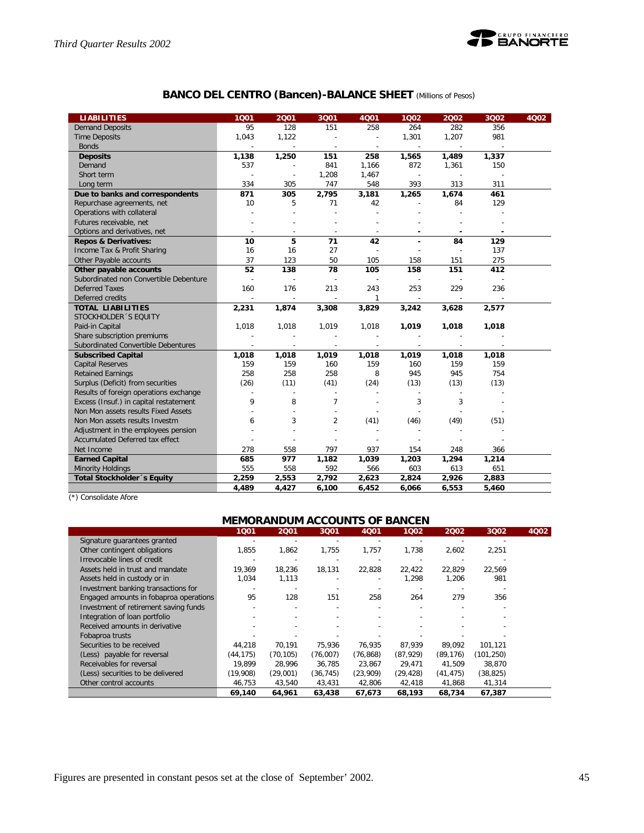![](_page_44_Picture_1.jpeg)

# **BANCO DEL CENTRO (Bancen)-BALANCE SHEET** *(Millions of Pesos)*

| <b>LIABILITIES</b>                     | 1001           | 2001  | 3Q01                     | 4001                     | 1002           | 2002                     | 3Q02  | 4Q02 |
|----------------------------------------|----------------|-------|--------------------------|--------------------------|----------------|--------------------------|-------|------|
| <b>Demand Deposits</b>                 | 95             | 128   | 151                      | 258                      | 264            | 282                      | 356   |      |
| <b>Time Deposits</b>                   | 1,043          | 1,122 | Ĭ.                       | ÷,                       | 1,301          | 1,207                    | 981   |      |
| <b>Bonds</b>                           |                |       | $\overline{\phantom{a}}$ | $\sim$                   |                | ÷,                       |       |      |
| <b>Deposits</b>                        | 1,138          | 1,250 | 151                      | 258                      | 1,565          | 1,489                    | 1,337 |      |
| Demand                                 | 537            |       | 841                      | 1,166                    | 872            | 1,361                    | 150   |      |
| Short term                             | $\overline{a}$ |       | 1,208                    | 1,467                    | $\overline{a}$ |                          |       |      |
| Long term                              | 334            | 305   | 747                      | 548                      | 393            | 313                      | 311   |      |
| Due to banks and correspondents        | 871            | 305   | 2,795                    | 3,181                    | 1,265          | 1,674                    | 461   |      |
| Repurchase agreements, net             | 10             | 5     | 71                       | 42                       |                | 84                       | 129   |      |
| Operations with collateral             |                |       |                          |                          |                |                          |       |      |
| Futures receivable, net                |                |       |                          |                          |                |                          |       |      |
| Options and derivatives, net           |                |       | $\overline{\phantom{a}}$ |                          |                |                          |       |      |
| <b>Repos &amp; Derivatives:</b>        | 10             | 5     | 71                       | 42                       | ÷,             | 84                       | 129   |      |
| Income Tax & Profit Sharing            | 16             | 16    | 27                       | ÷                        |                | $\overline{\phantom{a}}$ | 137   |      |
| Other Payable accounts                 | 37             | 123   | 50                       | 105                      | 158            | 151                      | 275   |      |
| Other payable accounts                 | 52             | 138   | 78                       | 105                      | 158            | 151                      | 412   |      |
| Subordinated non Convertible Debenture |                |       | $\sim$                   |                          |                |                          |       |      |
| <b>Deferred Taxes</b>                  | 160            | 176   | 213                      | 243                      | 253            | 229                      | 236   |      |
| Deferred credits                       |                |       | $\overline{\phantom{a}}$ | 1                        |                |                          |       |      |
| <b>TOTAL LIABILITIES</b>               | 2,231          | 1,874 | 3,308                    | 3,829                    | 3,242          | 3,628                    | 2,577 |      |
| STOCKHOLDER 'S EQUITY                  |                |       |                          |                          |                |                          |       |      |
| Paid-in Capital                        | 1,018          | 1,018 | 1,019                    | 1,018                    | 1,019          | 1,018                    | 1,018 |      |
| Share subscription premiums            |                |       | $\overline{a}$           |                          |                |                          |       |      |
| Subordinated Convertible Debentures    |                |       | $\overline{a}$           |                          |                |                          |       |      |
| <b>Subscribed Capital</b>              | 1,018          | 1,018 | 1,019                    | 1,018                    | 1,019          | 1,018                    | 1,018 |      |
| <b>Capital Reserves</b>                | 159            | 159   | 160                      | 159                      | 160            | 159                      | 159   |      |
| <b>Retained Earnings</b>               | 258            | 258   | 258                      | 8                        | 945            | 945                      | 754   |      |
| Surplus (Deficit) from securities      | (26)           | (11)  | (41)                     | (24)                     | (13)           | (13)                     | (13)  |      |
| Results of foreign operations exchange | $\overline{a}$ |       | $\sim$                   | $\overline{\phantom{a}}$ | $\sim$         | $\overline{\phantom{a}}$ |       |      |
| Excess (Insuf.) in capital restatement | 9              | 8     | $\overline{7}$           |                          | 3              | 3                        |       |      |
| Non Mon assets results Fixed Assets    |                |       | $\overline{a}$           |                          |                |                          |       |      |
| Non Mon assets results Investm         | 6              | 3     | $\overline{2}$           | (41)                     | (46)           | (49)                     | (51)  |      |
| Adjustment in the employees pension    |                |       | $\overline{a}$           |                          |                |                          |       |      |
| Accumulated Deferred tax effect        |                |       |                          |                          |                |                          |       |      |
| Net Income                             | 278            | 558   | 797                      | 937                      | 154            | 248                      | 366   |      |
| <b>Earned Capital</b>                  | 685            | 977   | 1,182                    | 1,039                    | 1,203          | 1,294                    | 1,214 |      |
| <b>Minority Holdings</b>               | 555            | 558   | 592                      | 566                      | 603            | 613                      | 651   |      |
| Total Stockholder 's Equity            | 2,259          | 2,553 | 2,792                    | 2,623                    | 2,824          | 2,926                    | 2,883 |      |
|                                        | 4.489          | 4,427 | 6,100                    | 6,452                    | 6,066          | 6,553                    | 5,460 |      |

(\*) Consolidate Afore

#### **MEMORANDUM ACCOUNTS OF BANCEN**

|                                        | 1001     | 2001      | 3Q01                     | 4Q01      | 1Q02      | 2002      | 3Q02       | 4Q02 |
|----------------------------------------|----------|-----------|--------------------------|-----------|-----------|-----------|------------|------|
| Signature quarantees granted           |          |           |                          |           |           |           |            |      |
| Other contingent obligations           | 1,855    | 1,862     | 1,755                    | 1,757     | 1,738     | 2,602     | 2,251      |      |
| Irrevocable lines of credit            |          |           |                          |           |           |           |            |      |
| Assets held in trust and mandate       | 19,369   | 18,236    | 18,131                   | 22,828    | 22,422    | 22,829    | 22,569     |      |
| Assets held in custody or in           | 1,034    | 1,113     |                          |           | 1,298     | 1.206     | 981        |      |
| Investment banking transactions for    |          |           |                          |           |           |           |            |      |
| Engaged amounts in fobaproa operations | 95       | 128       | 151                      | 258       | 264       | 279       | 356        |      |
| Investment of retirement saving funds  |          |           |                          |           |           |           |            |      |
| Integration of loan portfolio          |          |           |                          |           |           |           |            |      |
| Received amounts in derivative         |          |           | $\overline{\phantom{a}}$ |           |           |           |            |      |
| Fobaproa trusts                        |          |           |                          |           |           |           |            |      |
| Securities to be received              | 44,218   | 70,191    | 75.936                   | 76.935    | 87,939    | 89.092    | 101,121    |      |
| (Less) payable for reversal            | (44.175) | (70, 105) | (76,007)                 | (76, 868) | (87,929)  | (89, 176) | (101, 250) |      |
| Receivables for reversal               | 19.899   | 28.996    | 36.785                   | 23.867    | 29,471    | 41.509    | 38.870     |      |
| (Less) securities to be delivered      | (19,908) | (29,001)  | (36, 745)                | (23,909)  | (29, 428) | (41, 475) | (38, 825)  |      |
| Other control accounts                 | 46,753   | 43,540    | 43,431                   | 42,806    | 42,418    | 41,868    | 41,314     |      |
|                                        | 69,140   | 64,961    | 63,438                   | 67,673    | 68,193    | 68,734    | 67.387     |      |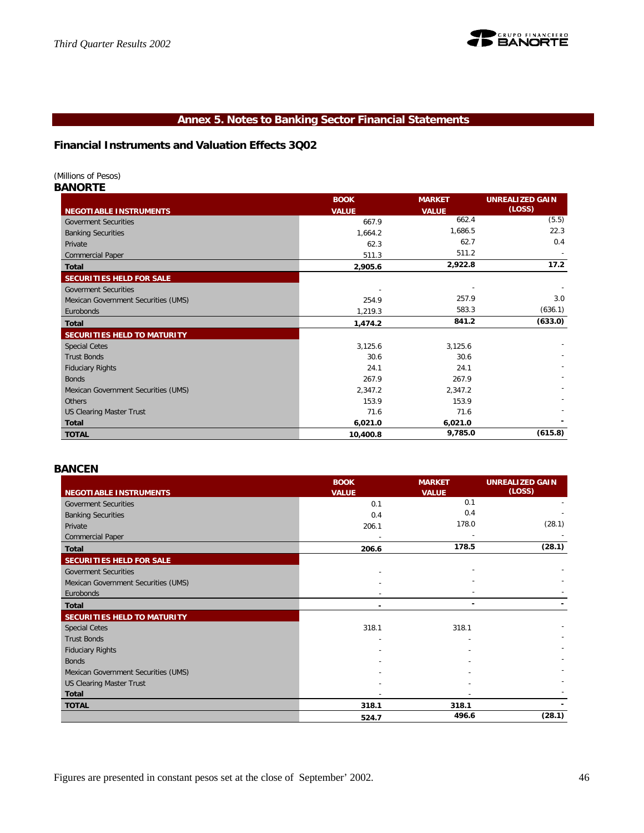![](_page_45_Picture_1.jpeg)

# **Annex 5. Notes to Banking Sector Financial Statements**

# **Financial Instruments and Valuation Effects 3Q02**

*(Millions of Pesos)*

*BANORTE*

|                                     | <b>BOOK</b>  | <b>MARKET</b> | <b>UNREALIZED GAIN</b> |
|-------------------------------------|--------------|---------------|------------------------|
| <b>NEGOTIABLE INSTRUMENTS</b>       | <b>VALUE</b> | <b>VALUE</b>  | (LOSS)                 |
| <b>Goverment Securities</b>         | 667.9        | 662.4         | (5.5)                  |
| <b>Banking Securities</b>           | 1,664.2      | 1,686.5       | 22.3                   |
| Private                             | 62.3         | 62.7          | 0.4                    |
| <b>Commercial Paper</b>             | 511.3        | 511.2         |                        |
| <b>Total</b>                        | 2,905.6      | 2,922.8       | 17.2                   |
| SECURITIES HELD FOR SALE            |              |               |                        |
| <b>Goverment Securities</b>         |              |               |                        |
| Mexican Government Securities (UMS) | 254.9        | 257.9         | 3.0                    |
| Eurobonds                           | 1,219.3      | 583.3         | (636.1)                |
| <b>Total</b>                        | 1,474.2      | 841.2         | (633.0)                |
| SECURITIES HELD TO MATURITY         |              |               |                        |
| <b>Special Cetes</b>                | 3,125.6      | 3,125.6       |                        |
| <b>Trust Bonds</b>                  | 30.6         | 30.6          |                        |
| <b>Fiduciary Rights</b>             | 24.1         | 24.1          |                        |
| <b>Bonds</b>                        | 267.9        | 267.9         |                        |
| Mexican Government Securities (UMS) |              |               |                        |
|                                     | 2,347.2      | 2,347.2       |                        |
| <b>Others</b>                       | 153.9        | 153.9         |                        |
| <b>US Clearing Master Trust</b>     | 71.6         | 71.6          |                        |
| <b>Total</b>                        | 6,021.0      | 6,021.0       |                        |

#### *BANCEN*

|                                     | <b>BOOK</b>  | <b>MARKET</b> | <b>UNREALIZED GAIN</b> |
|-------------------------------------|--------------|---------------|------------------------|
| NEGOTIABLE INSTRUMENTS              | <b>VALUE</b> | <b>VALUE</b>  | (LOSS)                 |
| <b>Goverment Securities</b>         | 0.1          | 0.1           |                        |
| <b>Banking Securities</b>           | 0.4          | 0.4           |                        |
| Private                             | 206.1        | 178.0         | (28.1)                 |
| <b>Commercial Paper</b>             |              |               |                        |
| Total                               | 206.6        | 178.5         | (28.1)                 |
| SECURITIES HELD FOR SALE            |              |               |                        |
| <b>Goverment Securities</b>         |              |               |                        |
| Mexican Government Securities (UMS) |              |               |                        |
| Eurobonds                           |              |               |                        |
| <b>Total</b>                        |              |               |                        |
| SECURITIES HELD TO MATURITY         |              |               |                        |
| <b>Special Cetes</b>                | 318.1        | 318.1         |                        |
| <b>Trust Bonds</b>                  |              |               |                        |
| <b>Fiduciary Rights</b>             |              |               |                        |
| <b>Bonds</b>                        |              |               |                        |
| Mexican Government Securities (UMS) |              |               |                        |
| <b>US Clearing Master Trust</b>     |              |               |                        |
| Total                               |              |               |                        |
| <b>TOTAL</b>                        | 318.1        | 318.1         |                        |
|                                     | 524.7        | 496.6         | (28.1)                 |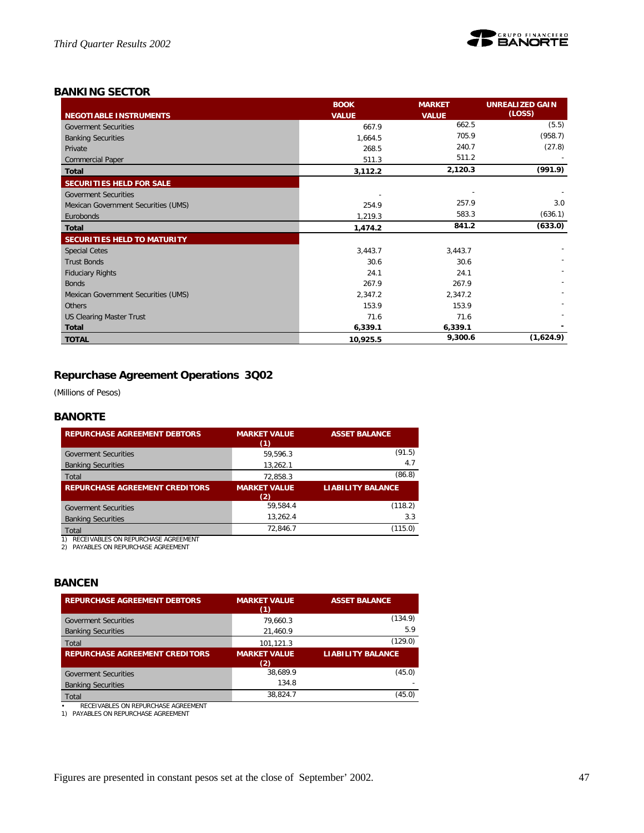![](_page_46_Picture_1.jpeg)

# *BANKING SECTOR*

|                                     | <b>BOOK</b>  | <b>MARKET</b> | <b>UNREALIZED GAIN</b> |
|-------------------------------------|--------------|---------------|------------------------|
| <b>NEGOTIABLE INSTRUMENTS</b>       | <b>VALUE</b> | <b>VALUE</b>  | (LOSS)                 |
| <b>Goverment Securities</b>         | 667.9        | 662.5         | (5.5)                  |
| <b>Banking Securities</b>           | 1,664.5      | 705.9         | (958.7)                |
| Private                             | 268.5        | 240.7         | (27.8)                 |
| <b>Commercial Paper</b>             | 511.3        | 511.2         |                        |
| Total                               | 3,112.2      | 2,120.3       | (991.9)                |
| SECURITIES HELD FOR SALE            |              |               |                        |
| <b>Goverment Securities</b>         |              |               |                        |
| Mexican Government Securities (UMS) | 254.9        | 257.9         | 3.0                    |
| Eurobonds                           | 1,219.3      | 583.3         | (636.1)                |
| <b>Total</b>                        | 1,474.2      | 841.2         | (633.0)                |
| SECURITIES HELD TO MATURITY         |              |               |                        |
| <b>Special Cetes</b>                | 3,443.7      | 3,443.7       |                        |
| <b>Trust Bonds</b>                  | 30.6         | 30.6          |                        |
| <b>Fiduciary Rights</b>             | 24.1         | 24.1          |                        |
| <b>Bonds</b>                        | 267.9        | 267.9         |                        |
| Mexican Government Securities (UMS) | 2,347.2      | 2,347.2       |                        |
| Others                              | 153.9        | 153.9         |                        |
| <b>US Clearing Master Trust</b>     | 71.6         | 71.6          |                        |
| <b>Total</b>                        | 6,339.1      | 6,339.1       |                        |
| <b>TOTAL</b>                        | 10,925.5     | 9,300.6       | (1,624.9)              |

# **Repurchase Agreement Operations 3Q02**

*(Millions of Pesos)*

# *BANORTE*

| <b>REPURCHASE AGREEMENT DEBTORS</b>                                           | <b>MARKET VALUE</b><br>(1) | <b>ASSET BALANCE</b>     |
|-------------------------------------------------------------------------------|----------------------------|--------------------------|
| <b>Goverment Securities</b>                                                   | 59.596.3                   | (91.5)                   |
| <b>Banking Securities</b>                                                     | 13,262.1                   | 4.7                      |
| Total                                                                         | 72.858.3                   | (86.8)                   |
| <b>REPURCHASE AGREEMENT CREDITORS</b>                                         | <b>MARKET VALUE</b><br>(2) | <b>LIABILITY BALANCE</b> |
| <b>Goverment Securities</b>                                                   | 59.584.4                   | (118.2)                  |
| <b>Banking Securities</b>                                                     | 13,262.4                   | 3.3                      |
| Total                                                                         | 72.846.7                   | (115.0)                  |
| RECEIVABLES ON REPURCHASE AGREEMENT<br>PAYABLES ON REPURCHASE AGREEMENT<br>2) |                            |                          |

## *BANCEN*

| <b>REPURCHASE AGREEMENT DEBTORS</b>   | <b>MARKET VALUE</b><br>(1) | <b>ASSET BALANCE</b>     |
|---------------------------------------|----------------------------|--------------------------|
| <b>Goverment Securities</b>           | 79.660.3                   | (134.9)                  |
| <b>Banking Securities</b>             | 21,460.9                   | 5.9                      |
| Total                                 | 101,121.3                  | (129.0)                  |
| <b>REPURCHASE AGREEMENT CREDITORS</b> | <b>MARKET VALUE</b><br>(2) | <b>LIABILITY BALANCE</b> |
| <b>Goverment Securities</b>           | 38.689.9                   | (45.0)                   |
| <b>Banking Securities</b>             | 134.8                      |                          |
| Total                                 | 38,824.7                   | (45.0)                   |

• RECEIVABLES ON REPURCHASE AGREEMENT 1) PAYABLES ON REPURCHASE AGREEMENT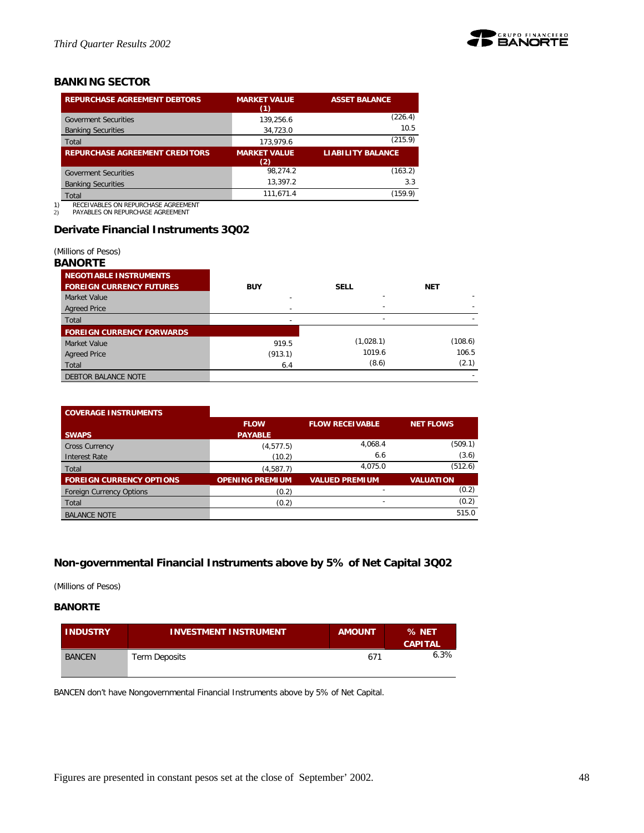![](_page_47_Picture_1.jpeg)

# *BANKING SECTOR*

| <b>REPURCHASE AGREEMENT DEBTORS</b>   | <b>MARKET VALUE</b><br>(1) | <b>ASSET BALANCE</b>     |
|---------------------------------------|----------------------------|--------------------------|
| <b>Goverment Securities</b>           | 139.256.6                  | (226.4)                  |
| <b>Banking Securities</b>             | 34,723.0                   | 10.5                     |
| Total                                 | 173.979.6                  | (215.9)                  |
| <b>REPURCHASE AGREEMENT CREDITORS</b> | <b>MARKET VALUE</b>        | <b>LIABILITY BALANCE</b> |
|                                       | (2)                        |                          |
| <b>Goverment Securities</b>           | 98.274.2                   | (163.2)                  |
| <b>Banking Securities</b>             | 13.397.2                   | 3.3                      |
| Total                                 | 111.671.4                  | (159.9)                  |

1) RECEIVABLES ON REPURCHASE AGREEMENT 2) PAYABLES ON REPURCHASE AGREEMENT

# **Derivate Financial Instruments 3Q02**

*(Millions of Pesos)*

## *BANORTE*

| <b>NEGOTIABLE INSTRUMENTS</b>    |            |                          |            |
|----------------------------------|------------|--------------------------|------------|
| <b>FOREIGN CURRENCY FUTURES</b>  | <b>BUY</b> | <b>SELL</b>              | <b>NET</b> |
| Market Value                     |            | ۰                        |            |
| <b>Agreed Price</b>              |            | ۰                        |            |
| Total                            |            | $\overline{\phantom{a}}$ |            |
| <b>FOREIGN CURRENCY FORWARDS</b> |            |                          |            |
| Market Value                     | 919.5      | (1,028.1)                | (108.6)    |
| <b>Agreed Price</b>              | (913.1)    | 1019.6                   | 106.5      |
| Total                            | 6.4        | (8.6)                    | (2.1)      |
| <b>DEBTOR BALANCE NOTE</b>       |            |                          |            |

# **COVERAGE INSTRUMENTS**

|                                 | <b>FLOW</b>            | <b>FLOW RECEIVABLE</b> | NET FLOWS        |
|---------------------------------|------------------------|------------------------|------------------|
| <b>SWAPS</b>                    | <b>PAYABLE</b>         |                        |                  |
| <b>Cross Currency</b>           | (4, 577.5)             | 4,068.4                | (509.1)          |
| Interest Rate                   | (10.2)                 | 6.6                    | (3.6)            |
| Total                           | (4, 587.7)             | 4,075.0                | (512.6)          |
| <b>FOREIGN CURRENCY OPTIONS</b> | <b>OPENING PREMIUM</b> | <b>VALUED PREMIUM</b>  | <b>VALUATION</b> |
| <b>Foreign Currency Options</b> | (0.2)                  |                        | (0.2)            |
| Total                           | (0.2)                  | -                      | (0.2)            |
| <b>BALANCE NOTE</b>             |                        |                        | 515.0            |

# **Non-governmental Financial Instruments above by 5% of Net Capital 3Q02**

*(Millions of Pesos)*

# **BANORTE**

| <b>INDUSTRY</b> | <b>INVESTMENT INSTRUMENT</b> | <b>AMOUNT</b> | % NET<br><b>CAPITAL</b> |
|-----------------|------------------------------|---------------|-------------------------|
| <b>BANCEN</b>   | Term Deposits                | 671           | 6.3%                    |

BANCEN don't have Nongovernmental Financial Instruments above by 5% of Net Capital.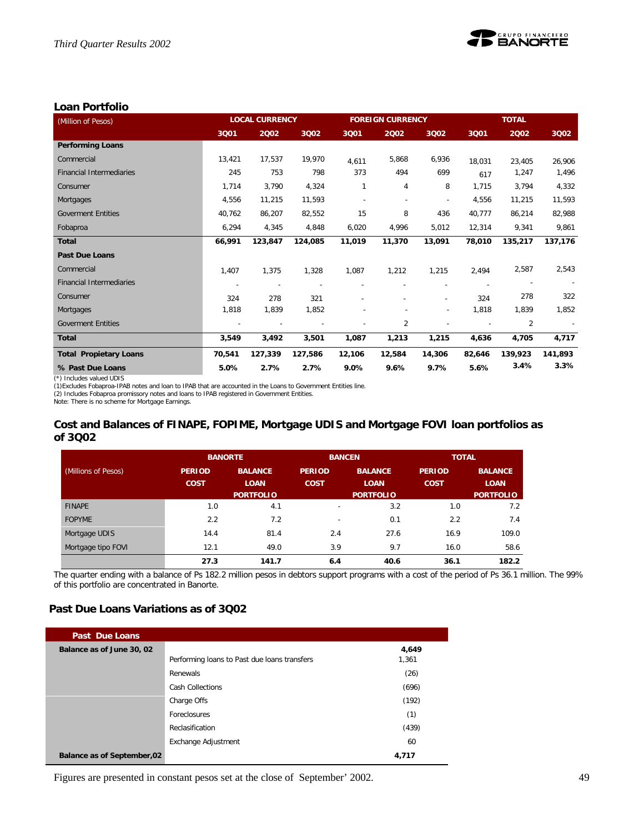![](_page_48_Picture_1.jpeg)

# **Loan Portfolio**

| (Million of Pesos)              | <b>LOCAL CURRENCY</b> |         |         | <b>FOREIGN CURRENCY</b> |        |                          | <b>TOTAL</b> |         |         |
|---------------------------------|-----------------------|---------|---------|-------------------------|--------|--------------------------|--------------|---------|---------|
|                                 | 3Q01                  | 2002    | 3002    | 3Q01                    | 2002   | 3002                     | 3Q01         | 2002    | 3Q02    |
| <b>Performing Loans</b>         |                       |         |         |                         |        |                          |              |         |         |
| Commercial                      | 13,421                | 17,537  | 19,970  | 4,611                   | 5,868  | 6,936                    | 18,031       | 23,405  | 26,906  |
| <b>Financial Intermediaries</b> | 245                   | 753     | 798     | 373                     | 494    | 699                      | 617          | 1,247   | 1,496   |
| Consumer                        | 1,714                 | 3,790   | 4,324   | 1                       | 4      | 8                        | 1,715        | 3,794   | 4,332   |
| Mortgages                       | 4,556                 | 11,215  | 11,593  |                         |        | $\overline{\phantom{a}}$ | 4,556        | 11,215  | 11,593  |
| <b>Goverment Entities</b>       | 40,762                | 86,207  | 82,552  | 15                      | 8      | 436                      | 40,777       | 86,214  | 82,988  |
| Fobaproa                        | 6,294                 | 4,345   | 4,848   | 6,020                   | 4,996  | 5,012                    | 12,314       | 9,341   | 9,861   |
| <b>Total</b>                    | 66,991                | 123,847 | 124,085 | 11,019                  | 11,370 | 13,091                   | 78,010       | 135,217 | 137,176 |
| <b>Past Due Loans</b>           |                       |         |         |                         |        |                          |              |         |         |
| Commercial                      | 1,407                 | 1,375   | 1,328   | 1,087                   | 1,212  | 1,215                    | 2,494        | 2,587   | 2,543   |
| <b>Financial Intermediaries</b> |                       |         |         |                         |        |                          |              |         |         |
| Consumer                        | 324                   | 278     | 321     |                         |        |                          | 324          | 278     | 322     |
| Mortgages                       | 1,818                 | 1,839   | 1,852   |                         |        |                          | 1,818        | 1,839   | 1,852   |
| <b>Goverment Entities</b>       |                       |         |         |                         | 2      |                          |              | 2       |         |
| <b>Total</b>                    | 3,549                 | 3,492   | 3,501   | 1,087                   | 1,213  | 1,215                    | 4,636        | 4,705   | 4,717   |
| <b>Total Propietary Loans</b>   | 70,541                | 127,339 | 127,586 | 12,106                  | 12,584 | 14,306                   | 82,646       | 139,923 | 141,893 |
| % Past Due Loans                | 5.0%                  | 2.7%    | 2.7%    | 9.0%                    | 9.6%   | 9.7%                     | 5.6%         | 3.4%    | 3.3%    |

(\*) Includes valued UDIS

(1)Excludes Fobaproa-IPAB notes and Ioan to IPAB that are accounted in the Loans to Government Entities line.<br>(2) Includes Fobaproa promissory notes and Ioans to IPAB registered in Government Entities.<br>Note: There is no sc

# **Cost and Balances of FINAPE, FOPIME, Mortgage UDIS and Mortgage FOVI loan portfolios as of 3Q02**

|                     |               | <b>BANORTE</b>                  | <b>BANCEN</b>            |                                 | <b>TOTAL</b>  |                                 |
|---------------------|---------------|---------------------------------|--------------------------|---------------------------------|---------------|---------------------------------|
| (Millions of Pesos) | <b>PERIOD</b> | <b>BALANCE</b>                  | <b>PERIOD</b>            | <b>BALANCE</b>                  | <b>PERIOD</b> | <b>BALANCE</b>                  |
|                     | <b>COST</b>   | <b>LOAN</b><br><b>PORTFOLIO</b> | <b>COST</b>              | <b>LOAN</b><br><b>PORTFOLIO</b> | <b>COST</b>   | <b>LOAN</b><br><b>PORTFOLIO</b> |
| <b>FINAPE</b>       | 1.0           | 4.1                             | $\overline{\phantom{a}}$ | 3.2                             | 1.0           | 7.2                             |
| <b>FOPYME</b>       | 2.2           | 7.2                             | $\overline{\phantom{0}}$ | 0.1                             | 2.2           | 7.4                             |
| Mortgage UDIS       | 14.4          | 81.4                            | 2.4                      | 27.6                            | 16.9          | 109.0                           |
| Mortgage tipo FOVI  | 12.1          | 49.0                            | 3.9                      | 9.7                             | 16.0          | 58.6                            |
|                     | 27.3          | 141.7                           | 6.4                      | 40.6                            | 36.1          | 182.2                           |

The quarter ending with a balance of Ps 182.2 million pesos in debtors support programs with a cost of the period of Ps 36.1 million. The 99% of this portfolio are concentrated in Banorte.

# **Past Due Loans Variations as of 3Q02**

| Past Due Loans                     |                                              |       |
|------------------------------------|----------------------------------------------|-------|
| Balance as of June 30, 02          |                                              | 4,649 |
|                                    | Performing loans to Past due loans transfers | 1,361 |
|                                    | Renewals                                     | (26)  |
|                                    | <b>Cash Collections</b>                      | (696) |
|                                    | Charge Offs                                  | (192) |
|                                    | Foreclosures                                 | (1)   |
|                                    | Reclasification                              | (439) |
|                                    | Exchange Adjustment                          | 60    |
| <b>Balance as of September, 02</b> |                                              | 4,717 |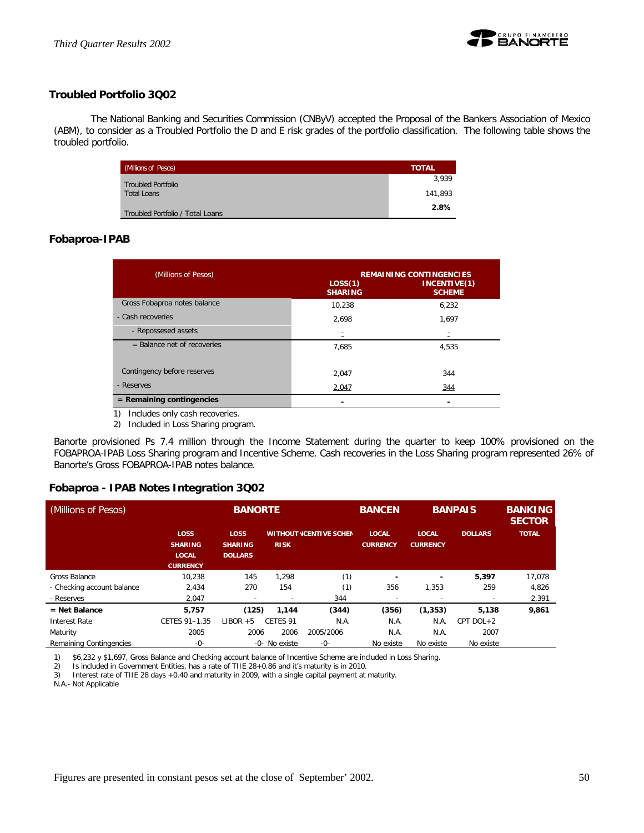![](_page_49_Picture_1.jpeg)

# **Troubled Portfolio 3Q02**

The National Banking and Securities Commission (CNByV) accepted the Proposal of the Bankers Association of Mexico (ABM), to consider as a Troubled Portfolio the D and E risk grades of the portfolio classification. The following table shows the troubled portfolio.

| (Millions of Pesos)              | <b>TOTAL</b> |
|----------------------------------|--------------|
| <b>Troubled Portfolio</b>        | 3.939        |
| <b>Total Loans</b>               | 141.893      |
| Troubled Portfolio / Total Loans | 2.8%         |

# **Fobaproa-IPAB**

| (Millions of Pesos)           | LOS(1)<br><b>SHARING</b> | <b>REMAINING CONTINGENCIES</b><br>INCENTIVE(1)<br><b>SCHEME</b> |
|-------------------------------|--------------------------|-----------------------------------------------------------------|
| Gross Fobaproa notes balance  | 10.238                   | 6,232                                                           |
| - Cash recoveries             | 2,698                    | 1,697                                                           |
| - Repossesed assets           |                          | Ξ                                                               |
| $=$ Balance net of recoveries | 7,685                    | 4,535                                                           |
| Contingency before reserves   | 2.047                    | 344                                                             |
| - Reserves                    | 2,047                    | 344                                                             |
| $=$ Remaining contingencies   |                          |                                                                 |
| Includes only cash recoveries |                          |                                                                 |

Includes only cash recoveries.

2) Included in Loss Sharing program.

Banorte provisioned Ps 7.4 million through the Income Statement during the quarter to keep 100% provisioned on the FOBAPROA-IPAB Loss Sharing program and Incentive Scheme. Cash recoveries in the Loss Sharing program represented 26% of Banorte's Gross FOBAPROA-IPAB notes balance.

## **Fobaproa - IPAB Notes Integration 3Q02**

| (Millions of Pesos)        |                                                                  | <b>BANORTE</b>                           |               |                                | <b>BANCEN</b>                   | <b>BANPAIS</b>                  | <b>BANKING</b><br><b>SECTOR</b> |              |
|----------------------------|------------------------------------------------------------------|------------------------------------------|---------------|--------------------------------|---------------------------------|---------------------------------|---------------------------------|--------------|
|                            | <b>LOSS</b><br><b>SHARING</b><br><b>LOCAL</b><br><b>CURRENCY</b> | LOSS<br><b>SHARING</b><br><b>DOLLARS</b> | <b>RISK</b>   | <b>WITHOUT (CENTIVE SCHEN)</b> | <b>LOCAL</b><br><b>CURRENCY</b> | <b>LOCAL</b><br><b>CURRENCY</b> | <b>DOLLARS</b>                  | <b>TOTAL</b> |
| Gross Balance              | 10.238                                                           | 145                                      | 1.298         | (1)                            | -                               |                                 | 5,397                           | 17.078       |
| - Checking account balance | 2.434                                                            | 270                                      | 154           | (1)                            | 356                             | 1,353                           | 259                             | 4,826        |
| - Reserves                 | 2,047                                                            | -                                        |               | 344                            |                                 |                                 |                                 | 2,391        |
| $=$ Net Balance            | 5.757                                                            | (125)                                    | 1.144         | (344)                          | (356)                           | (1, 353)                        | 5.138                           | 9,861        |
| <b>Interest Rate</b>       | CETES 91-1.35                                                    | $LIBOR + 5$                              | CFTFS 91      | N.A.                           | N.A.                            | N.A.                            | CPT DOL+2                       |              |
| Maturity                   | 2005                                                             | 2006                                     | 2006          | 2005/2006                      | N.A.                            | N.A.                            | 2007                            |              |
| Remaining Contingencies    | $-0-$                                                            |                                          | -0- No existe | $-0-$                          | No existe                       | No existe                       | No existe                       |              |

1) \$6,232 y \$1,697, Gross Balance and Checking account balance of Incentive Scheme are included in Loss Sharing.

2) Is included in Government Entities, has a rate of TIIE 28+0.86 and it's maturity is in 2010.<br>3) Interest rate of TIIE 28 days +0.40 and maturity in 2009, with a single capital payment at

Interest rate of TIIE 28 days +0.40 and maturity in 2009, with a single capital payment at maturity.

N.A.- Not Applicable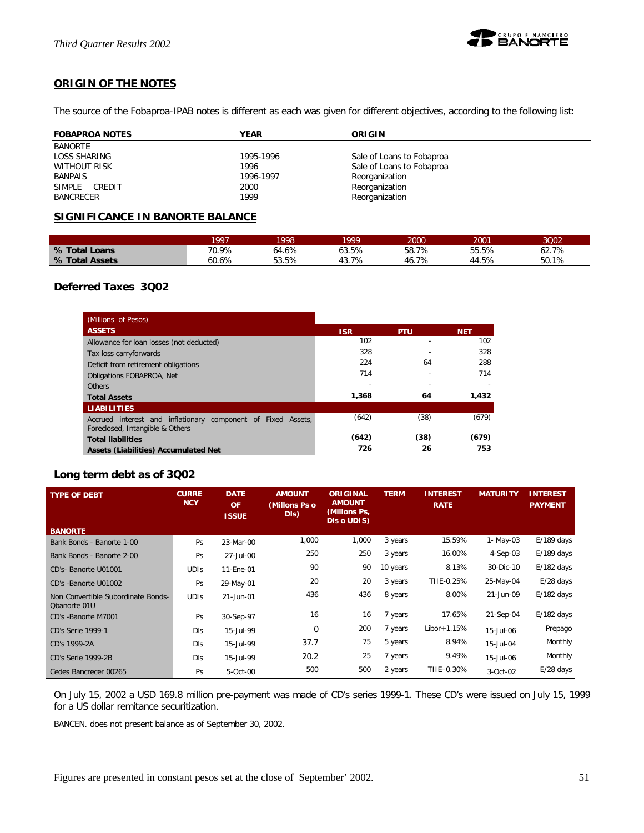![](_page_50_Picture_1.jpeg)

# **ORIGIN OF THE NOTES**

The source of the Fobaproa-IPAB notes is different as each was given for different objectives, according to the following list:

| <b>FOBAPROA NOTES</b> | <b>YEAR</b> | ORIGIN                    |
|-----------------------|-------------|---------------------------|
| BANORTE               |             |                           |
| LOSS SHARING          | 1995-1996   | Sale of Loans to Fobaproa |
| <b>WITHOUT RISK</b>   | 1996        | Sale of Loans to Fobaproa |
| <b>BANPAIS</b>        | 1996-1997   | Reorganization            |
| SIMPLE CREDIT         | 2000        | Reorganization            |
| <b>BANCRECER</b>      | 1999        | Reorganization            |

# **SIGNIFICANCE IN BANORTE BALANCE**

|                | 1997  | 1998  | 1999  | 2000       | 2001  | 3002  |
|----------------|-------|-------|-------|------------|-------|-------|
| % Total Loans  | 70.9% | 64.6% | 53.5% | 58.7%      | 55.5% | 62.7% |
| % Total Assets | 60.6% | 53.5% | 7%    | 7%<br>-46. | 44.5% | 50.1% |

# **Deferred Taxes 3Q02**

| (Millions of Pesos)                                                                             |            |            |            |
|-------------------------------------------------------------------------------------------------|------------|------------|------------|
| <b>ASSETS</b>                                                                                   | <b>ISR</b> | <b>PTU</b> | <b>NET</b> |
| Allowance for loan losses (not deducted)                                                        | 102        |            | 102        |
| Tax loss carryforwards                                                                          | 328        |            | 328        |
| Deficit from retirement obligations                                                             | 224        | 64         | 288        |
| Obligations FOBAPROA, Net                                                                       | 714        |            | 714        |
| <b>Others</b>                                                                                   |            |            |            |
| <b>Total Assets</b>                                                                             | 1,368      | 64         | 1,432      |
| <b>LIABILITIES</b>                                                                              |            |            |            |
| Accrued interest and inflationary component of Fixed Assets.<br>Foreclosed, Intangible & Others | (642)      | (38)       | (679)      |
| <b>Total liabilities</b>                                                                        | (642)      | (38)       | (679)      |
| Assets (Liabilities) Accumulated Net                                                            | 726        | 26         | 753        |

# **Long term debt as of 3Q02**

| <b>TYPE OF DEBT</b>                                | <b>CURRE</b><br><b>NCY</b> | <b>DATE</b><br><b>OF</b><br><b>ISSUE</b> | <b>AMOUNT</b><br>(Millons Ps o<br>DIS) | <b>ORIGINAL</b><br><b>AMOUNT</b><br>(Millons Ps,<br>DIs o UDIS) | <b>TERM</b> | <b>INTEREST</b><br><b>RATE</b> | <b>MATURITY</b> | <b>INTEREST</b><br><b>PAYMENT</b> |
|----------------------------------------------------|----------------------------|------------------------------------------|----------------------------------------|-----------------------------------------------------------------|-------------|--------------------------------|-----------------|-----------------------------------|
| <b>BANORTE</b>                                     |                            |                                          |                                        |                                                                 |             |                                |                 |                                   |
| Bank Bonds - Banorte 1-00                          | Ps                         | 23-Mar-00                                | 1,000                                  | 1,000                                                           | 3 years     | 15.59%                         | 1- May-03       | $E/189$ days                      |
| Bank Bonds - Banorte 2-00                          | Ps                         | 27-Jul-00                                | 250                                    | 250                                                             | 3 years     | 16.00%                         | 4-Sep-03        | $E/189$ days                      |
| CD's- Banorte U01001                               | <b>UDIS</b>                | 11-Ene-01                                | 90                                     | 90                                                              | 10 years    | 8.13%                          | 30-Dic-10       | $E/182$ days                      |
| CD's -Banorte U01002                               | Ps                         | 29-May-01                                | 20                                     | 20                                                              | 3 years     | TIIE-0.25%                     | 25-May-04       | $E/28$ days                       |
| Non Convertible Subordinate Bonds-<br>Obanorte 01U | <b>UDIS</b>                | 21-Jun-01                                | 436                                    | 436                                                             | 8 years     | 8.00%                          | 21-Jun-09       | $E/182$ days                      |
| CD's -Banorte M7001                                | Ps                         | 30-Sep-97                                | 16                                     | 16                                                              | 7 years     | 17.65%                         | 21-Sep-04       | $E/182$ days                      |
| <b>CD's Serie 1999-1</b>                           | <b>DIS</b>                 | 15-Jul-99                                | 0                                      | 200                                                             | 7 years     | $Libor+1.15%$                  | 15-Jul-06       | Prepago                           |
| CD's 1999-2A                                       | DIs                        | 15-Jul-99                                | 37.7                                   | 75                                                              | 5 years     | 8.94%                          | 15-Jul-04       | Monthly                           |
| CD's Serie 1999-2B                                 | <b>DIS</b>                 | 15-Jul-99                                | 20.2                                   | 25                                                              | 7 years     | 9.49%                          | 15-Jul-06       | Monthly                           |
| Cedes Bancrecer 00265                              | Ps                         | 5-Oct-00                                 | 500                                    | 500                                                             | 2 years     | TIIE-0.30%                     | $3-Oct-02$      | $E/28$ days                       |

On July 15, 2002 a USD 169.8 million pre-payment was made of CD's series 1999-1. These CD's were issued on July 15, 1999 for a US dollar remitance securitization.

BANCEN. does not present balance as of September 30, 2002.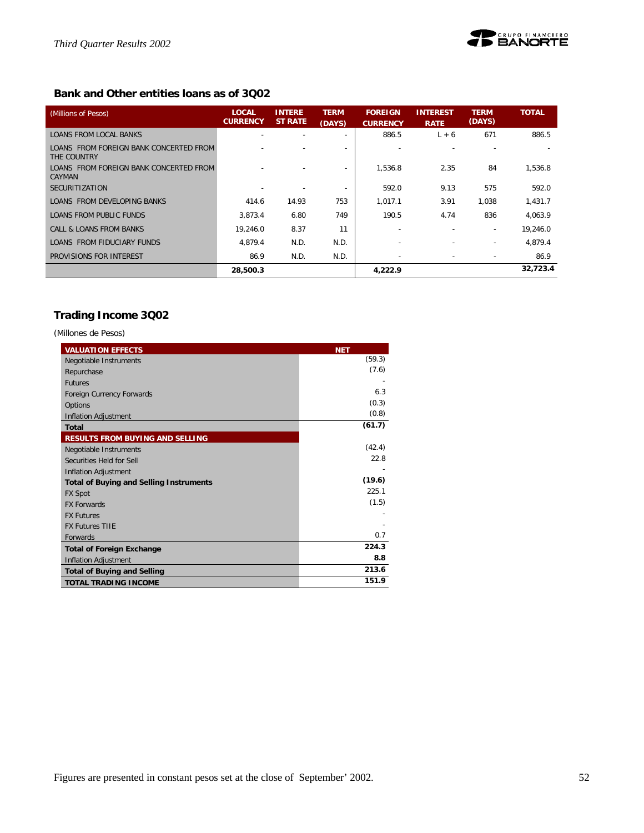![](_page_51_Picture_1.jpeg)

# **Bank and Other entities loans as of 3Q02**

| (Millions of Pesos)                                   | <b>LOCAL</b><br><b>CURRENCY</b> | <b>INTERE</b><br><b>ST RATE</b> | <b>TERM</b><br>(DAYS)    | <b>FOREIGN</b><br><b>CURRENCY</b> | <b>INTEREST</b><br><b>RATE</b> | <b>TERM</b><br>(DAYS)    | <b>TOTAL</b> |
|-------------------------------------------------------|---------------------------------|---------------------------------|--------------------------|-----------------------------------|--------------------------------|--------------------------|--------------|
| <b>LOANS FROM LOCAL BANKS</b>                         |                                 | ٠                               | $\overline{\phantom{a}}$ | 886.5                             | $L + 6$                        | 671                      | 886.5        |
| LOANS FROM FOREIGN BANK CONCERTED FROM<br>THE COUNTRY |                                 |                                 |                          |                                   |                                |                          |              |
| LOANS FROM FOREIGN BANK CONCERTED FROM<br>CAYMAN      |                                 |                                 |                          | 1.536.8                           | 2.35                           | 84                       | 1,536.8      |
| <b>SECURITIZATION</b>                                 |                                 |                                 | $\overline{\phantom{a}}$ | 592.0                             | 9.13                           | 575                      | 592.0        |
| LOANS FROM DEVELOPING BANKS                           | 414.6                           | 14.93                           | 753                      | 1.017.1                           | 3.91                           | 1.038                    | 1,431.7      |
| LOANS FROM PUBLIC FUNDS                               | 3.873.4                         | 6.80                            | 749                      | 190.5                             | 4.74                           | 836                      | 4.063.9      |
| CALL & LOANS FROM BANKS                               | 19.246.0                        | 8.37                            | 11                       |                                   |                                | $\overline{\phantom{a}}$ | 19,246.0     |
| LOANS FROM FIDUCIARY FUNDS                            | 4.879.4                         | N.D.                            | N.D.                     |                                   |                                | $\overline{\phantom{a}}$ | 4.879.4      |
| PROVISIONS FOR INTEREST                               | 86.9                            | N.D.                            | N.D.                     | $\sim$                            |                                |                          | 86.9         |
|                                                       | 28,500.3                        |                                 |                          | 4,222.9                           |                                |                          | 32,723.4     |

# **Trading Income 3Q02**

*(Millones de Pesos)*

| <b>VALUATION EFFECTS</b>                       | <b>NET</b> |
|------------------------------------------------|------------|
| Negotiable Instruments                         | (59.3)     |
| Repurchase                                     | (7.6)      |
| <b>Futures</b>                                 |            |
| Foreign Currency Forwards                      | 6.3        |
| Options                                        | (0.3)      |
| <b>Inflation Adjustment</b>                    | (0.8)      |
| <b>Total</b>                                   | (61.7)     |
| <b>RESULTS FROM BUYING AND SELLING</b>         |            |
| Negotiable Instruments                         | (42.4)     |
| Securities Held for Sell                       | 22.8       |
| <b>Inflation Adjustment</b>                    |            |
| <b>Total of Buying and Selling Instruments</b> | (19.6)     |
| <b>FX Spot</b>                                 | 225.1      |
| <b>FX Forwards</b>                             | (1.5)      |
| <b>FX Futures</b>                              |            |
| <b>FX Futures TIIF</b>                         |            |
| Forwards                                       | 0.7        |
| <b>Total of Foreign Exchange</b>               | 224.3      |
| <b>Inflation Adjustment</b>                    | 8.8        |
| <b>Total of Buying and Selling</b>             | 213.6      |
| <b>TOTAL TRADING INCOME</b>                    | 151.9      |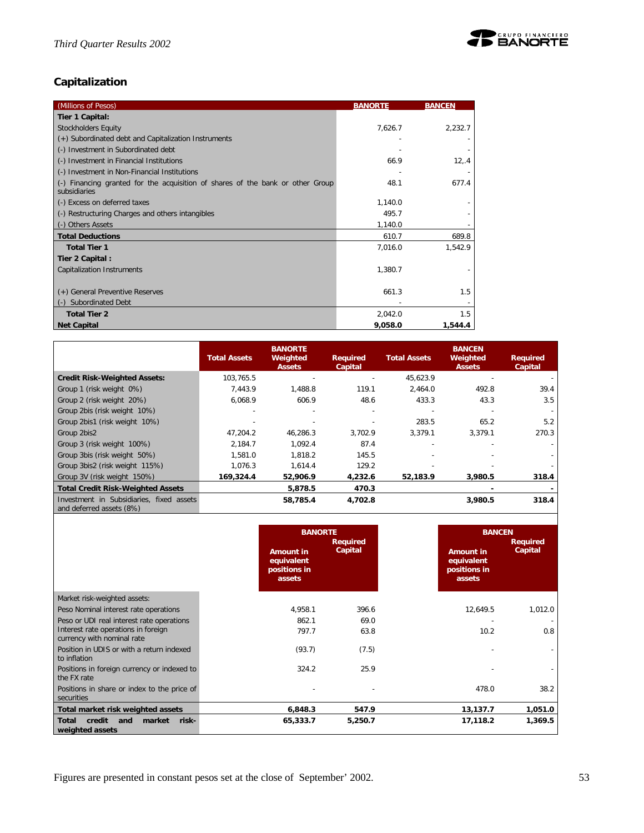![](_page_52_Picture_1.jpeg)

# **Capitalization**

| (Millions of Pesos)                                                                            | <b>BANORTE</b> | <b>BANCEN</b> |
|------------------------------------------------------------------------------------------------|----------------|---------------|
| Tier 1 Capital:                                                                                |                |               |
| <b>Stockholders Equity</b>                                                                     | 7,626.7        | 2,232.7       |
| (+) Subordinated debt and Capitalization Instruments                                           |                |               |
| (-) Investment in Subordinated debt                                                            |                |               |
| (-) Investment in Financial Institutions                                                       | 66.9           | 12, .4        |
| (-) Investment in Non-Financial Institutions                                                   |                |               |
| (-) Financing granted for the acquisition of shares of the bank or other Group<br>subsidiaries | 48.1           | 677.4         |
| (-) Excess on deferred taxes                                                                   | 1,140.0        |               |
| (-) Restructuring Charges and others intangibles                                               | 495.7          |               |
| (-) Others Assets                                                                              | 1,140.0        |               |
| <b>Total Deductions</b>                                                                        | 610.7          | 689.8         |
| <b>Total Tier 1</b>                                                                            | 7,016.0        | 1,542.9       |
| Tier 2 Capital:                                                                                |                |               |
| Capitalization Instruments                                                                     | 1,380.7        |               |
| (+) General Preventive Reserves                                                                | 661.3          | 1.5           |
| <b>Subordinated Debt</b>                                                                       |                |               |
| <b>Total Tier 2</b>                                                                            | 2,042.0        | 1.5           |
| <b>Net Capital</b>                                                                             | 9,058.0        | 1,544.4       |

|                                                                      | <b>Total Assets</b> | <b>BANORTE</b><br>Weighted<br><b>Assets</b> | <b>Required</b><br>Capital | <b>Total Assets</b> | <b>BANCEN</b><br>Weighted<br><b>Assets</b> | <b>Required</b><br>Capital |
|----------------------------------------------------------------------|---------------------|---------------------------------------------|----------------------------|---------------------|--------------------------------------------|----------------------------|
| <b>Credit Risk-Weighted Assets:</b>                                  | 103.765.5           |                                             |                            | 45.623.9            |                                            |                            |
| Group 1 (risk weight 0%)                                             | 7.443.9             | 1,488.8                                     | 119.1                      | 2.464.0             | 492.8                                      | 39.4                       |
| Group 2 (risk weight 20%)                                            | 6,068.9             | 606.9                                       | 48.6                       | 433.3               | 43.3                                       | 3.5                        |
| Group 2bis (risk weight 10%)                                         |                     |                                             |                            |                     |                                            |                            |
| Group 2bis1 (risk weight 10%)                                        |                     |                                             |                            | 283.5               | 65.2                                       | 5.2                        |
| Group 2bis2                                                          | 47.204.2            | 46.286.3                                    | 3.702.9                    | 3.379.1             | 3,379.1                                    | 270.3                      |
| Group 3 (risk weight 100%)                                           | 2.184.7             | 1.092.4                                     | 87.4                       |                     |                                            |                            |
| Group 3bis (risk weight 50%)                                         | 1,581.0             | 1,818.2                                     | 145.5                      |                     |                                            |                            |
| Group 3bis2 (risk weight 115%)                                       | 1.076.3             | 1.614.4                                     | 129.2                      |                     |                                            |                            |
| Group 3V (risk weight 150%)                                          | 169,324.4           | 52,906.9                                    | 4,232.6                    | 52,183.9            | 3,980.5                                    | 318.4                      |
| Total Credit Risk-Weighted Assets                                    |                     | 5,878.5                                     | 470.3                      |                     |                                            |                            |
| Investment in Subsidiaries, fixed assets<br>and deferred assets (8%) |                     | 58,785.4                                    | 4,702.8                    |                     | 3,980.5                                    | 318.4                      |

|                                                                     | <b>BANORTE</b><br><b>Amount in</b><br>equivalent<br>positions in<br>assets | <b>Required</b><br>Capital | <b>Amount in</b><br>equivalent<br>positions in<br>assets | <b>BANCEN</b><br><b>Required</b><br>Capital |
|---------------------------------------------------------------------|----------------------------------------------------------------------------|----------------------------|----------------------------------------------------------|---------------------------------------------|
| Market risk-weighted assets:                                        |                                                                            |                            |                                                          |                                             |
| Peso Nominal interest rate operations                               | 4,958.1                                                                    | 396.6                      | 12,649.5                                                 | 1,012.0                                     |
| Peso or UDI real interest rate operations                           | 862.1                                                                      | 69.0                       |                                                          |                                             |
| Interest rate operations in foreign<br>currency with nominal rate   | 797.7                                                                      | 63.8                       | 10.2                                                     | 0.8                                         |
| Position in UDIS or with a return indexed<br>to inflation           | (93.7)                                                                     | (7.5)                      |                                                          |                                             |
| Positions in foreign currency or indexed to<br>the FX rate          | 324.2                                                                      | 25.9                       |                                                          |                                             |
| Positions in share or index to the price of<br>securities           |                                                                            |                            | 478.0                                                    | 38.2                                        |
| Total market risk weighted assets                                   | 6,848.3                                                                    | 547.9                      | 13,137.7                                                 | 1,051.0                                     |
| credit<br><b>Total</b><br>market<br>risk-<br>and<br>weighted assets | 65,333.7                                                                   | 5,250.7                    | 17,118.2                                                 | 1,369.5                                     |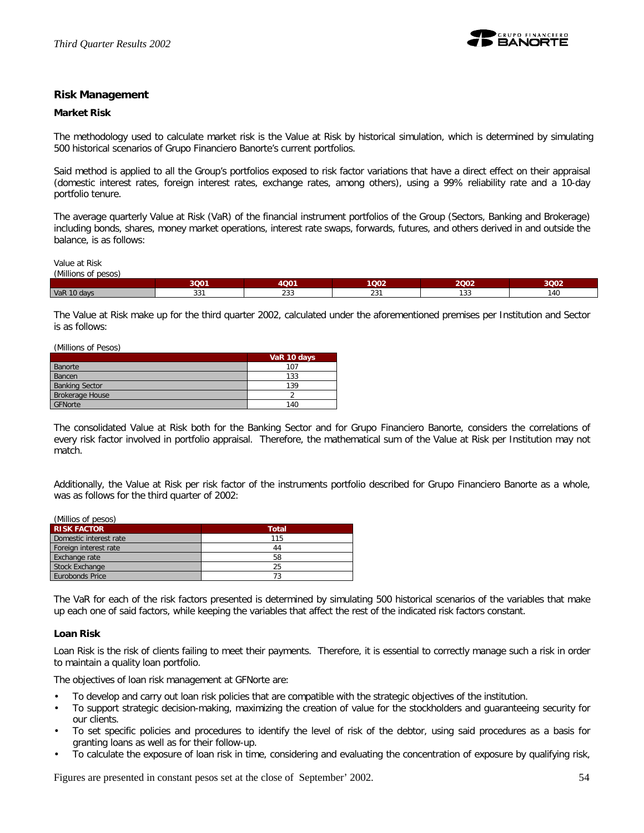![](_page_53_Picture_1.jpeg)

## **Risk Management**

#### **Market Risk**

The methodology used to calculate market risk is the Value at Risk by historical simulation, which is determined by simulating 500 historical scenarios of Grupo Financiero Banorte's current portfolios.

Said method is applied to all the Group's portfolios exposed to risk factor variations that have a direct effect on their appraisal (domestic interest rates, foreign interest rates, exchange rates, among others), using a 99% reliability rate and a 10-day portfolio tenure.

The average quarterly Value at Risk (VaR) of the financial instrument portfolios of the Group (Sectors, Banking and Brokerage) including bonds, shares, money market operations, interest rate swaps, forwards, futures, and others derived in and outside the balance, is as follows:

Value at Risk

| Millions of<br>of pesos |            |               |                   |             |      |
|-------------------------|------------|---------------|-------------------|-------------|------|
|                         | 3Q01       | 4Q01          | 1002              | 2Q02        | 3002 |
| VaR 10 days             | 22<br>33 I | $\sim$<br>دد∠ | $\bigcap$<br>الدے | 122<br>၂ ၁၁ | 140  |

The Value at Risk make up for the third quarter 2002, calculated under the aforementioned premises per Institution and Sector is as follows:

(Millions of Pesos)

|                        | VaR 10 days |
|------------------------|-------------|
| Banorte                | 107         |
| Bancen                 | 133         |
| <b>Banking Sector</b>  | 139         |
| <b>Brokerage House</b> |             |
| GFNorte                | 140         |

The consolidated Value at Risk both for the Banking Sector and for Grupo Financiero Banorte, considers the correlations of every risk factor involved in portfolio appraisal. Therefore, the mathematical sum of the Value at Risk per Institution may not match.

Additionally, the Value at Risk per risk factor of the instruments portfolio described for Grupo Financiero Banorte as a whole, was as follows for the third quarter of 2002:

| (Millios of pesos)     |              |
|------------------------|--------------|
| <b>RISK FACTOR</b>     | <b>Total</b> |
| Domestic interest rate | 115          |
| Foreign interest rate  | 44           |
| Exchange rate          | 58           |
| <b>Stock Exchange</b>  | 25           |
| Eurobonds Price        | 73           |
|                        |              |

The VaR for each of the risk factors presented is determined by simulating 500 historical scenarios of the variables that make up each one of said factors, while keeping the variables that affect the rest of the indicated risk factors constant.

## **Loan Risk**

Loan Risk is the risk of clients failing to meet their payments. Therefore, it is essential to correctly manage such a risk in order to maintain a quality loan portfolio.

The objectives of loan risk management at GFNorte are:

- To develop and carry out loan risk policies that are compatible with the strategic objectives of the institution.
- To support strategic decision-making, maximizing the creation of value for the stockholders and guaranteeing security for our clients.
- To set specific policies and procedures to identify the level of risk of the debtor, using said procedures as a basis for granting loans as well as for their follow-up.
- To calculate the exposure of loan risk in time, considering and evaluating the concentration of exposure by qualifying risk,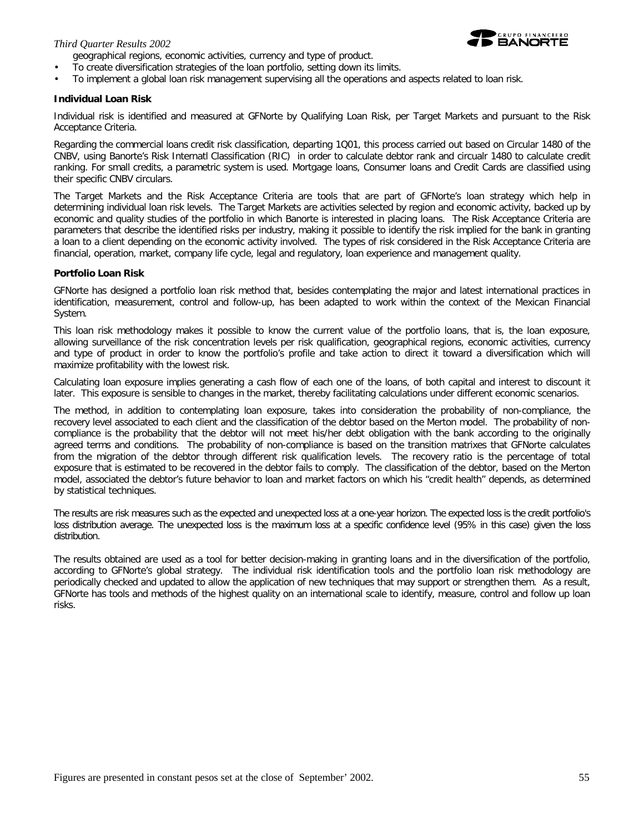#### *Third Quarter Results 2002*

geographical regions, economic activities, currency and type of product.

- To create diversification strategies of the loan portfolio, setting down its limits.
- To implement a global loan risk management supervising all the operations and aspects related to loan risk.

#### **Individual Loan Risk**

Individual risk is identified and measured at GFNorte by Qualifying Loan Risk, per Target Markets and pursuant to the Risk Acceptance Criteria.

Regarding the commercial loans credit risk classification, departing 1Q01, this process carried out based on Circular 1480 of the CNBV, using Banorte's Risk Internatl Classification (RIC) in order to calculate debtor rank and circualr 1480 to calculate credit ranking. For small credits, a parametric system is used. Mortgage loans, Consumer loans and Credit Cards are classified using their specific CNBV circulars.

The Target Markets and the Risk Acceptance Criteria are tools that are part of GFNorte's loan strategy which help in determining individual loan risk levels. The Target Markets are activities selected by region and economic activity, backed up by economic and quality studies of the portfolio in which Banorte is interested in placing loans. The Risk Acceptance Criteria are parameters that describe the identified risks per industry, making it possible to identify the risk implied for the bank in granting a loan to a client depending on the economic activity involved. The types of risk considered in the Risk Acceptance Criteria are financial, operation, market, company life cycle, legal and regulatory, loan experience and management quality.

#### **Portfolio Loan Risk**

GFNorte has designed a portfolio loan risk method that, besides contemplating the major and latest international practices in identification, measurement, control and follow-up, has been adapted to work within the context of the Mexican Financial System.

This loan risk methodology makes it possible to know the current value of the portfolio loans, that is, *the loan exposure*, allowing surveillance of the risk concentration levels per risk qualification, geographical regions, economic activities, currency and type of product in order to know the portfolio's profile and take action to direct it toward a diversification which will maximize profitability with the lowest risk.

Calculating loan exposure implies generating a cash flow of each one of the loans, of both capital and interest to discount it later. This exposure is sensible to changes in the market, thereby facilitating calculations under different economic scenarios.

The method, in addition to contemplating loan exposure, takes into consideration the probability of non-compliance, the recovery level associated to each client and the classification of the debtor based on the Merton model. The *probability of noncompliance* is the probability that the debtor will not meet his/her debt obligation with the bank according to the originally agreed terms and conditions. The probability of non-compliance is based on the transition matrixes that GFNorte calculates from the migration of the debtor through different risk qualification levels. The *recovery ratio* is the percentage of total exposure that is estimated to be recovered in the debtor fails to comply. The *classification of the debtor*, based on the Merton model, associated the debtor's future behavior to loan and market factors on which his "credit health" depends, as determined by statistical techniques.

The results are risk measures such as the expected and unexpected loss at a one-year horizon. The expected loss is the credit portfolio's loss distribution average. The unexpected loss is the maximum loss at a specific confidence level (95% in this case) given the loss distribution.

The results obtained are used as a tool for better decision-making in granting loans and in the diversification of the portfolio, according to GFNorte's global strategy. The individual risk identification tools and the portfolio loan risk methodology are periodically checked and updated to allow the application of new techniques that may support or strengthen them. As a result, GFNorte has tools and methods of the highest quality on an international scale to identify, measure, control and follow up loan risks.

![](_page_54_Picture_17.jpeg)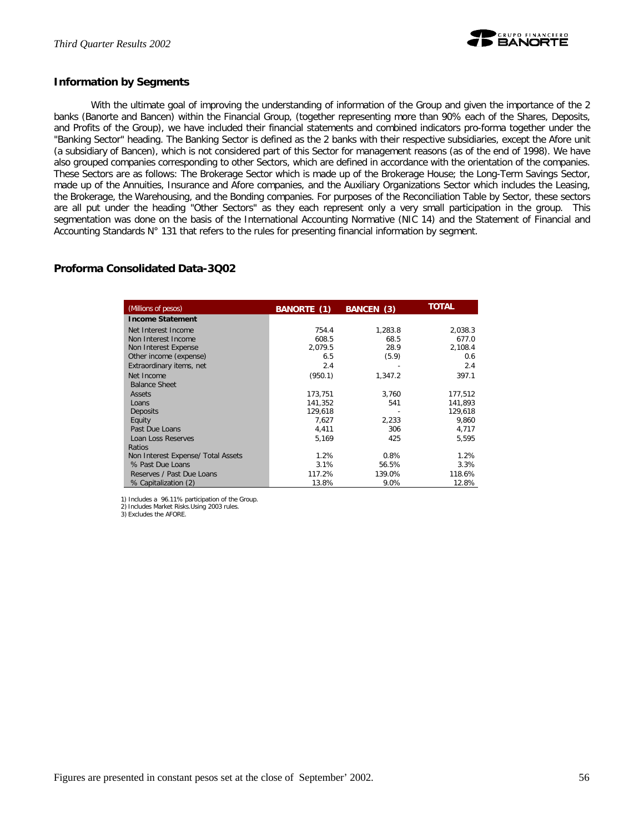![](_page_55_Picture_1.jpeg)

## **Information by Segments**

With the ultimate goal of improving the understanding of information of the Group and given the importance of the 2 banks (Banorte and Bancen) within the Financial Group, (together representing more than 90% each of the Shares, Deposits, and Profits of the Group), we have included their financial statements and combined indicators pro-forma together under the "Banking Sector" heading. The Banking Sector is defined as the 2 banks with their respective subsidiaries, except the Afore unit (a subsidiary of Bancen), which is not considered part of this Sector for management reasons (as of the end of 1998). We have also grouped companies corresponding to other Sectors, which are defined in accordance with the orientation of the companies. These Sectors are as follows: The Brokerage Sector which is made up of the Brokerage House; the Long-Term Savings Sector, made up of the Annuities, Insurance and Afore companies, and the Auxiliary Organizations Sector which includes the Leasing, the Brokerage, the Warehousing, and the Bonding companies. For purposes of the Reconciliation Table by Sector, these sectors are all put under the heading "Other Sectors" as they each represent only a very small participation in the group. This segmentation was done on the basis of the International Accounting Normative (NIC 14) and the Statement of Financial and Accounting Standards N° 131 that refers to the rules for presenting financial information by segment.

# **Proforma Consolidated Data-3Q02**

| (Millions of pesos)                | BANORTE (1) | BANCEN (3) | TOTAL   |
|------------------------------------|-------------|------------|---------|
| <b>Income Statement</b>            |             |            |         |
| Net Interest Income                | 754.4       | 1,283.8    | 2,038.3 |
| Non Interest Income                | 608.5       | 68.5       | 677.0   |
| Non Interest Expense               | 2.079.5     | 28.9       | 2,108.4 |
| Other income (expense)             | 6.5         | (5.9)      | 0.6     |
| Extraordinary items, net           | 2.4         |            | 2.4     |
| Net Income                         | (950.1)     | 1,347.2    | 397.1   |
| <b>Balance Sheet</b>               |             |            |         |
| Assets                             | 173,751     | 3,760      | 177,512 |
| Loans                              | 141.352     | 541        | 141.893 |
| Deposits                           | 129.618     |            | 129,618 |
| Equity                             | 7.627       | 2.233      | 9.860   |
| Past Due Loans                     | 4,411       | 306        | 4,717   |
| Loan Loss Reserves                 | 5,169       | 425        | 5,595   |
| Ratios                             |             |            |         |
| Non Interest Expense/ Total Assets | 1.2%        | 0.8%       | 1.2%    |
| % Past Due Loans                   | 3.1%        | 56.5%      | 3.3%    |
| Reserves / Past Due Loans          | 117.2%      | 139.0%     | 118.6%  |
| % Capitalization (2)               | 13.8%       | 9.0%       | 12.8%   |

1) Includes a 96.11% participation of the Group. 2) Includes Market Risks.Using 2003 rules.

3) Excludes the AFORE.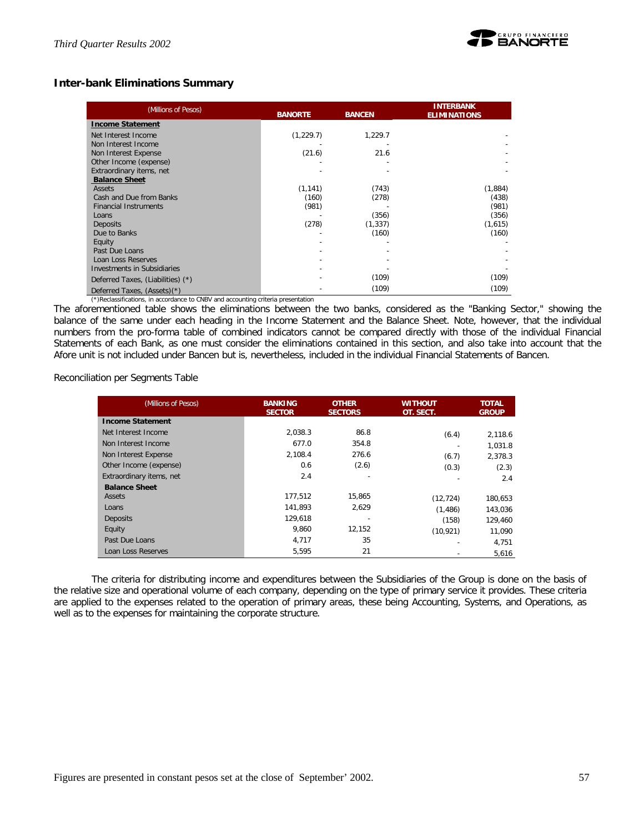![](_page_56_Picture_1.jpeg)

# **Inter-bank Eliminations Summary**

| (Millions of Pesos)                | <b>BANORTE</b><br><b>BANCEN</b> |          | <b>INTERBANK</b><br><b>ELIMINATIONS</b> |  |
|------------------------------------|---------------------------------|----------|-----------------------------------------|--|
| <b>Income Statement</b>            |                                 |          |                                         |  |
| Net Interest Income                | (1,229.7)                       | 1,229.7  |                                         |  |
| Non Interest Income                |                                 |          |                                         |  |
| Non Interest Expense               | (21.6)                          | 21.6     |                                         |  |
| Other Income (expense)             |                                 |          |                                         |  |
| Extraordinary items, net           |                                 |          |                                         |  |
| <b>Balance Sheet</b>               |                                 |          |                                         |  |
| <b>Assets</b>                      | (1, 141)                        | (743)    | (1,884)                                 |  |
| Cash and Due from Banks            | (160)                           | (278)    | (438)                                   |  |
| <b>Financial Instruments</b>       | (981)                           |          | (981)                                   |  |
| Loans                              |                                 | (356)    | (356)                                   |  |
| <b>Deposits</b>                    | (278)                           | (1, 337) | (1,615)                                 |  |
| Due to Banks                       |                                 | (160)    | (160)                                   |  |
| Equity                             |                                 |          |                                         |  |
| Past Due Loans                     |                                 |          |                                         |  |
| Loan Loss Reserves                 |                                 |          |                                         |  |
| <b>Investments in Subsidiaries</b> |                                 |          |                                         |  |
| Deferred Taxes, (Liabilities) (*)  |                                 | (109)    | (109)                                   |  |
| Deferred Taxes, (Assets)(*)        |                                 | (109)    | (109)                                   |  |

(\*)Reclassifications, in accordance to CNBV and accounting criteria presentation

The aforementioned table shows the eliminations between the two banks, considered as the "Banking Sector," showing the balance of the same under each heading in the Income Statement and the Balance Sheet. Note, however, that the individual numbers from the pro-forma table of combined indicators cannot be compared directly with those of the individual Financial Statements of each Bank, as one must consider the eliminations contained in this section, and also take into account that the Afore unit is not included under Bancen but *is*, nevertheless, included in the individual Financial Statements of Bancen.

Reconciliation per Segments Table

| (Millions of Pesos)      | <b>BANKING</b><br><b>SECTOR</b> | <b>OTHER</b><br><b>SECTORS</b> | <b>WITHOUT</b><br>OT. SECT. | <b>TOTAL</b><br><b>GROUP</b> |
|--------------------------|---------------------------------|--------------------------------|-----------------------------|------------------------------|
| <b>Income Statement</b>  |                                 |                                |                             |                              |
| Net Interest Income      | 2,038.3                         | 86.8                           | (6.4)                       | 2.118.6                      |
| Non Interest Income      | 677.0                           | 354.8                          |                             | 1.031.8                      |
| Non Interest Expense     | 2,108.4                         | 276.6                          | (6.7)                       | 2,378.3                      |
| Other Income (expense)   | 0.6                             | (2.6)                          | (0.3)                       | (2.3)                        |
| Extraordinary items, net | 2.4                             |                                |                             | 2.4                          |
| <b>Balance Sheet</b>     |                                 |                                |                             |                              |
| Assets                   | 177.512                         | 15.865                         | (12, 724)                   | 180,653                      |
| Loans                    | 141.893                         | 2.629                          | (1,486)                     | 143,036                      |
| Deposits                 | 129.618                         |                                | (158)                       | 129,460                      |
| Equity                   | 9,860                           | 12,152                         | (10, 921)                   | 11,090                       |
| Past Due Loans           | 4.717                           | 35                             |                             | 4.751                        |
| Loan Loss Reserves       | 5,595                           | 21                             |                             | 5,616                        |

The criteria for distributing income and expenditures between the Subsidiaries of the Group is done on the basis of the relative size and operational volume of each company, depending on the type of primary service it provides. These criteria are applied to the expenses related to the operation of primary areas, these being Accounting, Systems, and Operations, as well as to the expenses for maintaining the corporate structure.